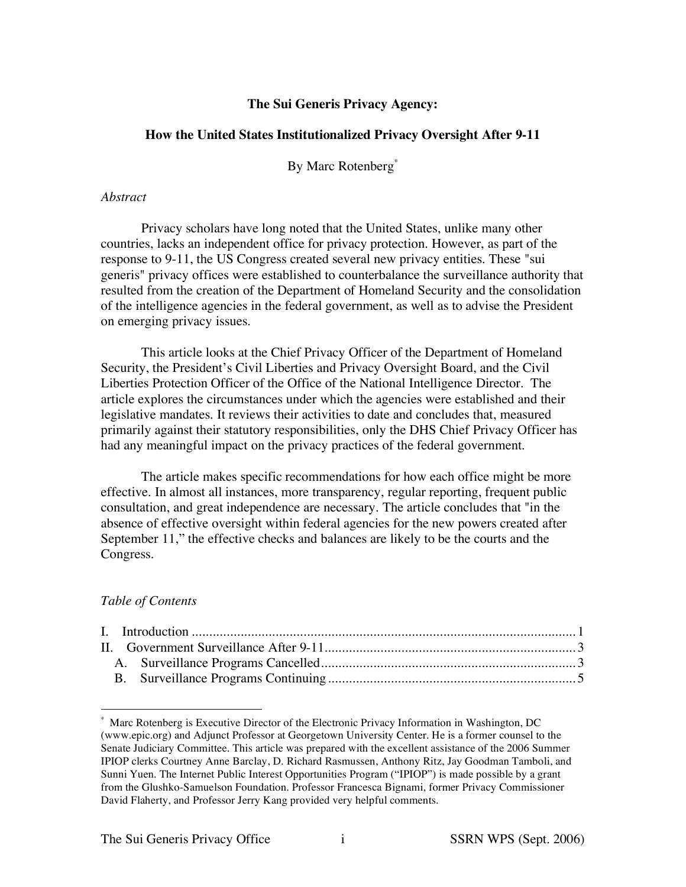# **The Sui Generis Privacy Agency:**

## **How the United States Institutionalized Privacy Oversight After 9-11**

By Marc Rotenberg\*

#### *Abstract*

Privacy scholars have long noted that the United States, unlike many other countries, lacks an independent office for privacy protection. However, as part of the response to 9-11, the US Congress created several new privacy entities. These "sui generis" privacy offices were established to counterbalance the surveillance authority that resulted from the creation of the Department of Homeland Security and the consolidation of the intelligence agencies in the federal government, as well as to advise the President on emerging privacy issues.

This article looks at the Chief Privacy Officer of the Department of Homeland Security, the President's Civil Liberties and Privacy Oversight Board, and the Civil Liberties Protection Officer of the Office of the National Intelligence Director. The article explores the circumstances under which the agencies were established and their legislative mandates. It reviews their activities to date and concludes that, measured primarily against their statutory responsibilities, only the DHS Chief Privacy Officer has had any meaningful impact on the privacy practices of the federal government.

The article makes specific recommendations for how each office might be more effective. In almost all instances, more transparency, regular reporting, frequent public consultation, and great independence are necessary. The article concludes that "in the absence of effective oversight within federal agencies for the new powers created after September 11," the effective checks and balances are likely to be the courts and the Congress.

## *Table of Contents*

Marc Rotenberg is Executive Director of the Electronic Privacy Information in Washington, DC (www.epic.org) and Adjunct Professor at Georgetown University Center. He is a former counsel to the Senate Judiciary Committee. This article was prepared with the excellent assistance of the 2006 Summer IPIOP clerks Courtney Anne Barclay, D. Richard Rasmussen, Anthony Ritz, Jay Goodman Tamboli, and Sunni Yuen. The Internet Public Interest Opportunities Program ("IPIOP") is made possible by a grant from the Glushko-Samuelson Foundation. Professor Francesca Bignami, former Privacy Commissioner David Flaherty, and Professor Jerry Kang provided very helpful comments.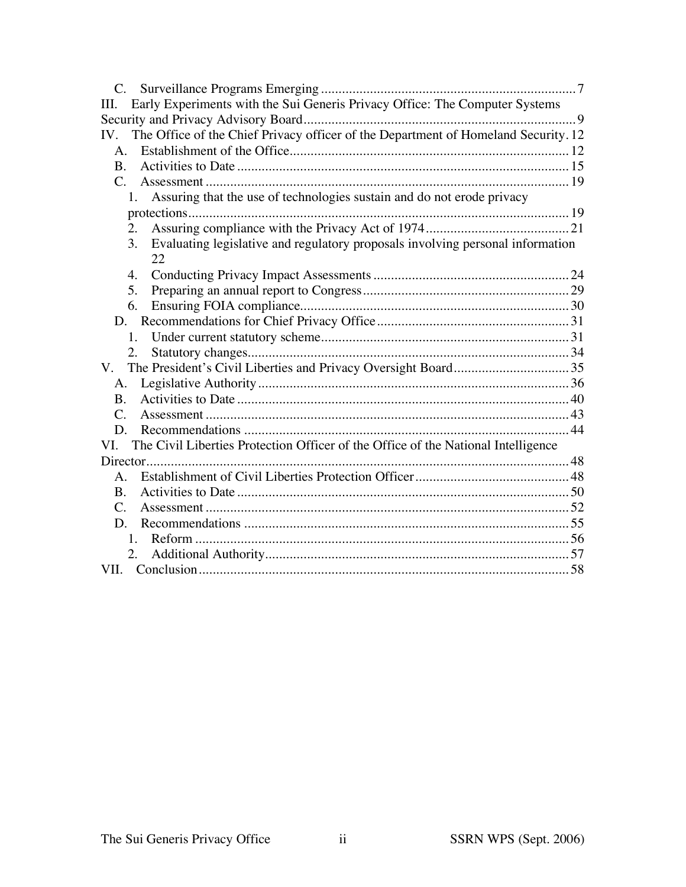| Early Experiments with the Sui Generis Privacy Office: The Computer Systems<br>Ш.         |  |
|-------------------------------------------------------------------------------------------|--|
|                                                                                           |  |
| The Office of the Chief Privacy officer of the Department of Homeland Security. 12<br>IV. |  |
| A.                                                                                        |  |
| <b>B.</b>                                                                                 |  |
| $C_{\cdot}$                                                                               |  |
| Assuring that the use of technologies sustain and do not erode privacy<br>1.              |  |
|                                                                                           |  |
| 2.                                                                                        |  |
| Evaluating legislative and regulatory proposals involving personal information<br>3.      |  |
| 22                                                                                        |  |
| 4.                                                                                        |  |
| 5.                                                                                        |  |
| 6.                                                                                        |  |
|                                                                                           |  |
|                                                                                           |  |
|                                                                                           |  |
| $V_{\cdot}$                                                                               |  |
| А.                                                                                        |  |
| <b>B.</b>                                                                                 |  |
| $\mathcal{C}$ .                                                                           |  |
| D.                                                                                        |  |
| The Civil Liberties Protection Officer of the Office of the National Intelligence<br>VI.  |  |
|                                                                                           |  |
| $\mathsf{A}$ .                                                                            |  |
| <b>B.</b>                                                                                 |  |
| C.                                                                                        |  |
| D.                                                                                        |  |
|                                                                                           |  |
|                                                                                           |  |
|                                                                                           |  |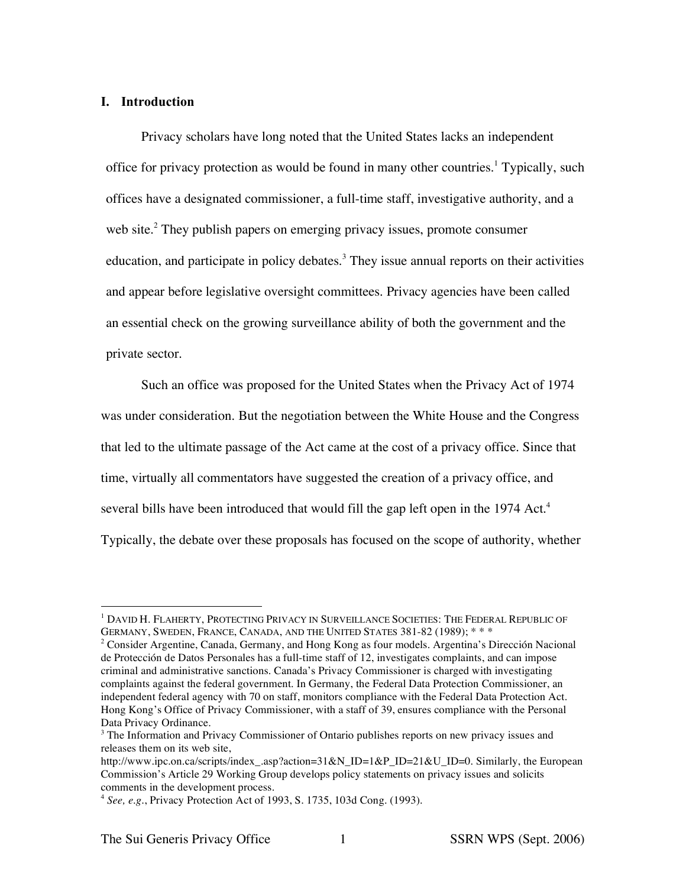## **I. Introduction**

Privacy scholars have long noted that the United States lacks an independent office for privacy protection as would be found in many other countries.<sup>1</sup> Typically, such offices have a designated commissioner, a full-time staff, investigative authority, and a web site.<sup>2</sup> They publish papers on emerging privacy issues, promote consumer education, and participate in policy debates.<sup>3</sup> They issue annual reports on their activities and appear before legislative oversight committees. Privacy agencies have been called an essential check on the growing surveillance ability of both the government and the private sector.

Such an office was proposed for the United States when the Privacy Act of 1974 was under consideration. But the negotiation between the White House and the Congress that led to the ultimate passage of the Act came at the cost of a privacy office. Since that time, virtually all commentators have suggested the creation of a privacy office, and several bills have been introduced that would fill the gap left open in the 1974 Act.<sup>4</sup> Typically, the debate over these proposals has focused on the scope of authority, whether

 <sup>1</sup> DAVID H. FLAHERTY, PROTECTING PRIVACY IN SURVEILLANCE SOCIETIES: THE FEDERAL REPUBLIC OF GERMANY, SWEDEN, FRANCE, CANADA, AND THE UNITED STATES 381-82 (1989); \* \* \*

<sup>2</sup> Consider Argentine, Canada, Germany, and Hong Kong as four models. Argentina's Dirección Nacional de Protección de Datos Personales has a full-time staff of 12, investigates complaints, and can impose criminal and administrative sanctions. Canada's Privacy Commissioner is charged with investigating complaints against the federal government. In Germany, the Federal Data Protection Commissioner, an independent federal agency with 70 on staff, monitors compliance with the Federal Data Protection Act. Hong Kong's Office of Privacy Commissioner, with a staff of 39, ensures compliance with the Personal Data Privacy Ordinance.

<sup>&</sup>lt;sup>3</sup> The Information and Privacy Commissioner of Ontario publishes reports on new privacy issues and releases them on its web site,

http://www.ipc.on.ca/scripts/index\_.asp?action=31&N\_ID=1&P\_ID=21&U\_ID=0. Similarly, the European Commission's Article 29 Working Group develops policy statements on privacy issues and solicits comments in the development process.

<sup>4</sup> *See, e.g.*, Privacy Protection Act of 1993, S. 1735, 103d Cong. (1993).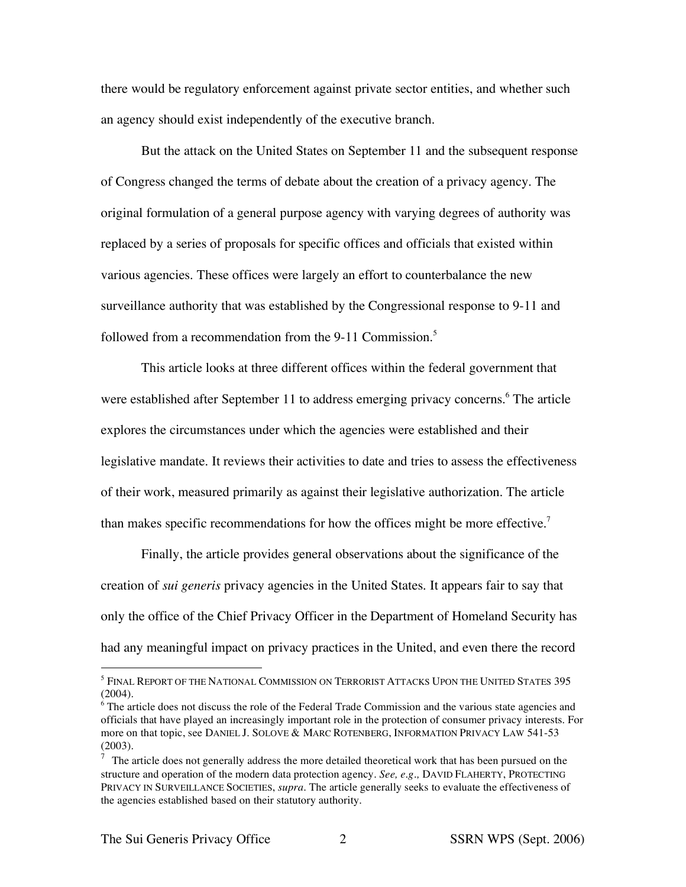there would be regulatory enforcement against private sector entities, and whether such an agency should exist independently of the executive branch.

But the attack on the United States on September 11 and the subsequent response of Congress changed the terms of debate about the creation of a privacy agency. The original formulation of a general purpose agency with varying degrees of authority was replaced by a series of proposals for specific offices and officials that existed within various agencies. These offices were largely an effort to counterbalance the new surveillance authority that was established by the Congressional response to 9-11 and followed from a recommendation from the 9-11 Commission.<sup>5</sup>

This article looks at three different offices within the federal government that were established after September 11 to address emerging privacy concerns.<sup>6</sup> The article explores the circumstances under which the agencies were established and their legislative mandate. It reviews their activities to date and tries to assess the effectiveness of their work, measured primarily as against their legislative authorization. The article than makes specific recommendations for how the offices might be more effective.<sup>7</sup>

Finally, the article provides general observations about the significance of the creation of *sui generis* privacy agencies in the United States. It appears fair to say that only the office of the Chief Privacy Officer in the Department of Homeland Security has had any meaningful impact on privacy practices in the United, and even there the record

 $^5$  Final Report of the National Commission on Terrorist Attacks Upon the United States 395  $^{\circ}$ (2004).

<sup>&</sup>lt;sup>6</sup> The article does not discuss the role of the Federal Trade Commission and the various state agencies and officials that have played an increasingly important role in the protection of consumer privacy interests. For more on that topic, see DANIEL J. SOLOVE & MARC ROTENBERG, INFORMATION PRIVACY LAW 541-53 (2003).

 $\overline{7}$  The article does not generally address the more detailed theoretical work that has been pursued on the structure and operation of the modern data protection agency. *See, e.g.,* DAVID FLAHERTY, PROTECTING PRIVACY IN SURVEILLANCE SOCIETIES, *supra*. The article generally seeks to evaluate the effectiveness of the agencies established based on their statutory authority.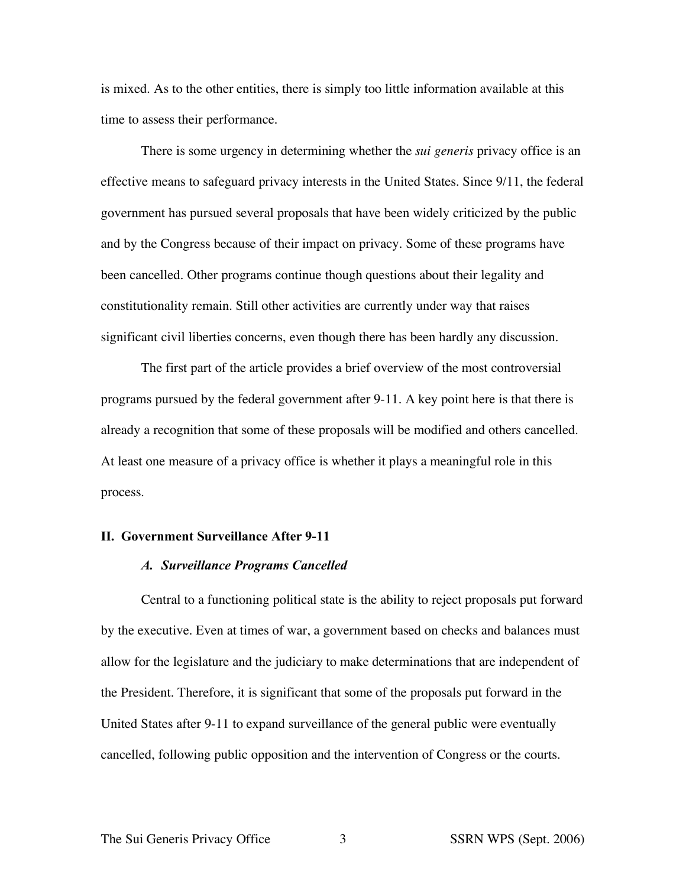is mixed. As to the other entities, there is simply too little information available at this time to assess their performance.

There is some urgency in determining whether the *sui generis* privacy office is an effective means to safeguard privacy interests in the United States. Since 9/11, the federal government has pursued several proposals that have been widely criticized by the public and by the Congress because of their impact on privacy. Some of these programs have been cancelled. Other programs continue though questions about their legality and constitutionality remain. Still other activities are currently under way that raises significant civil liberties concerns, even though there has been hardly any discussion.

The first part of the article provides a brief overview of the most controversial programs pursued by the federal government after 9-11. A key point here is that there is already a recognition that some of these proposals will be modified and others cancelled. At least one measure of a privacy office is whether it plays a meaningful role in this process.

## **II. Government Surveillance After 9-11**

## *A. Surveillance Programs Cancelled*

Central to a functioning political state is the ability to reject proposals put forward by the executive. Even at times of war, a government based on checks and balances must allow for the legislature and the judiciary to make determinations that are independent of the President. Therefore, it is significant that some of the proposals put forward in the United States after 9-11 to expand surveillance of the general public were eventually cancelled, following public opposition and the intervention of Congress or the courts.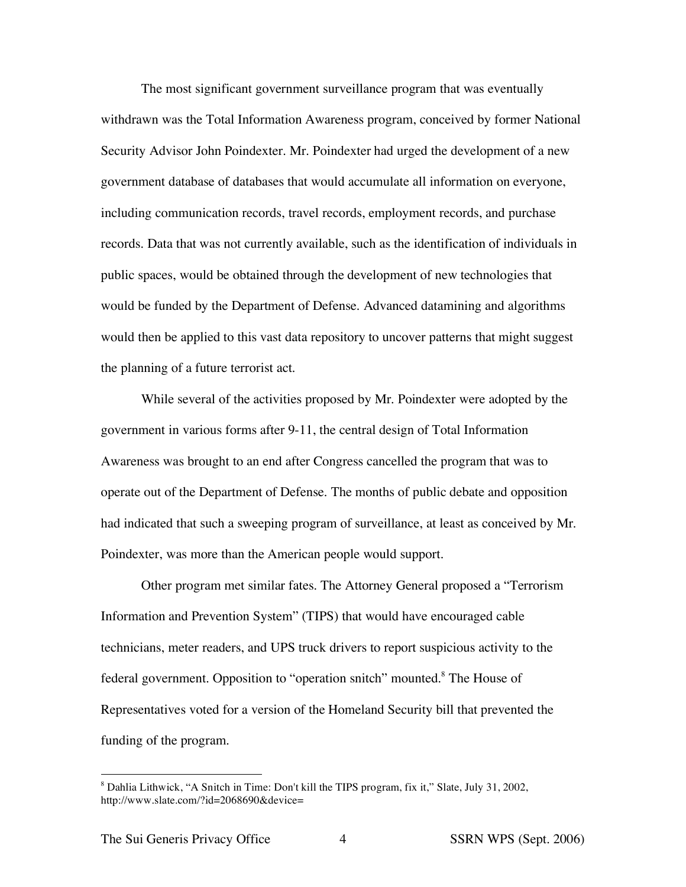The most significant government surveillance program that was eventually withdrawn was the Total Information Awareness program, conceived by former National Security Advisor John Poindexter. Mr. Poindexter had urged the development of a new government database of databases that would accumulate all information on everyone, including communication records, travel records, employment records, and purchase records. Data that was not currently available, such as the identification of individuals in public spaces, would be obtained through the development of new technologies that would be funded by the Department of Defense. Advanced datamining and algorithms would then be applied to this vast data repository to uncover patterns that might suggest the planning of a future terrorist act.

While several of the activities proposed by Mr. Poindexter were adopted by the government in various forms after 9-11, the central design of Total Information Awareness was brought to an end after Congress cancelled the program that was to operate out of the Department of Defense. The months of public debate and opposition had indicated that such a sweeping program of surveillance, at least as conceived by Mr. Poindexter, was more than the American people would support.

Other program met similar fates. The Attorney General proposed a "Terrorism Information and Prevention System" (TIPS) that would have encouraged cable technicians, meter readers, and UPS truck drivers to report suspicious activity to the federal government. Opposition to "operation snitch" mounted.<sup>8</sup> The House of Representatives voted for a version of the Homeland Security bill that prevented the funding of the program.

 <sup>8</sup> Dahlia Lithwick, "A Snitch in Time: Don't kill the TIPS program, fix it," Slate, July 31, 2002, http://www.slate.com/?id=2068690&device=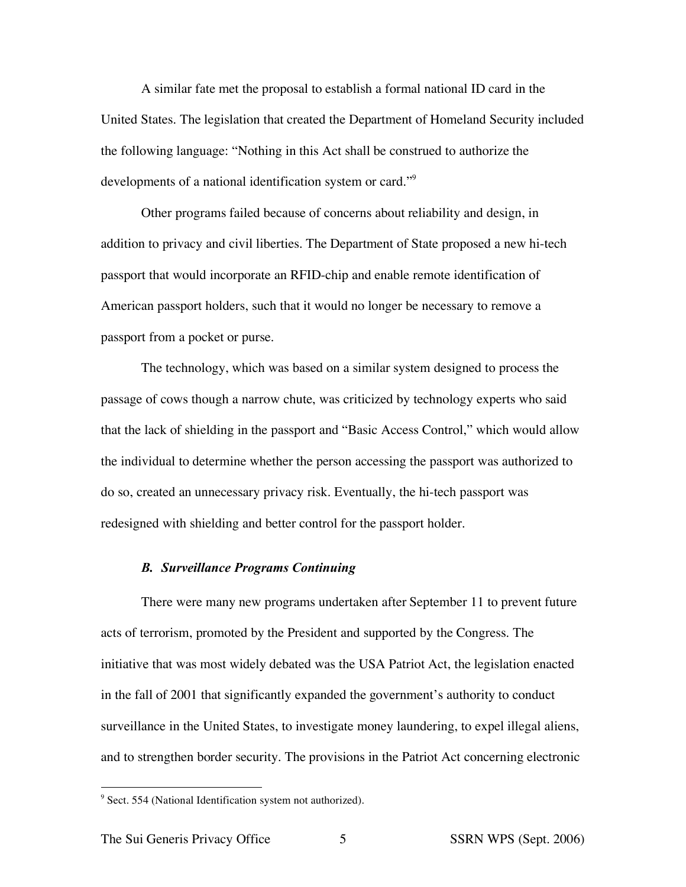A similar fate met the proposal to establish a formal national ID card in the United States. The legislation that created the Department of Homeland Security included the following language: "Nothing in this Act shall be construed to authorize the developments of a national identification system or card."<sup>9</sup>

Other programs failed because of concerns about reliability and design, in addition to privacy and civil liberties. The Department of State proposed a new hi-tech passport that would incorporate an RFID-chip and enable remote identification of American passport holders, such that it would no longer be necessary to remove a passport from a pocket or purse.

The technology, which was based on a similar system designed to process the passage of cows though a narrow chute, was criticized by technology experts who said that the lack of shielding in the passport and "Basic Access Control," which would allow the individual to determine whether the person accessing the passport was authorized to do so, created an unnecessary privacy risk. Eventually, the hi-tech passport was redesigned with shielding and better control for the passport holder.

#### *B. Surveillance Programs Continuing*

There were many new programs undertaken after September 11 to prevent future acts of terrorism, promoted by the President and supported by the Congress. The initiative that was most widely debated was the USA Patriot Act, the legislation enacted in the fall of 2001 that significantly expanded the government's authority to conduct surveillance in the United States, to investigate money laundering, to expel illegal aliens, and to strengthen border security. The provisions in the Patriot Act concerning electronic

 $9$  Sect. 554 (National Identification system not authorized).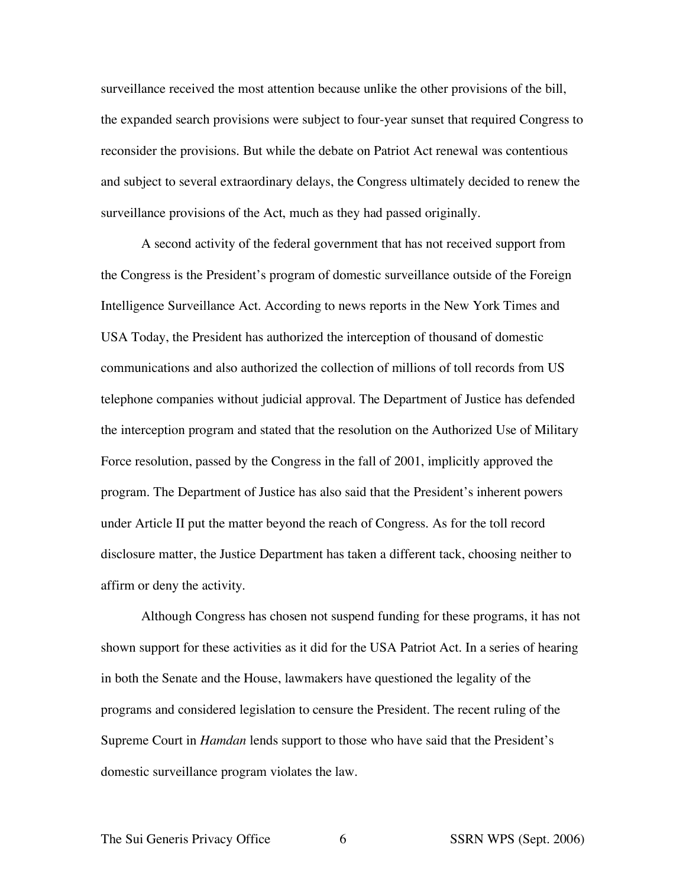surveillance received the most attention because unlike the other provisions of the bill, the expanded search provisions were subject to four-year sunset that required Congress to reconsider the provisions. But while the debate on Patriot Act renewal was contentious and subject to several extraordinary delays, the Congress ultimately decided to renew the surveillance provisions of the Act, much as they had passed originally.

A second activity of the federal government that has not received support from the Congress is the President's program of domestic surveillance outside of the Foreign Intelligence Surveillance Act. According to news reports in the New York Times and USA Today, the President has authorized the interception of thousand of domestic communications and also authorized the collection of millions of toll records from US telephone companies without judicial approval. The Department of Justice has defended the interception program and stated that the resolution on the Authorized Use of Military Force resolution, passed by the Congress in the fall of 2001, implicitly approved the program. The Department of Justice has also said that the President's inherent powers under Article II put the matter beyond the reach of Congress. As for the toll record disclosure matter, the Justice Department has taken a different tack, choosing neither to affirm or deny the activity.

Although Congress has chosen not suspend funding for these programs, it has not shown support for these activities as it did for the USA Patriot Act. In a series of hearing in both the Senate and the House, lawmakers have questioned the legality of the programs and considered legislation to censure the President. The recent ruling of the Supreme Court in *Hamdan* lends support to those who have said that the President's domestic surveillance program violates the law.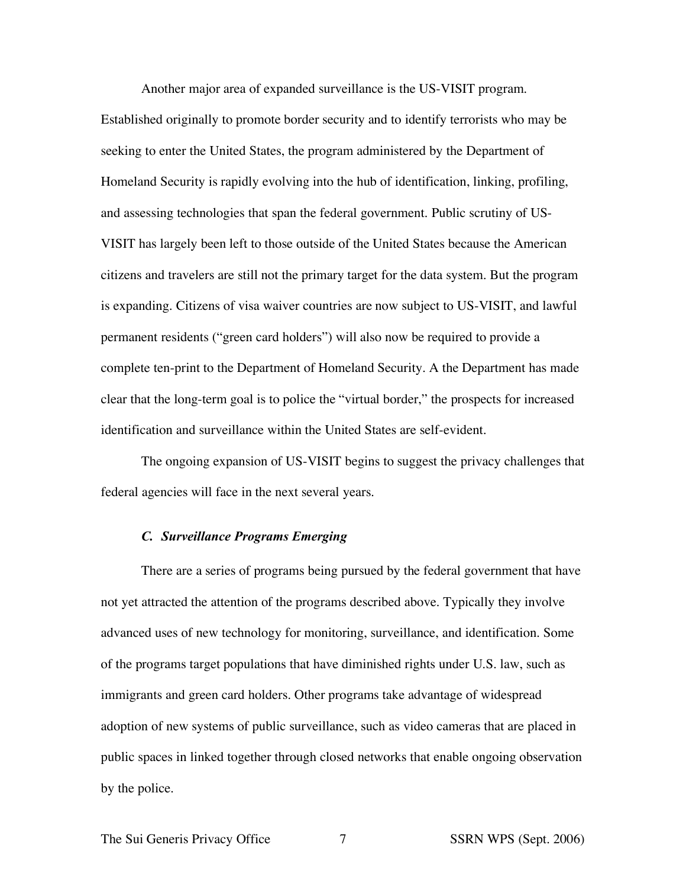Another major area of expanded surveillance is the US-VISIT program.

Established originally to promote border security and to identify terrorists who may be seeking to enter the United States, the program administered by the Department of Homeland Security is rapidly evolving into the hub of identification, linking, profiling, and assessing technologies that span the federal government. Public scrutiny of US-VISIT has largely been left to those outside of the United States because the American citizens and travelers are still not the primary target for the data system. But the program is expanding. Citizens of visa waiver countries are now subject to US-VISIT, and lawful permanent residents ("green card holders") will also now be required to provide a complete ten-print to the Department of Homeland Security. A the Department has made clear that the long-term goal is to police the "virtual border," the prospects for increased identification and surveillance within the United States are self-evident.

The ongoing expansion of US-VISIT begins to suggest the privacy challenges that federal agencies will face in the next several years.

#### *C. Surveillance Programs Emerging*

There are a series of programs being pursued by the federal government that have not yet attracted the attention of the programs described above. Typically they involve advanced uses of new technology for monitoring, surveillance, and identification. Some of the programs target populations that have diminished rights under U.S. law, such as immigrants and green card holders. Other programs take advantage of widespread adoption of new systems of public surveillance, such as video cameras that are placed in public spaces in linked together through closed networks that enable ongoing observation by the police.

The Sui Generis Privacy Office 7 SSRN WPS (Sept. 2006)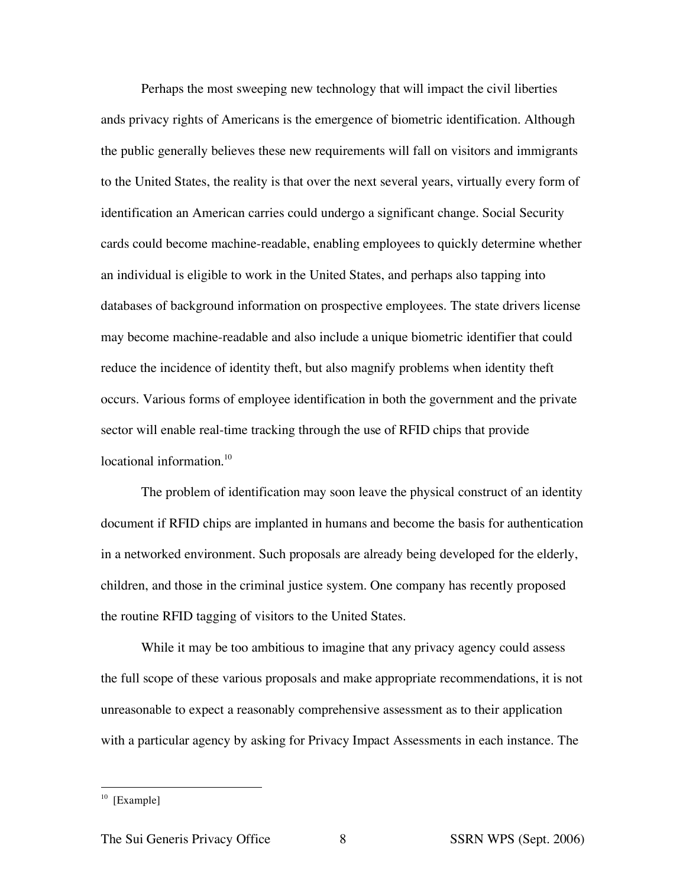Perhaps the most sweeping new technology that will impact the civil liberties ands privacy rights of Americans is the emergence of biometric identification. Although the public generally believes these new requirements will fall on visitors and immigrants to the United States, the reality is that over the next several years, virtually every form of identification an American carries could undergo a significant change. Social Security cards could become machine-readable, enabling employees to quickly determine whether an individual is eligible to work in the United States, and perhaps also tapping into databases of background information on prospective employees. The state drivers license may become machine-readable and also include a unique biometric identifier that could reduce the incidence of identity theft, but also magnify problems when identity theft occurs. Various forms of employee identification in both the government and the private sector will enable real-time tracking through the use of RFID chips that provide locational information.<sup>10</sup>

The problem of identification may soon leave the physical construct of an identity document if RFID chips are implanted in humans and become the basis for authentication in a networked environment. Such proposals are already being developed for the elderly, children, and those in the criminal justice system. One company has recently proposed the routine RFID tagging of visitors to the United States.

While it may be too ambitious to imagine that any privacy agency could assess the full scope of these various proposals and make appropriate recommendations, it is not unreasonable to expect a reasonably comprehensive assessment as to their application with a particular agency by asking for Privacy Impact Assessments in each instance. The

 $10$  [Example]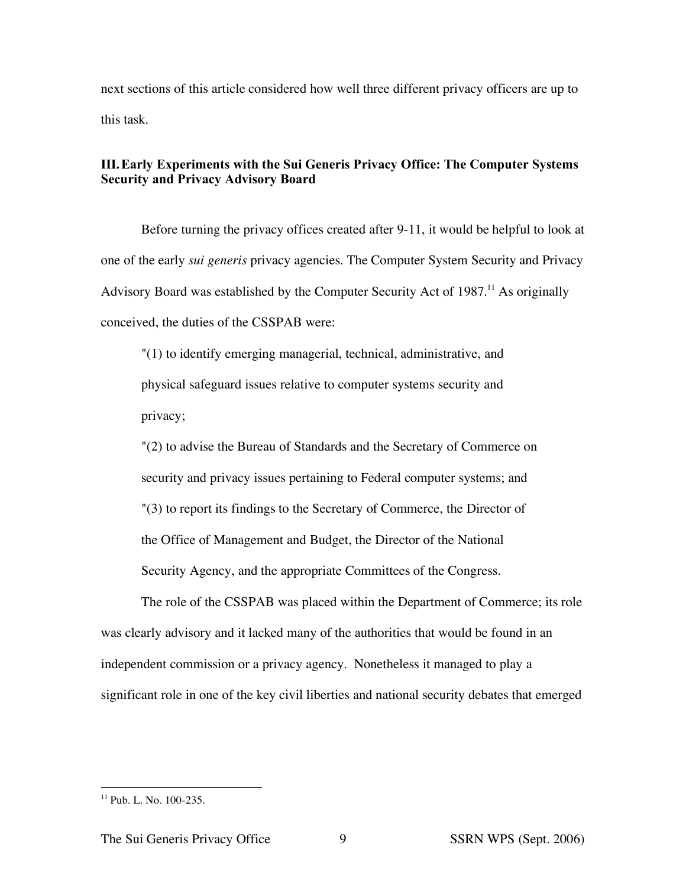next sections of this article considered how well three different privacy officers are up to this task.

# **III.Early Experiments with the Sui Generis Privacy Office: The Computer Systems Security and Privacy Advisory Board**

Before turning the privacy offices created after 9-11, it would be helpful to look at one of the early *sui generis* privacy agencies. The Computer System Security and Privacy Advisory Board was established by the Computer Security Act of 1987.<sup>11</sup> As originally conceived, the duties of the CSSPAB were:

"(1) to identify emerging managerial, technical, administrative, and physical safeguard issues relative to computer systems security and privacy;

"(2) to advise the Bureau of Standards and the Secretary of Commerce on security and privacy issues pertaining to Federal computer systems; and "(3) to report its findings to the Secretary of Commerce, the Director of the Office of Management and Budget, the Director of the National Security Agency, and the appropriate Committees of the Congress.

The role of the CSSPAB was placed within the Department of Commerce; its role was clearly advisory and it lacked many of the authorities that would be found in an independent commission or a privacy agency. Nonetheless it managed to play a significant role in one of the key civil liberties and national security debates that emerged

 $11$  Pub. L. No. 100-235.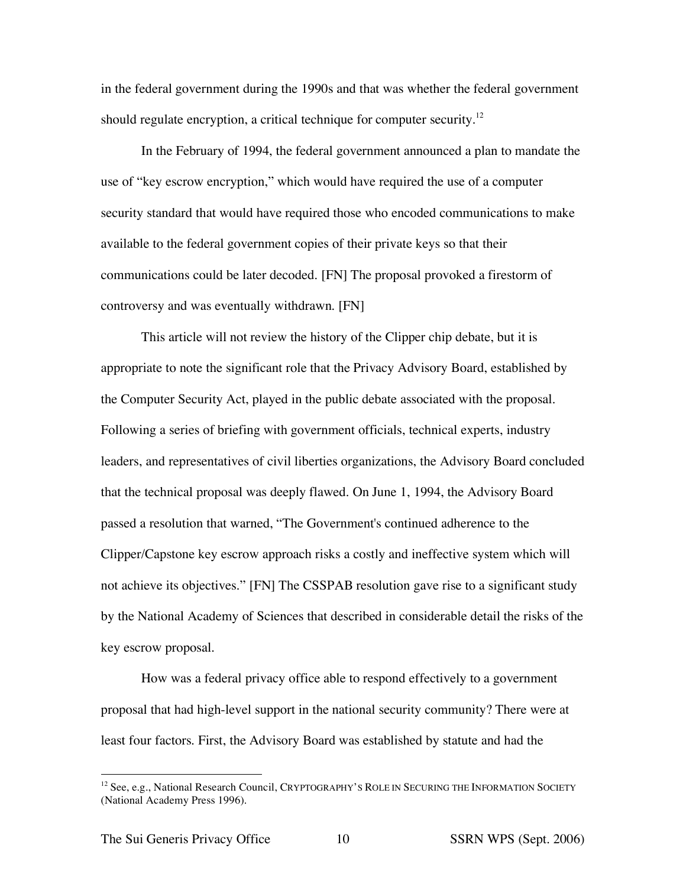in the federal government during the 1990s and that was whether the federal government should regulate encryption, a critical technique for computer security.<sup>12</sup>

In the February of 1994, the federal government announced a plan to mandate the use of "key escrow encryption," which would have required the use of a computer security standard that would have required those who encoded communications to make available to the federal government copies of their private keys so that their communications could be later decoded. [FN] The proposal provoked a firestorm of controversy and was eventually withdrawn. [FN]

This article will not review the history of the Clipper chip debate, but it is appropriate to note the significant role that the Privacy Advisory Board, established by the Computer Security Act, played in the public debate associated with the proposal. Following a series of briefing with government officials, technical experts, industry leaders, and representatives of civil liberties organizations, the Advisory Board concluded that the technical proposal was deeply flawed. On June 1, 1994, the Advisory Board passed a resolution that warned, "The Government's continued adherence to the Clipper/Capstone key escrow approach risks a costly and ineffective system which will not achieve its objectives." [FN] The CSSPAB resolution gave rise to a significant study by the National Academy of Sciences that described in considerable detail the risks of the key escrow proposal.

How was a federal privacy office able to respond effectively to a government proposal that had high-level support in the national security community? There were at least four factors. First, the Advisory Board was established by statute and had the

<sup>&</sup>lt;sup>12</sup> See, e.g., National Research Council, CRYPTOGRAPHY'S ROLE IN SECURING THE INFORMATION SOCIETY (National Academy Press 1996).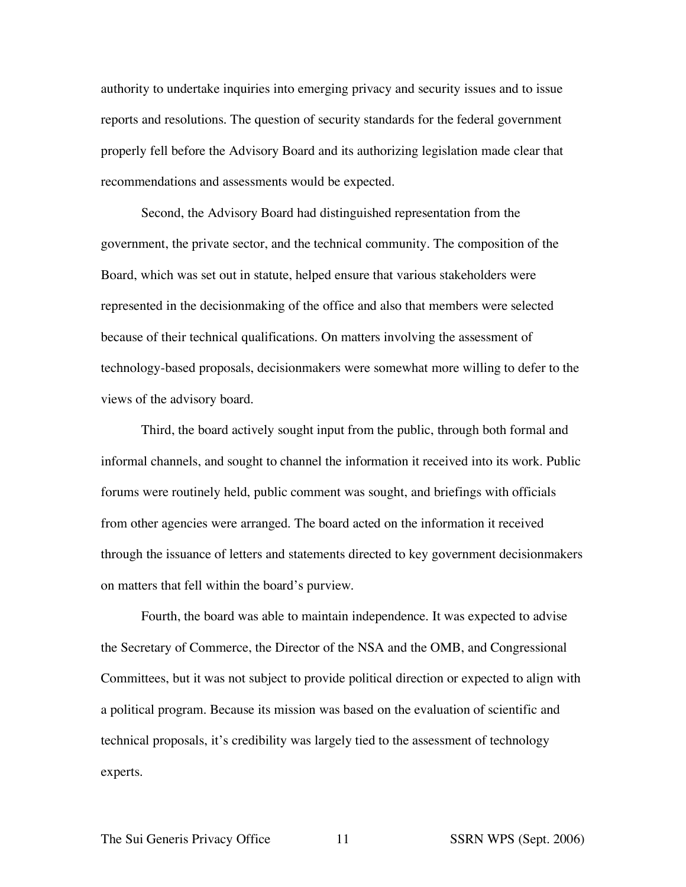authority to undertake inquiries into emerging privacy and security issues and to issue reports and resolutions. The question of security standards for the federal government properly fell before the Advisory Board and its authorizing legislation made clear that recommendations and assessments would be expected.

Second, the Advisory Board had distinguished representation from the government, the private sector, and the technical community. The composition of the Board, which was set out in statute, helped ensure that various stakeholders were represented in the decisionmaking of the office and also that members were selected because of their technical qualifications. On matters involving the assessment of technology-based proposals, decisionmakers were somewhat more willing to defer to the views of the advisory board.

Third, the board actively sought input from the public, through both formal and informal channels, and sought to channel the information it received into its work. Public forums were routinely held, public comment was sought, and briefings with officials from other agencies were arranged. The board acted on the information it received through the issuance of letters and statements directed to key government decisionmakers on matters that fell within the board's purview.

Fourth, the board was able to maintain independence. It was expected to advise the Secretary of Commerce, the Director of the NSA and the OMB, and Congressional Committees, but it was not subject to provide political direction or expected to align with a political program. Because its mission was based on the evaluation of scientific and technical proposals, it's credibility was largely tied to the assessment of technology experts.

The Sui Generis Privacy Office 11 SSRN WPS (Sept. 2006)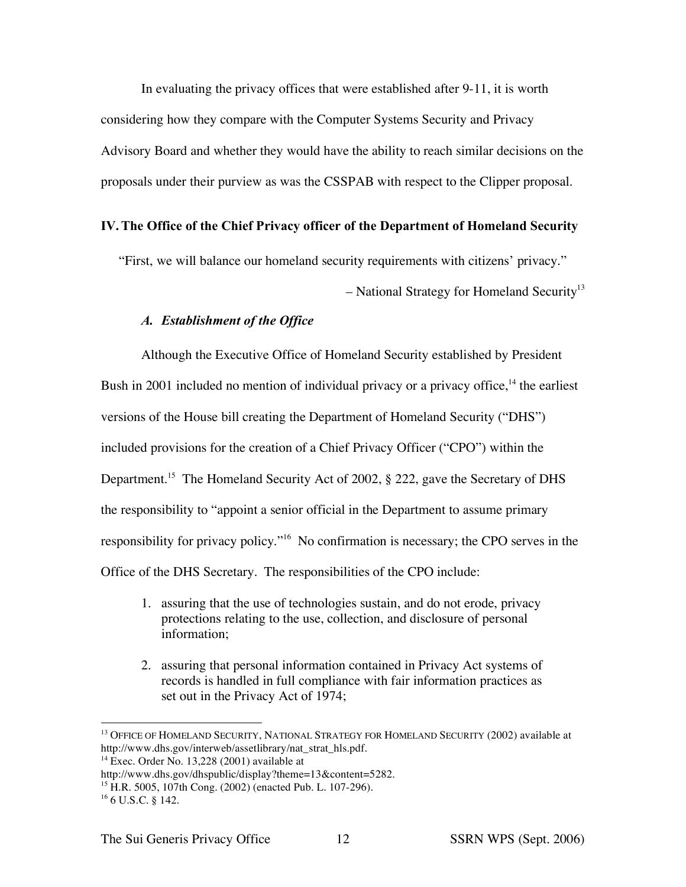In evaluating the privacy offices that were established after 9-11, it is worth considering how they compare with the Computer Systems Security and Privacy Advisory Board and whether they would have the ability to reach similar decisions on the proposals under their purview as was the CSSPAB with respect to the Clipper proposal.

## **IV.The Office of the Chief Privacy officer of the Department of Homeland Security**

"First, we will balance our homeland security requirements with citizens' privacy."

– National Strategy for Homeland Security<sup>13</sup>

# *A. Establishment of the Office*

Although the Executive Office of Homeland Security established by President Bush in 2001 included no mention of individual privacy or a privacy office,<sup>14</sup> the earliest versions of the House bill creating the Department of Homeland Security ("DHS") included provisions for the creation of a Chief Privacy Officer ("CPO") within the Department.<sup>15</sup> The Homeland Security Act of 2002, § 222, gave the Secretary of DHS the responsibility to "appoint a senior official in the Department to assume primary responsibility for privacy policy."16 No confirmation is necessary; the CPO serves in the Office of the DHS Secretary. The responsibilities of the CPO include:

- 1. assuring that the use of technologies sustain, and do not erode, privacy protections relating to the use, collection, and disclosure of personal information;
- 2. assuring that personal information contained in Privacy Act systems of records is handled in full compliance with fair information practices as set out in the Privacy Act of 1974;

<sup>&</sup>lt;sup>13</sup> OFFICE OF HOMELAND SECURITY, NATIONAL STRATEGY FOR HOMELAND SECURITY (2002) available at http://www.dhs.gov/interweb/assetlibrary/nat\_strat\_hls.pdf.

 $14$  Exec. Order No. 13,228 (2001) available at

http://www.dhs.gov/dhspublic/display?theme=13&content=5282.

<sup>15</sup> H.R. 5005, 107th Cong. (2002) (enacted Pub. L. 107-296).

<sup>16</sup> 6 U.S.C. § 142.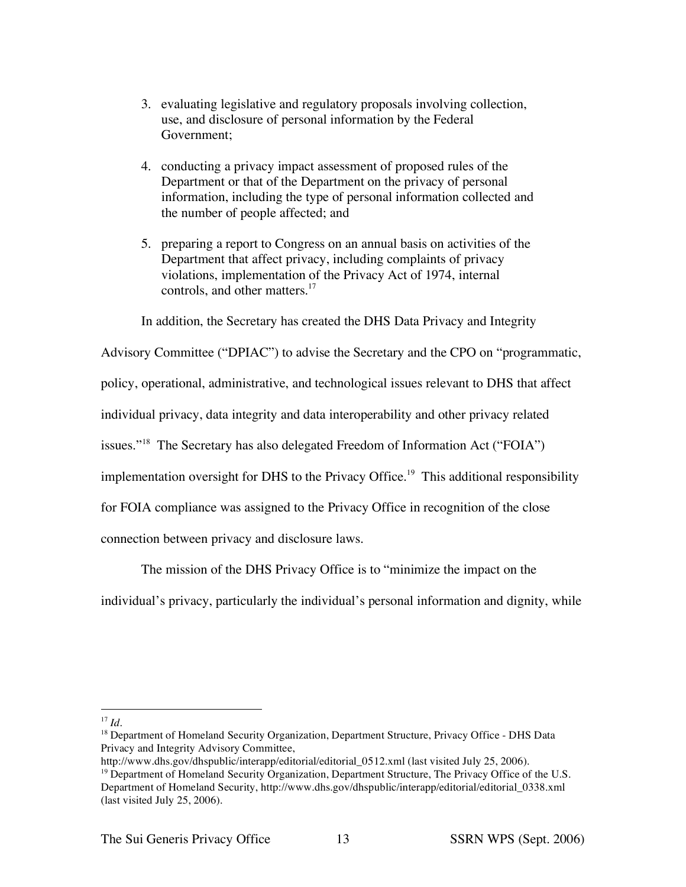- 3. evaluating legislative and regulatory proposals involving collection, use, and disclosure of personal information by the Federal Government;
- 4. conducting a privacy impact assessment of proposed rules of the Department or that of the Department on the privacy of personal information, including the type of personal information collected and the number of people affected; and
- 5. preparing a report to Congress on an annual basis on activities of the Department that affect privacy, including complaints of privacy violations, implementation of the Privacy Act of 1974, internal controls, and other matters.<sup>17</sup>

In addition, the Secretary has created the DHS Data Privacy and Integrity

Advisory Committee ("DPIAC") to advise the Secretary and the CPO on "programmatic, policy, operational, administrative, and technological issues relevant to DHS that affect individual privacy, data integrity and data interoperability and other privacy related issues."<sup>18</sup> The Secretary has also delegated Freedom of Information Act ("FOIA") implementation oversight for DHS to the Privacy Office.<sup>19</sup> This additional responsibility for FOIA compliance was assigned to the Privacy Office in recognition of the close connection between privacy and disclosure laws.

The mission of the DHS Privacy Office is to "minimize the impact on the individual's privacy, particularly the individual's personal information and dignity, while

 <sup>17</sup> *Id*.

<sup>&</sup>lt;sup>18</sup> Department of Homeland Security Organization, Department Structure, Privacy Office - DHS Data Privacy and Integrity Advisory Committee,

http://www.dhs.gov/dhspublic/interapp/editorial/editorial 0512.xml (last visited July 25, 2006).

 $19$  Department of Homeland Security Organization, Department Structure, The Privacy Office of the U.S. Department of Homeland Security, http://www.dhs.gov/dhspublic/interapp/editorial/editorial\_0338.xml (last visited July 25, 2006).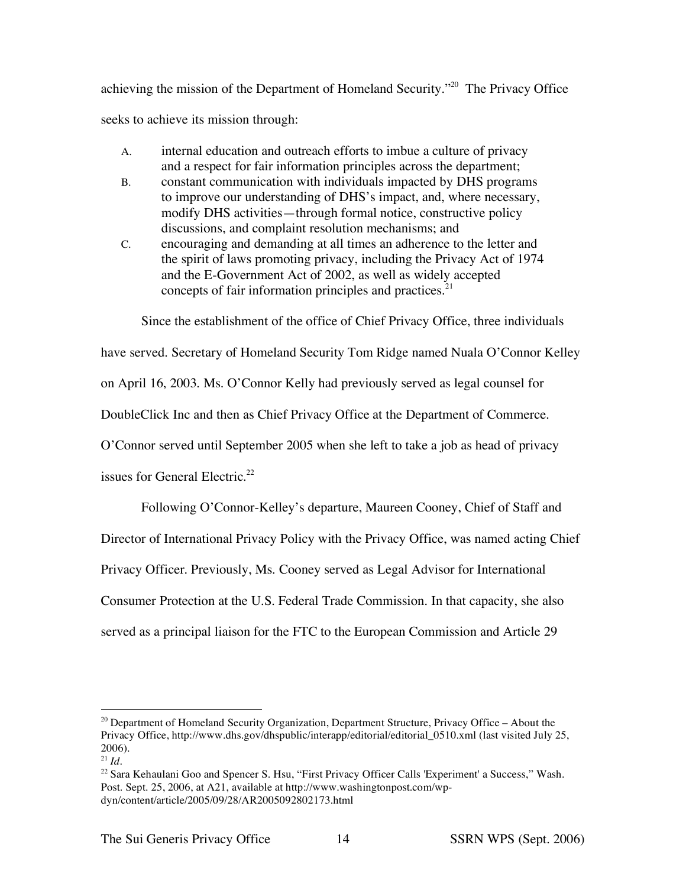achieving the mission of the Department of Homeland Security."<sup>20</sup> The Privacy Office seeks to achieve its mission through:

- A. internal education and outreach efforts to imbue a culture of privacy and a respect for fair information principles across the department;
- B. constant communication with individuals impacted by DHS programs to improve our understanding of DHS's impact, and, where necessary, modify DHS activities—through formal notice, constructive policy discussions, and complaint resolution mechanisms; and
- C. encouraging and demanding at all times an adherence to the letter and the spirit of laws promoting privacy, including the Privacy Act of 1974 and the E-Government Act of 2002, as well as widely accepted concepts of fair information principles and practices.<sup>21</sup>

Since the establishment of the office of Chief Privacy Office, three individuals

have served. Secretary of Homeland Security Tom Ridge named Nuala O'Connor Kelley

on April 16, 2003. Ms. O'Connor Kelly had previously served as legal counsel for

DoubleClick Inc and then as Chief Privacy Office at the Department of Commerce.

O'Connor served until September 2005 when she left to take a job as head of privacy

issues for General Electric.<sup>22</sup>

Following O'Connor-Kelley's departure, Maureen Cooney, Chief of Staff and Director of International Privacy Policy with the Privacy Office, was named acting Chief Privacy Officer. Previously, Ms. Cooney served as Legal Advisor for International Consumer Protection at the U.S. Federal Trade Commission. In that capacity, she also served as a principal liaison for the FTC to the European Commission and Article 29

<sup>&</sup>lt;sup>20</sup> Department of Homeland Security Organization, Department Structure, Privacy Office - About the Privacy Office, http://www.dhs.gov/dhspublic/interapp/editorial/editorial 0510.xml (last visited July 25, 2006).

 $^{21}$  *Id.* 

<sup>&</sup>lt;sup>22</sup> Sara Kehaulani Goo and Spencer S. Hsu, "First Privacy Officer Calls 'Experiment' a Success," Wash. Post. Sept. 25, 2006, at A21, available at http://www.washingtonpost.com/wpdyn/content/article/2005/09/28/AR2005092802173.html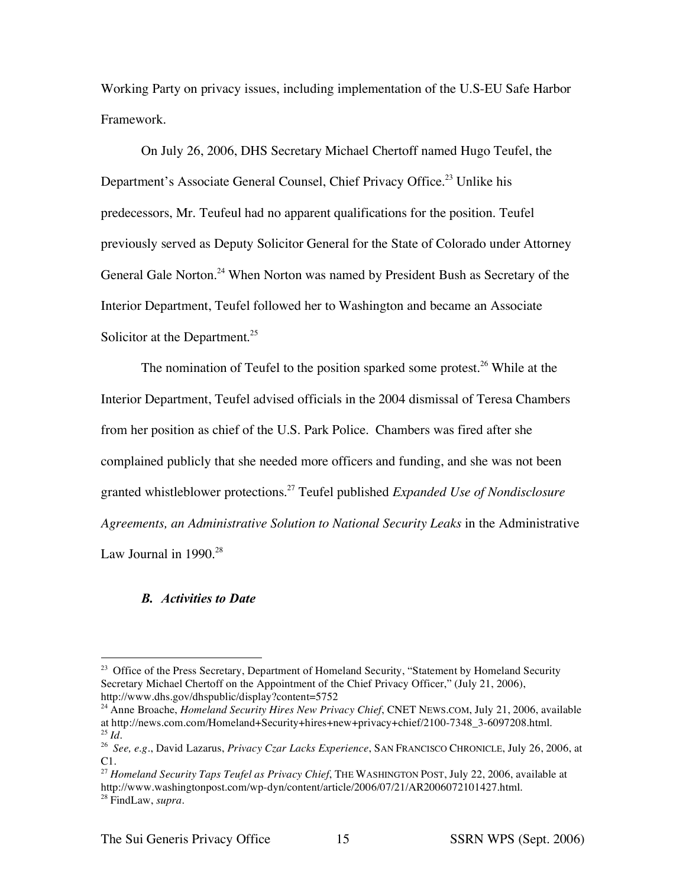Working Party on privacy issues, including implementation of the U.S-EU Safe Harbor Framework.

On July 26, 2006, DHS Secretary Michael Chertoff named Hugo Teufel, the Department's Associate General Counsel, Chief Privacy Office.<sup>23</sup> Unlike his predecessors, Mr. Teufeul had no apparent qualifications for the position. Teufel previously served as Deputy Solicitor General for the State of Colorado under Attorney General Gale Norton.<sup>24</sup> When Norton was named by President Bush as Secretary of the Interior Department, Teufel followed her to Washington and became an Associate Solicitor at the Department.<sup>25</sup>

The nomination of Teufel to the position sparked some protest.<sup>26</sup> While at the Interior Department, Teufel advised officials in the 2004 dismissal of Teresa Chambers from her position as chief of the U.S. Park Police. Chambers was fired after she complained publicly that she needed more officers and funding, and she was not been granted whistleblower protections. <sup>27</sup> Teufel published *Expanded Use of Nondisclosure Agreements, an Administrative Solution to National Security Leaks* in the Administrative Law Journal in  $1990.<sup>28</sup>$ 

# *B. Activities to Date*

<sup>&</sup>lt;sup>23</sup> Office of the Press Secretary, Department of Homeland Security, "Statement by Homeland Security Secretary Michael Chertoff on the Appointment of the Chief Privacy Officer," (July 21, 2006), http://www.dhs.gov/dhspublic/display?content=5752

<sup>24</sup> Anne Broache, *Homeland Security Hires New Privacy Chief*, CNET NEWS.COM, July 21, 2006, available at http://news.com.com/Homeland+Security+hires+new+privacy+chief/2100-7348\_3-6097208.html. <sup>25</sup> *Id*.

<sup>26</sup> *See, e.g.*, David Lazarus, *Privacy Czar Lacks Experience*, SAN FRANCISCO CHRONICLE, July 26, 2006, at C1.

<sup>27</sup> *Homeland Security Taps Teufel as Privacy Chief*, THE WASHINGTON POST, July 22, 2006, available at http://www.washingtonpost.com/wp-dyn/content/article/2006/07/21/AR2006072101427.html. <sup>28</sup> FindLaw, *supra*.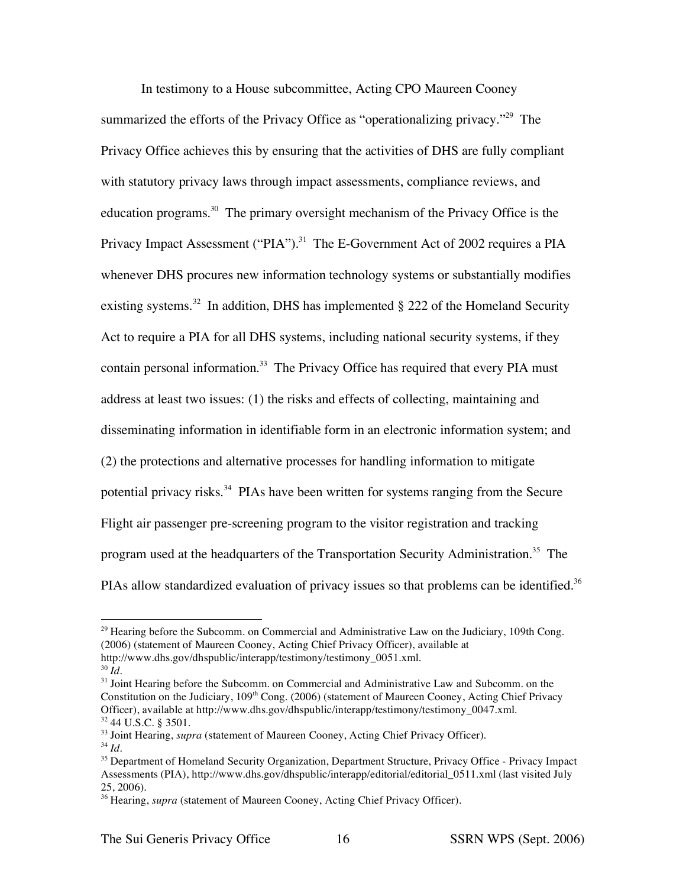In testimony to a House subcommittee, Acting CPO Maureen Cooney summarized the efforts of the Privacy Office as "operationalizing privacy."<sup>29</sup> The Privacy Office achieves this by ensuring that the activities of DHS are fully compliant with statutory privacy laws through impact assessments, compliance reviews, and education programs.<sup>30</sup> The primary oversight mechanism of the Privacy Office is the Privacy Impact Assessment ("PIA").<sup>31</sup> The E-Government Act of 2002 requires a PIA whenever DHS procures new information technology systems or substantially modifies existing systems.<sup>32</sup> In addition, DHS has implemented  $\S 222$  of the Homeland Security Act to require a PIA for all DHS systems, including national security systems, if they contain personal information.<sup>33</sup> The Privacy Office has required that every PIA must address at least two issues: (1) the risks and effects of collecting, maintaining and disseminating information in identifiable form in an electronic information system; and (2) the protections and alternative processes for handling information to mitigate potential privacy risks.<sup>34</sup> PIAs have been written for systems ranging from the Secure Flight air passenger pre-screening program to the visitor registration and tracking program used at the headquarters of the Transportation Security Administration.<sup>35</sup> The PIAs allow standardized evaluation of privacy issues so that problems can be identified.<sup>36</sup>

<sup>&</sup>lt;sup>29</sup> Hearing before the Subcomm. on Commercial and Administrative Law on the Judiciary, 109th Cong. (2006) (statement of Maureen Cooney, Acting Chief Privacy Officer), available at http://www.dhs.gov/dhspublic/interapp/testimony/testimony\_0051.xml.

 $30 \, \tilde{I}$ *d*.

 $31$  Joint Hearing before the Subcomm. on Commercial and Administrative Law and Subcomm. on the Constitution on the Judiciary, 109<sup>th</sup> Cong. (2006) (statement of Maureen Cooney, Acting Chief Privacy Officer), available at http://www.dhs.gov/dhspublic/interapp/testimony/testimony 0047.xml. <sup>32</sup> 44 U.S.C. § 3501.

<sup>&</sup>lt;sup>33</sup> Joint Hearing, *supra* (statement of Maureen Cooney, Acting Chief Privacy Officer).

<sup>34</sup> *Id*.

<sup>&</sup>lt;sup>35</sup> Department of Homeland Security Organization, Department Structure, Privacy Office - Privacy Impact Assessments (PIA), http://www.dhs.gov/dhspublic/interapp/editorial/editorial\_0511.xml (last visited July 25, 2006).

<sup>&</sup>lt;sup>36</sup> Hearing, *supra* (statement of Maureen Cooney, Acting Chief Privacy Officer).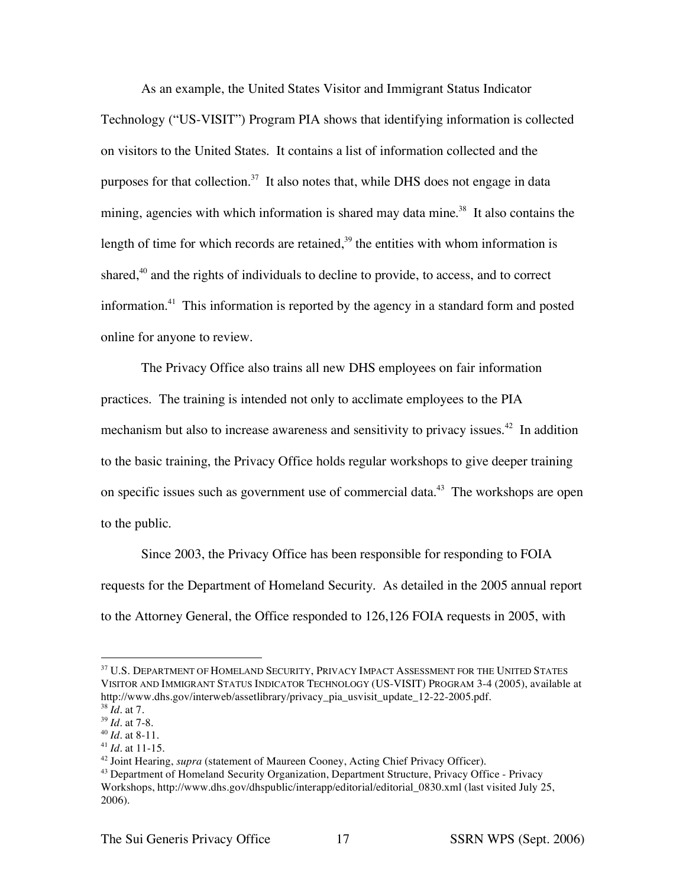As an example, the United States Visitor and Immigrant Status Indicator Technology ("US-VISIT") Program PIA shows that identifying information is collected on visitors to the United States. It contains a list of information collected and the purposes for that collection.<sup>37</sup> It also notes that, while DHS does not engage in data mining, agencies with which information is shared may data mine.<sup>38</sup> It also contains the length of time for which records are retained, $3<sup>9</sup>$  the entities with whom information is shared, $40$  and the rights of individuals to decline to provide, to access, and to correct information.41 This information is reported by the agency in a standard form and posted online for anyone to review.

The Privacy Office also trains all new DHS employees on fair information practices. The training is intended not only to acclimate employees to the PIA mechanism but also to increase awareness and sensitivity to privacy issues.<sup>42</sup> In addition to the basic training, the Privacy Office holds regular workshops to give deeper training on specific issues such as government use of commercial data.<sup>43</sup> The workshops are open to the public.

Since 2003, the Privacy Office has been responsible for responding to FOIA requests for the Department of Homeland Security. As detailed in the 2005 annual report to the Attorney General, the Office responded to 126,126 FOIA requests in 2005, with

<sup>41</sup> *Id*. at 11-15.

<sup>&</sup>lt;sup>37</sup> U.S. DEPARTMENT OF HOMELAND SECURITY, PRIVACY IMPACT ASSESSMENT FOR THE UNITED STATES VISITOR AND IMMIGRANT STATUS INDICATOR TECHNOLOGY (US-VISIT) PROGRAM 3-4 (2005), available at http://www.dhs.gov/interweb/assetlibrary/privacy\_pia\_usvisit\_update\_12-22-2005.pdf.

 $38 \dot{Id}$ . at 7.

<sup>39</sup> *Id*. at 7-8.

<sup>40</sup> *Id*. at 8-11.

<sup>42</sup> Joint Hearing, *supra* (statement of Maureen Cooney, Acting Chief Privacy Officer).

<sup>&</sup>lt;sup>43</sup> Department of Homeland Security Organization, Department Structure, Privacy Office - Privacy Workshops, http://www.dhs.gov/dhspublic/interapp/editorial/editorial\_0830.xml (last visited July 25, 2006).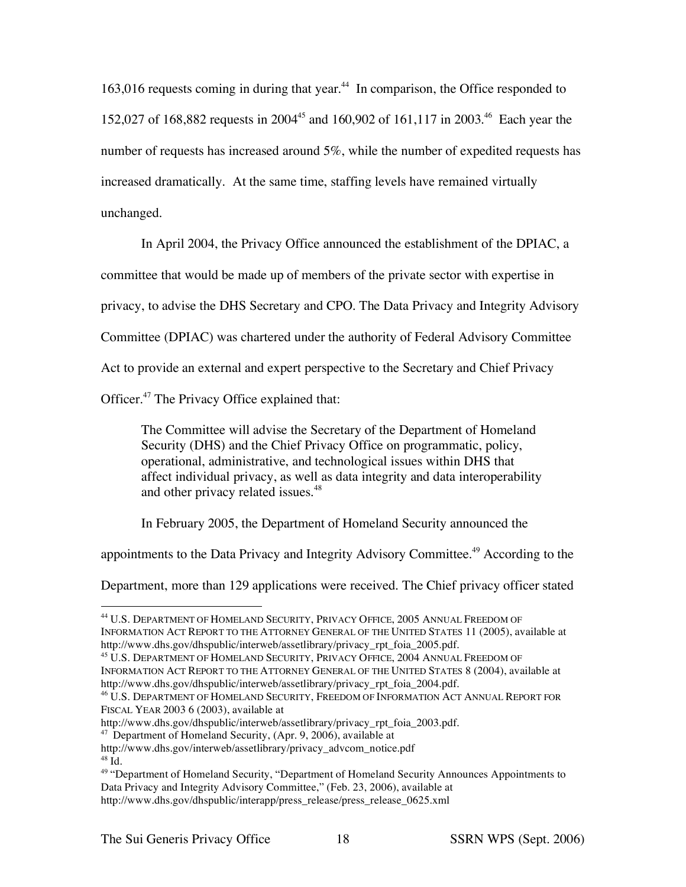163,016 requests coming in during that year.<sup>44</sup> In comparison, the Office responded to 152,027 of 168,882 requests in 2004<sup>45</sup> and 160,902 of 161,117 in 2003.<sup>46</sup> Each year the number of requests has increased around 5%, while the number of expedited requests has increased dramatically. At the same time, staffing levels have remained virtually unchanged.

In April 2004, the Privacy Office announced the establishment of the DPIAC, a

committee that would be made up of members of the private sector with expertise in

privacy, to advise the DHS Secretary and CPO. The Data Privacy and Integrity Advisory

Committee (DPIAC) was chartered under the authority of Federal Advisory Committee

Act to provide an external and expert perspective to the Secretary and Chief Privacy

Officer. <sup>47</sup> The Privacy Office explained that:

The Committee will advise the Secretary of the Department of Homeland Security (DHS) and the Chief Privacy Office on programmatic, policy, operational, administrative, and technological issues within DHS that affect individual privacy, as well as data integrity and data interoperability and other privacy related issues.<sup>48</sup>

In February 2005, the Department of Homeland Security announced the

appointments to the Data Privacy and Integrity Advisory Committee.<sup>49</sup> According to the

Department, more than 129 applications were received. The Chief privacy officer stated

 <sup>44</sup> U.S. DEPARTMENT OF HOMELAND SECURITY, PRIVACY OFFICE, <sup>2005</sup> ANNUAL FREEDOM OF INFORMATION ACT REPORT TO THE ATTORNEY GENERAL OF THE UNITED STATES 11 (2005), available at http://www.dhs.gov/dhspublic/interweb/assetlibrary/privacy\_rpt\_foia\_2005.pdf.

<sup>45</sup> U.S. DEPARTMENT OF HOMELAND SECURITY, PRIVACY OFFICE, 2004 ANNUAL FREEDOM OF INFORMATION ACT REPORT TO THE ATTORNEY GENERAL OF THE UNITED STATES 8 (2004), available at http://www.dhs.gov/dhspublic/interweb/assetlibrary/privacy\_rpt\_foia\_2004.pdf.

<sup>46</sup> U.S. DEPARTMENT OF HOMELAND SECURITY, FREEDOM OF INFORMATION ACT ANNUAL REPORT FOR FISCAL YEAR 2003 6 (2003), available at

http://www.dhs.gov/dhspublic/interweb/assetlibrary/privacy\_rpt\_foia\_2003.pdf. <sup>47</sup> Department of Homeland Security, (Apr. 9, 2006), available at

http://www.dhs.gov/interweb/assetlibrary/privacy\_advcom\_notice.pdf

 $\overline{h}$ <sup>48</sup>

<sup>&</sup>lt;sup>49</sup> "Department of Homeland Security, "Department of Homeland Security Announces Appointments to Data Privacy and Integrity Advisory Committee," (Feb. 23, 2006), available at http://www.dhs.gov/dhspublic/interapp/press\_release/press\_release\_0625.xml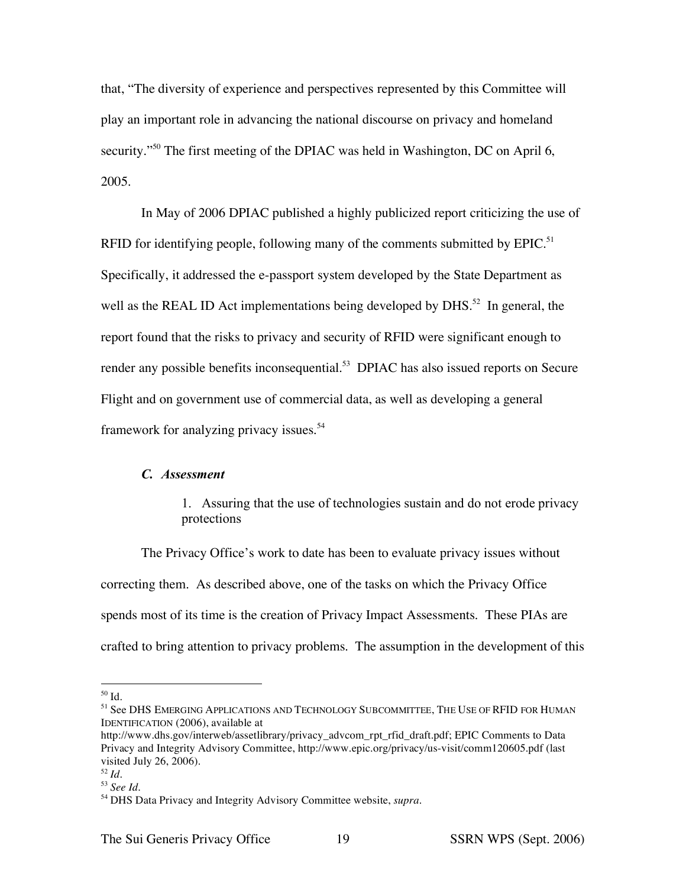that, "The diversity of experience and perspectives represented by this Committee will play an important role in advancing the national discourse on privacy and homeland security."<sup>50</sup> The first meeting of the DPIAC was held in Washington, DC on April 6, 2005.

In May of 2006 DPIAC published a highly publicized report criticizing the use of RFID for identifying people, following many of the comments submitted by  $EPIC$ .<sup>51</sup> Specifically, it addressed the e-passport system developed by the State Department as well as the REAL ID Act implementations being developed by DHS.<sup>52</sup> In general, the report found that the risks to privacy and security of RFID were significant enough to render any possible benefits inconsequential.<sup>53</sup> DPIAC has also issued reports on Secure Flight and on government use of commercial data, as well as developing a general framework for analyzing privacy issues.<sup>54</sup>

## *C. Assessment*

1. Assuring that the use of technologies sustain and do not erode privacy protections

The Privacy Office's work to date has been to evaluate privacy issues without correcting them. As described above, one of the tasks on which the Privacy Office spends most of its time is the creation of Privacy Impact Assessments. These PIAs are crafted to bring attention to privacy problems. The assumption in the development of this

 <sup>50</sup> Id.

<sup>51</sup> See DHS EMERGING APPLICATIONS AND TECHNOLOGY SUBCOMMITTEE, THE USE OF RFID FOR HUMAN IDENTIFICATION (2006), available at

http://www.dhs.gov/interweb/assetlibrary/privacy\_advcom\_rpt\_rfid\_draft.pdf; EPIC Comments to Data Privacy and Integrity Advisory Committee, http://www.epic.org/privacy/us-visit/comm120605.pdf (last visited July 26, 2006).

<sup>52</sup> *Id*.

<sup>53</sup> *See Id*.

<sup>54</sup> DHS Data Privacy and Integrity Advisory Committee website, *supra*.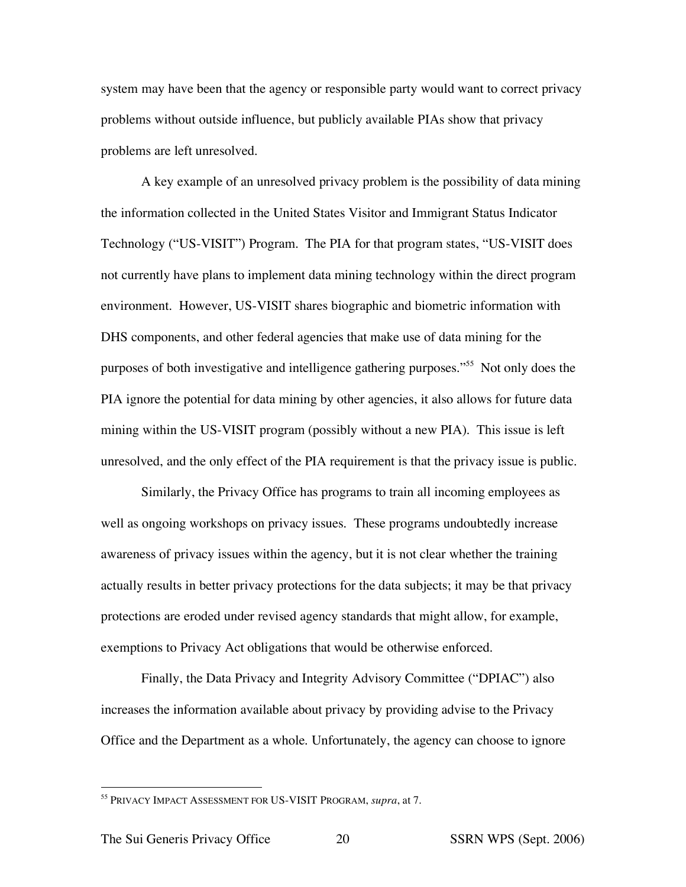system may have been that the agency or responsible party would want to correct privacy problems without outside influence, but publicly available PIAs show that privacy problems are left unresolved.

A key example of an unresolved privacy problem is the possibility of data mining the information collected in the United States Visitor and Immigrant Status Indicator Technology ("US-VISIT") Program. The PIA for that program states, "US-VISIT does not currently have plans to implement data mining technology within the direct program environment. However, US-VISIT shares biographic and biometric information with DHS components, and other federal agencies that make use of data mining for the purposes of both investigative and intelligence gathering purposes."55 Not only does the PIA ignore the potential for data mining by other agencies, it also allows for future data mining within the US-VISIT program (possibly without a new PIA). This issue is left unresolved, and the only effect of the PIA requirement is that the privacy issue is public.

Similarly, the Privacy Office has programs to train all incoming employees as well as ongoing workshops on privacy issues. These programs undoubtedly increase awareness of privacy issues within the agency, but it is not clear whether the training actually results in better privacy protections for the data subjects; it may be that privacy protections are eroded under revised agency standards that might allow, for example, exemptions to Privacy Act obligations that would be otherwise enforced.

Finally, the Data Privacy and Integrity Advisory Committee ("DPIAC") also increases the information available about privacy by providing advise to the Privacy Office and the Department as a whole. Unfortunately, the agency can choose to ignore

 <sup>55</sup> PRIVACY IMPACT ASSESSMENT FOR US-VISIT PROGRAM, *supra*, at 7.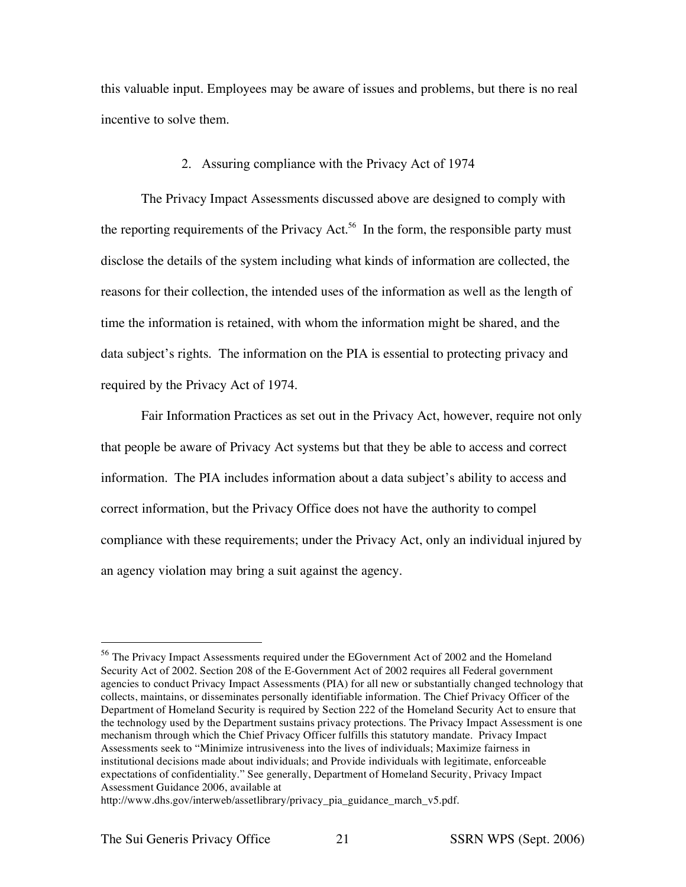this valuable input. Employees may be aware of issues and problems, but there is no real incentive to solve them.

#### 2. Assuring compliance with the Privacy Act of 1974

The Privacy Impact Assessments discussed above are designed to comply with the reporting requirements of the Privacy Act.<sup>56</sup> In the form, the responsible party must disclose the details of the system including what kinds of information are collected, the reasons for their collection, the intended uses of the information as well as the length of time the information is retained, with whom the information might be shared, and the data subject's rights. The information on the PIA is essential to protecting privacy and required by the Privacy Act of 1974.

Fair Information Practices as set out in the Privacy Act, however, require not only that people be aware of Privacy Act systems but that they be able to access and correct information. The PIA includes information about a data subject's ability to access and correct information, but the Privacy Office does not have the authority to compel compliance with these requirements; under the Privacy Act, only an individual injured by an agency violation may bring a suit against the agency.

 <sup>56</sup> The Privacy Impact Assessments required under the EGovernment Act of <sup>2002</sup> and the Homeland Security Act of 2002. Section 208 of the E-Government Act of 2002 requires all Federal government agencies to conduct Privacy Impact Assessments (PIA) for all new or substantially changed technology that collects, maintains, or disseminates personally identifiable information. The Chief Privacy Officer of the Department of Homeland Security is required by Section 222 of the Homeland Security Act to ensure that the technology used by the Department sustains privacy protections. The Privacy Impact Assessment is one mechanism through which the Chief Privacy Officer fulfills this statutory mandate. Privacy Impact Assessments seek to "Minimize intrusiveness into the lives of individuals; Maximize fairness in institutional decisions made about individuals; and Provide individuals with legitimate, enforceable expectations of confidentiality." See generally, Department of Homeland Security, Privacy Impact Assessment Guidance 2006, available at

http://www.dhs.gov/interweb/assetlibrary/privacy\_pia\_guidance\_march\_v5.pdf.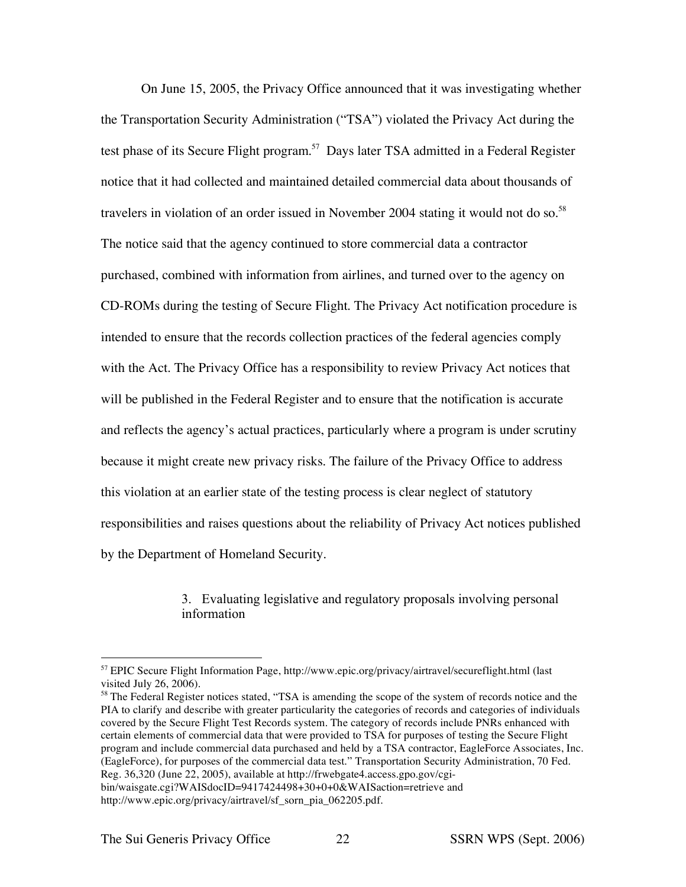On June 15, 2005, the Privacy Office announced that it was investigating whether the Transportation Security Administration ("TSA") violated the Privacy Act during the test phase of its Secure Flight program.<sup>57</sup> Days later TSA admitted in a Federal Register notice that it had collected and maintained detailed commercial data about thousands of travelers in violation of an order issued in November 2004 stating it would not do so.<sup>58</sup> The notice said that the agency continued to store commercial data a contractor purchased, combined with information from airlines, and turned over to the agency on CD-ROMs during the testing of Secure Flight. The Privacy Act notification procedure is intended to ensure that the records collection practices of the federal agencies comply with the Act. The Privacy Office has a responsibility to review Privacy Act notices that will be published in the Federal Register and to ensure that the notification is accurate and reflects the agency's actual practices, particularly where a program is under scrutiny because it might create new privacy risks. The failure of the Privacy Office to address this violation at an earlier state of the testing process is clear neglect of statutory responsibilities and raises questions about the reliability of Privacy Act notices published by the Department of Homeland Security.

> 3. Evaluating legislative and regulatory proposals involving personal information

<sup>58</sup> The Federal Register notices stated, "TSA is amending the scope of the system of records notice and the PIA to clarify and describe with greater particularity the categories of records and categories of individuals covered by the Secure Flight Test Records system. The category of records include PNRs enhanced with certain elements of commercial data that were provided to TSA for purposes of testing the Secure Flight program and include commercial data purchased and held by a TSA contractor, EagleForce Associates, Inc. (EagleForce), for purposes of the commercial data test." Transportation Security Administration, 70 Fed. Reg. 36,320 (June 22, 2005), available at http://frwebgate4.access.gpo.gov/cgi-

bin/waisgate.cgi?WAISdocID=9417424498+30+0+0&WAISaction=retrieve and http://www.epic.org/privacy/airtravel/sf\_sorn\_pia\_062205.pdf.

 $57$  EPIC Secure Flight Information Page, http://www.epic.org/privacy/airtravel/secureflight.html (last visited July 26, 2006).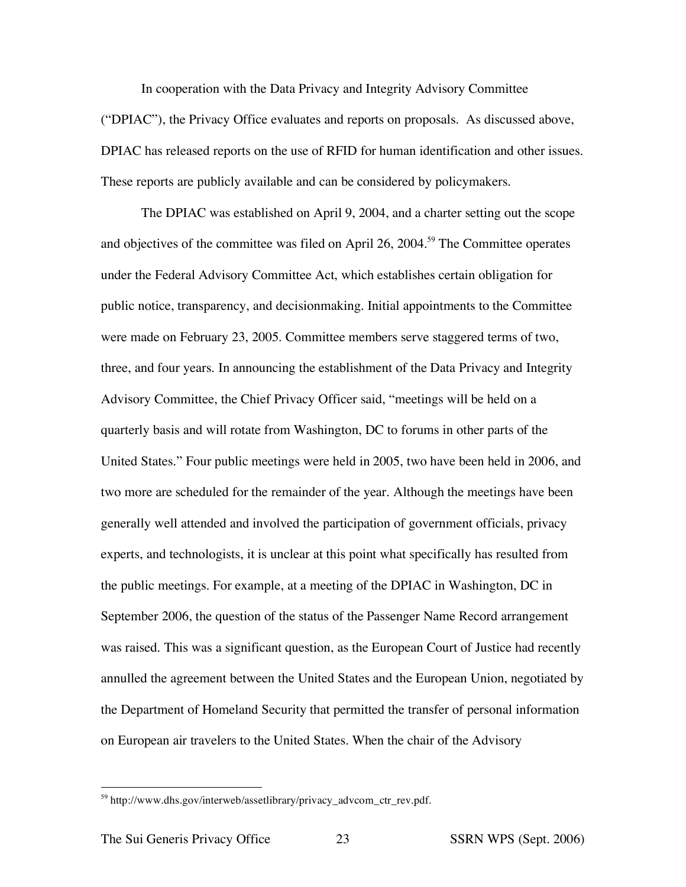In cooperation with the Data Privacy and Integrity Advisory Committee ("DPIAC"), the Privacy Office evaluates and reports on proposals. As discussed above, DPIAC has released reports on the use of RFID for human identification and other issues. These reports are publicly available and can be considered by policymakers.

The DPIAC was established on April 9, 2004, and a charter setting out the scope and objectives of the committee was filed on April 26, 2004.<sup>59</sup> The Committee operates under the Federal Advisory Committee Act, which establishes certain obligation for public notice, transparency, and decisionmaking. Initial appointments to the Committee were made on February 23, 2005. Committee members serve staggered terms of two, three, and four years. In announcing the establishment of the Data Privacy and Integrity Advisory Committee, the Chief Privacy Officer said, "meetings will be held on a quarterly basis and will rotate from Washington, DC to forums in other parts of the United States." Four public meetings were held in 2005, two have been held in 2006, and two more are scheduled for the remainder of the year. Although the meetings have been generally well attended and involved the participation of government officials, privacy experts, and technologists, it is unclear at this point what specifically has resulted from the public meetings. For example, at a meeting of the DPIAC in Washington, DC in September 2006, the question of the status of the Passenger Name Record arrangement was raised. This was a significant question, as the European Court of Justice had recently annulled the agreement between the United States and the European Union, negotiated by the Department of Homeland Security that permitted the transfer of personal information on European air travelers to the United States. When the chair of the Advisory

 <sup>59</sup> http://www.dhs.gov/interweb/assetlibrary/privacy\_advcom\_ctr\_rev.pdf.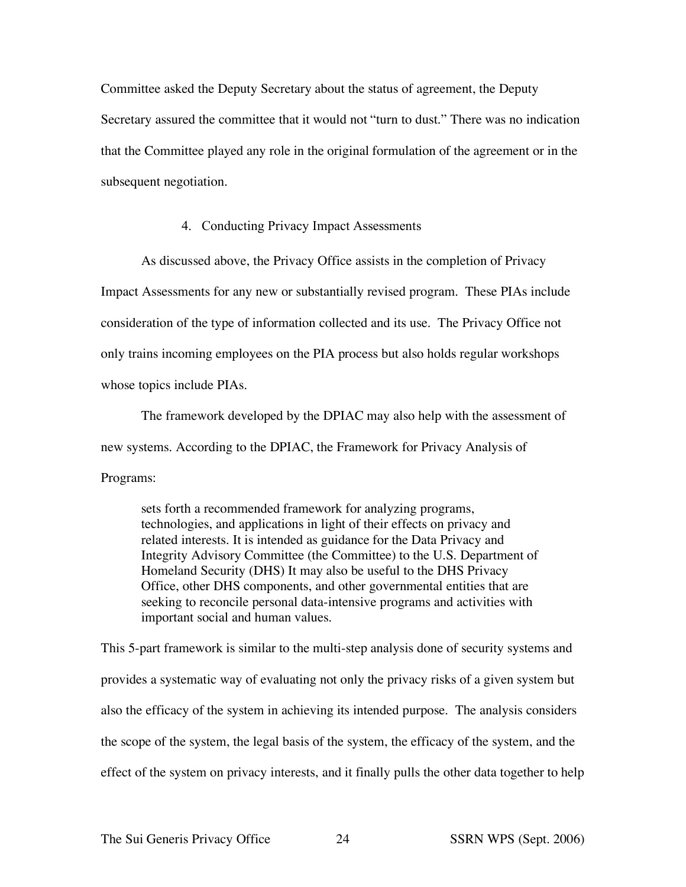Committee asked the Deputy Secretary about the status of agreement, the Deputy Secretary assured the committee that it would not "turn to dust." There was no indication that the Committee played any role in the original formulation of the agreement or in the subsequent negotiation.

## 4. Conducting Privacy Impact Assessments

As discussed above, the Privacy Office assists in the completion of Privacy

Impact Assessments for any new or substantially revised program. These PIAs include consideration of the type of information collected and its use. The Privacy Office not only trains incoming employees on the PIA process but also holds regular workshops whose topics include PIAs.

The framework developed by the DPIAC may also help with the assessment of new systems. According to the DPIAC, the Framework for Privacy Analysis of Programs:

sets forth a recommended framework for analyzing programs, technologies, and applications in light of their effects on privacy and related interests. It is intended as guidance for the Data Privacy and Integrity Advisory Committee (the Committee) to the U.S. Department of Homeland Security (DHS) It may also be useful to the DHS Privacy Office, other DHS components, and other governmental entities that are seeking to reconcile personal data-intensive programs and activities with important social and human values.

This 5-part framework is similar to the multi-step analysis done of security systems and provides a systematic way of evaluating not only the privacy risks of a given system but also the efficacy of the system in achieving its intended purpose. The analysis considers the scope of the system, the legal basis of the system, the efficacy of the system, and the effect of the system on privacy interests, and it finally pulls the other data together to help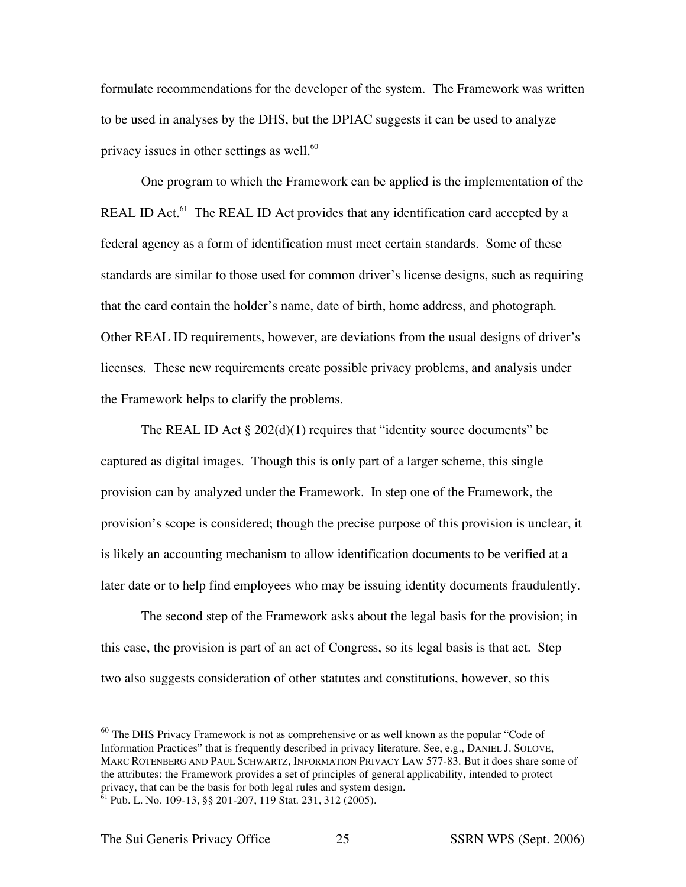formulate recommendations for the developer of the system. The Framework was written to be used in analyses by the DHS, but the DPIAC suggests it can be used to analyze privacy issues in other settings as well.<sup>60</sup>

One program to which the Framework can be applied is the implementation of the REAL ID Act.<sup>61</sup> The REAL ID Act provides that any identification card accepted by a federal agency as a form of identification must meet certain standards. Some of these standards are similar to those used for common driver's license designs, such as requiring that the card contain the holder's name, date of birth, home address, and photograph. Other REAL ID requirements, however, are deviations from the usual designs of driver's licenses. These new requirements create possible privacy problems, and analysis under the Framework helps to clarify the problems.

The REAL ID Act  $\S 202(d)(1)$  requires that "identity source documents" be captured as digital images. Though this is only part of a larger scheme, this single provision can by analyzed under the Framework. In step one of the Framework, the provision's scope is considered; though the precise purpose of this provision is unclear, it is likely an accounting mechanism to allow identification documents to be verified at a later date or to help find employees who may be issuing identity documents fraudulently.

The second step of the Framework asks about the legal basis for the provision; in this case, the provision is part of an act of Congress, so its legal basis is that act. Step two also suggests consideration of other statutes and constitutions, however, so this

 $60$  The DHS Privacy Framework is not as comprehensive or as well known as the popular "Code of Information Practices" that is frequently described in privacy literature. See, e.g., DANIEL J. SOLOVE, MARC ROTENBERG AND PAUL SCHWARTZ, INFORMATION PRIVACY LAW 577-83. But it does share some of the attributes: the Framework provides a set of principles of general applicability, intended to protect privacy, that can be the basis for both legal rules and system design.  $61$  Pub. L. No. 109-13, §§ 201-207, 119 Stat. 231, 312 (2005).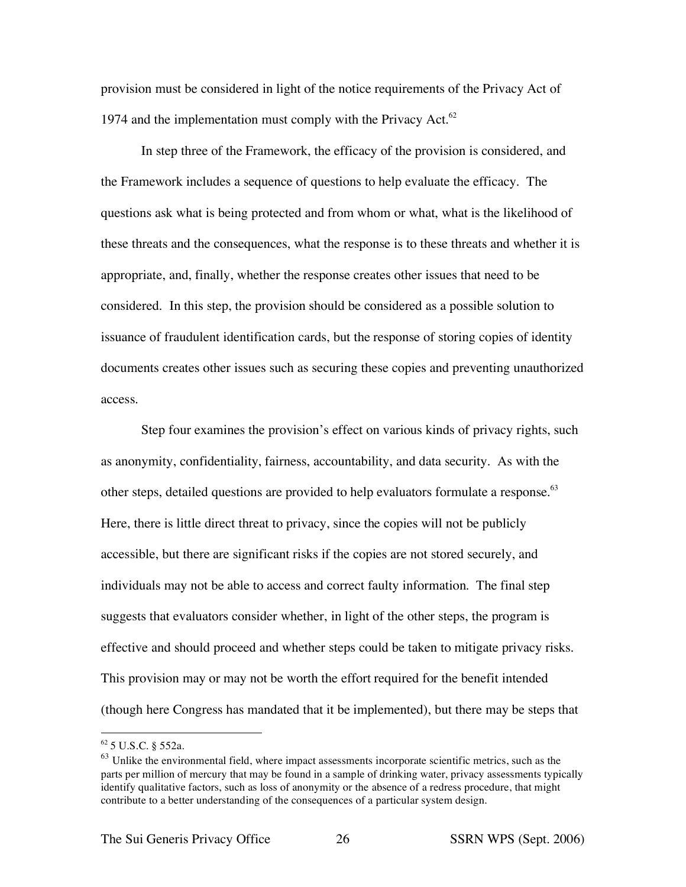provision must be considered in light of the notice requirements of the Privacy Act of 1974 and the implementation must comply with the Privacy Act. $62$ 

In step three of the Framework, the efficacy of the provision is considered, and the Framework includes a sequence of questions to help evaluate the efficacy. The questions ask what is being protected and from whom or what, what is the likelihood of these threats and the consequences, what the response is to these threats and whether it is appropriate, and, finally, whether the response creates other issues that need to be considered. In this step, the provision should be considered as a possible solution to issuance of fraudulent identification cards, but the response of storing copies of identity documents creates other issues such as securing these copies and preventing unauthorized access.

Step four examines the provision's effect on various kinds of privacy rights, such as anonymity, confidentiality, fairness, accountability, and data security. As with the other steps, detailed questions are provided to help evaluators formulate a response.<sup>63</sup> Here, there is little direct threat to privacy, since the copies will not be publicly accessible, but there are significant risks if the copies are not stored securely, and individuals may not be able to access and correct faulty information. The final step suggests that evaluators consider whether, in light of the other steps, the program is effective and should proceed and whether steps could be taken to mitigate privacy risks. This provision may or may not be worth the effort required for the benefit intended (though here Congress has mandated that it be implemented), but there may be steps that

 <sup>62</sup> <sup>5</sup> U.S.C. § 552a.

 $63$  Unlike the environmental field, where impact assessments incorporate scientific metrics, such as the parts per million of mercury that may be found in a sample of drinking water, privacy assessments typically identify qualitative factors, such as loss of anonymity or the absence of a redress procedure, that might contribute to a better understanding of the consequences of a particular system design.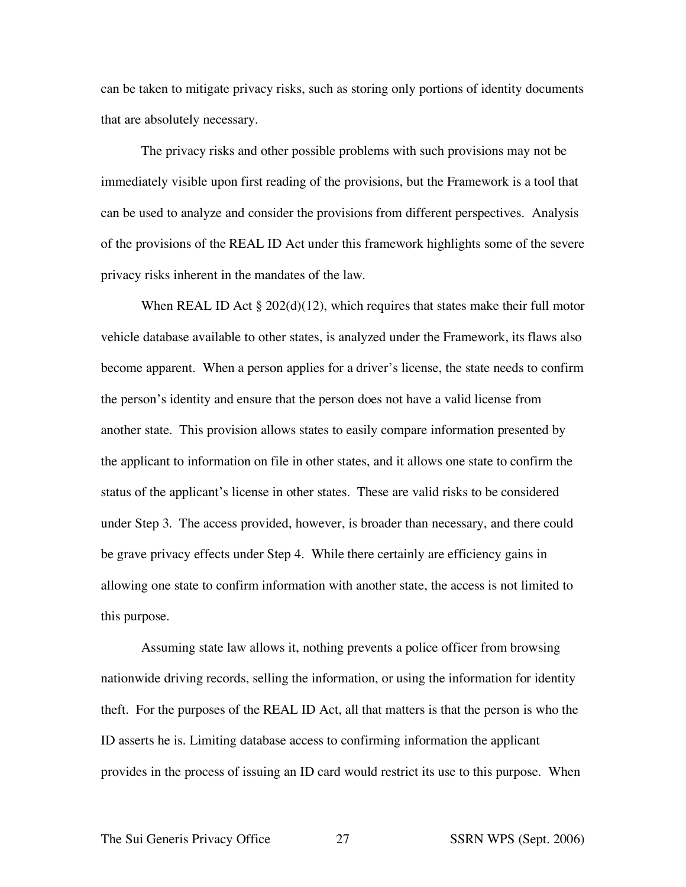can be taken to mitigate privacy risks, such as storing only portions of identity documents that are absolutely necessary.

The privacy risks and other possible problems with such provisions may not be immediately visible upon first reading of the provisions, but the Framework is a tool that can be used to analyze and consider the provisions from different perspectives. Analysis of the provisions of the REAL ID Act under this framework highlights some of the severe privacy risks inherent in the mandates of the law.

When REAL ID Act  $\S 202(d)(12)$ , which requires that states make their full motor vehicle database available to other states, is analyzed under the Framework, its flaws also become apparent. When a person applies for a driver's license, the state needs to confirm the person's identity and ensure that the person does not have a valid license from another state. This provision allows states to easily compare information presented by the applicant to information on file in other states, and it allows one state to confirm the status of the applicant's license in other states. These are valid risks to be considered under Step 3. The access provided, however, is broader than necessary, and there could be grave privacy effects under Step 4. While there certainly are efficiency gains in allowing one state to confirm information with another state, the access is not limited to this purpose.

Assuming state law allows it, nothing prevents a police officer from browsing nationwide driving records, selling the information, or using the information for identity theft. For the purposes of the REAL ID Act, all that matters is that the person is who the ID asserts he is. Limiting database access to confirming information the applicant provides in the process of issuing an ID card would restrict its use to this purpose. When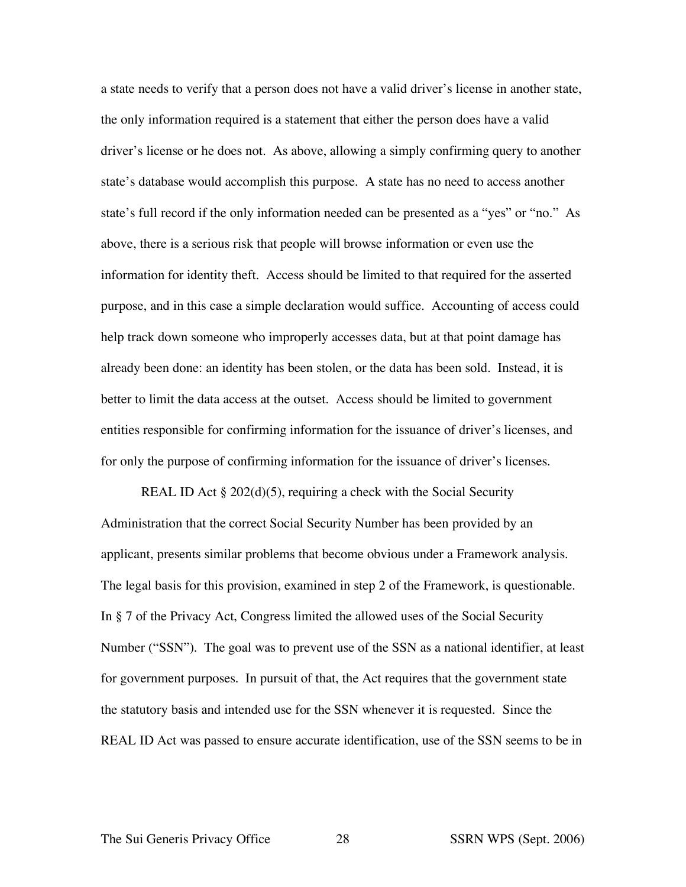a state needs to verify that a person does not have a valid driver's license in another state, the only information required is a statement that either the person does have a valid driver's license or he does not. As above, allowing a simply confirming query to another state's database would accomplish this purpose. A state has no need to access another state's full record if the only information needed can be presented as a "yes" or "no." As above, there is a serious risk that people will browse information or even use the information for identity theft. Access should be limited to that required for the asserted purpose, and in this case a simple declaration would suffice. Accounting of access could help track down someone who improperly accesses data, but at that point damage has already been done: an identity has been stolen, or the data has been sold. Instead, it is better to limit the data access at the outset. Access should be limited to government entities responsible for confirming information for the issuance of driver's licenses, and for only the purpose of confirming information for the issuance of driver's licenses.

REAL ID Act § 202(d)(5), requiring a check with the Social Security Administration that the correct Social Security Number has been provided by an applicant, presents similar problems that become obvious under a Framework analysis. The legal basis for this provision, examined in step 2 of the Framework, is questionable. In § 7 of the Privacy Act, Congress limited the allowed uses of the Social Security Number ("SSN"). The goal was to prevent use of the SSN as a national identifier, at least for government purposes. In pursuit of that, the Act requires that the government state the statutory basis and intended use for the SSN whenever it is requested. Since the REAL ID Act was passed to ensure accurate identification, use of the SSN seems to be in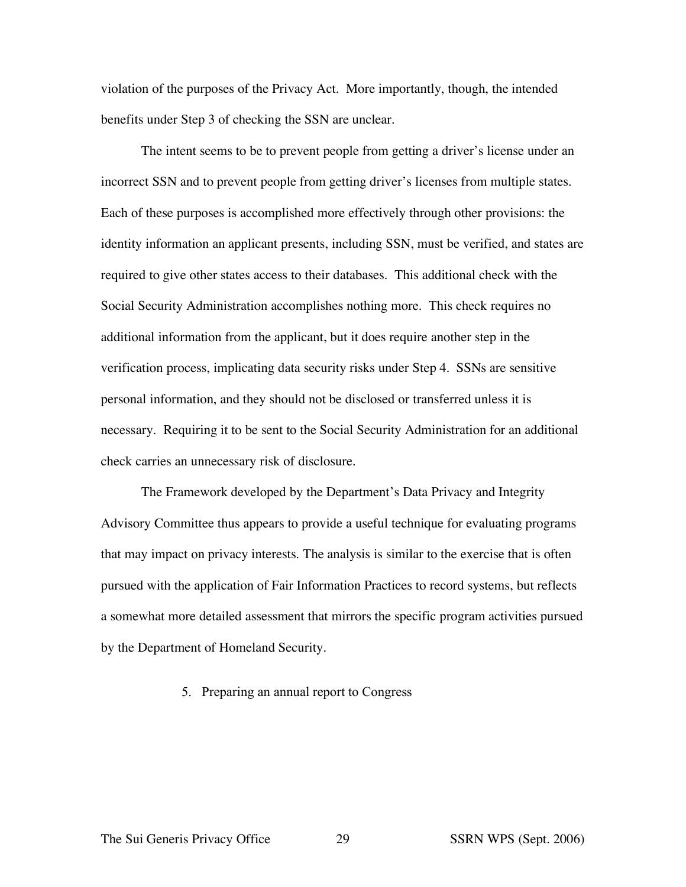violation of the purposes of the Privacy Act. More importantly, though, the intended benefits under Step 3 of checking the SSN are unclear.

The intent seems to be to prevent people from getting a driver's license under an incorrect SSN and to prevent people from getting driver's licenses from multiple states. Each of these purposes is accomplished more effectively through other provisions: the identity information an applicant presents, including SSN, must be verified, and states are required to give other states access to their databases. This additional check with the Social Security Administration accomplishes nothing more. This check requires no additional information from the applicant, but it does require another step in the verification process, implicating data security risks under Step 4. SSNs are sensitive personal information, and they should not be disclosed or transferred unless it is necessary. Requiring it to be sent to the Social Security Administration for an additional check carries an unnecessary risk of disclosure.

The Framework developed by the Department's Data Privacy and Integrity Advisory Committee thus appears to provide a useful technique for evaluating programs that may impact on privacy interests. The analysis is similar to the exercise that is often pursued with the application of Fair Information Practices to record systems, but reflects a somewhat more detailed assessment that mirrors the specific program activities pursued by the Department of Homeland Security.

# 5. Preparing an annual report to Congress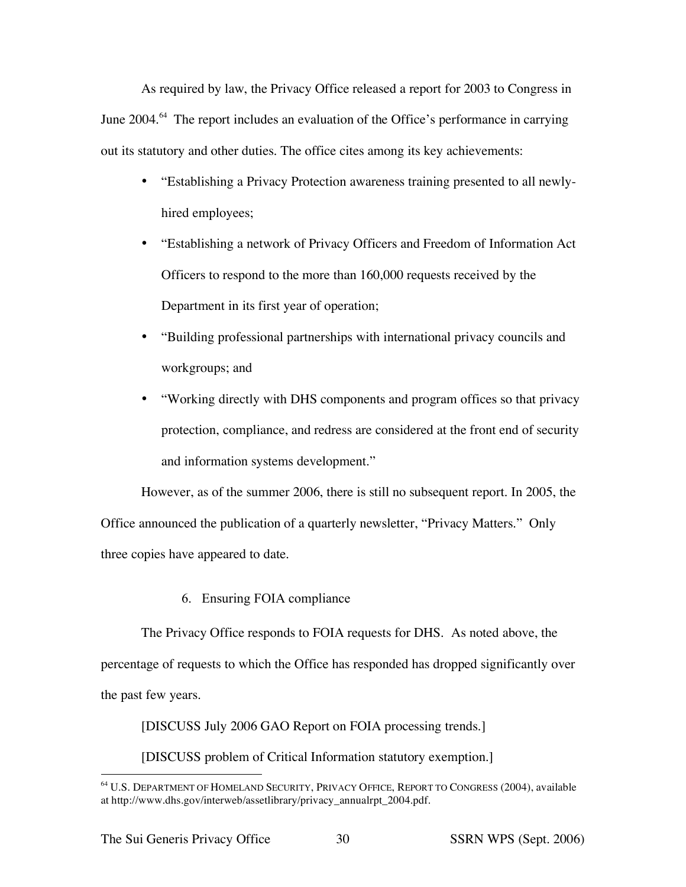As required by law, the Privacy Office released a report for 2003 to Congress in June 2004.<sup>64</sup> The report includes an evaluation of the Office's performance in carrying out its statutory and other duties. The office cites among its key achievements:

- "Establishing a Privacy Protection awareness training presented to all newlyhired employees;
- "Establishing a network of Privacy Officers and Freedom of Information Act Officers to respond to the more than 160,000 requests received by the Department in its first year of operation;
- "Building professional partnerships with international privacy councils and workgroups; and
- "Working directly with DHS components and program offices so that privacy protection, compliance, and redress are considered at the front end of security and information systems development."

However, as of the summer 2006, there is still no subsequent report. In 2005, the Office announced the publication of a quarterly newsletter, "Privacy Matters." Only three copies have appeared to date.

6. Ensuring FOIA compliance

The Privacy Office responds to FOIA requests for DHS. As noted above, the percentage of requests to which the Office has responded has dropped significantly over the past few years.

[DISCUSS July 2006 GAO Report on FOIA processing trends.]

[DISCUSS problem of Critical Information statutory exemption.]

 <sup>64</sup> U.S. DEPARTMENT OF HOMELAND SECURITY, PRIVACY OFFICE, REPORT TO CONGRESS (2004), available at http://www.dhs.gov/interweb/assetlibrary/privacy\_annualrpt\_2004.pdf.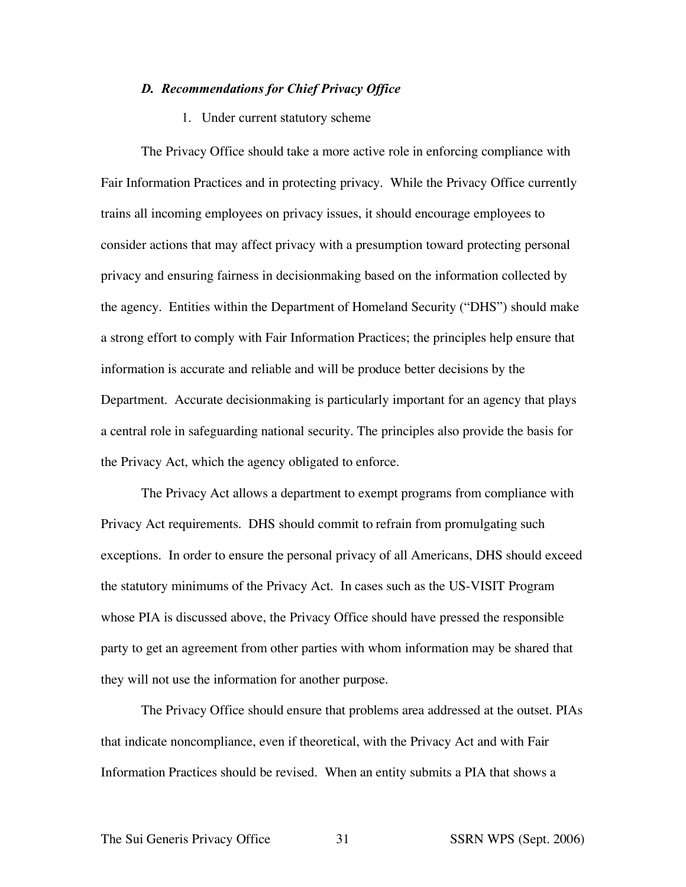#### *D. Recommendations for Chief Privacy Office*

1. Under current statutory scheme

The Privacy Office should take a more active role in enforcing compliance with Fair Information Practices and in protecting privacy. While the Privacy Office currently trains all incoming employees on privacy issues, it should encourage employees to consider actions that may affect privacy with a presumption toward protecting personal privacy and ensuring fairness in decisionmaking based on the information collected by the agency. Entities within the Department of Homeland Security ("DHS") should make a strong effort to comply with Fair Information Practices; the principles help ensure that information is accurate and reliable and will be produce better decisions by the Department. Accurate decisionmaking is particularly important for an agency that plays a central role in safeguarding national security. The principles also provide the basis for the Privacy Act, which the agency obligated to enforce.

The Privacy Act allows a department to exempt programs from compliance with Privacy Act requirements. DHS should commit to refrain from promulgating such exceptions. In order to ensure the personal privacy of all Americans, DHS should exceed the statutory minimums of the Privacy Act. In cases such as the US-VISIT Program whose PIA is discussed above, the Privacy Office should have pressed the responsible party to get an agreement from other parties with whom information may be shared that they will not use the information for another purpose.

The Privacy Office should ensure that problems area addressed at the outset. PIAs that indicate noncompliance, even if theoretical, with the Privacy Act and with Fair Information Practices should be revised. When an entity submits a PIA that shows a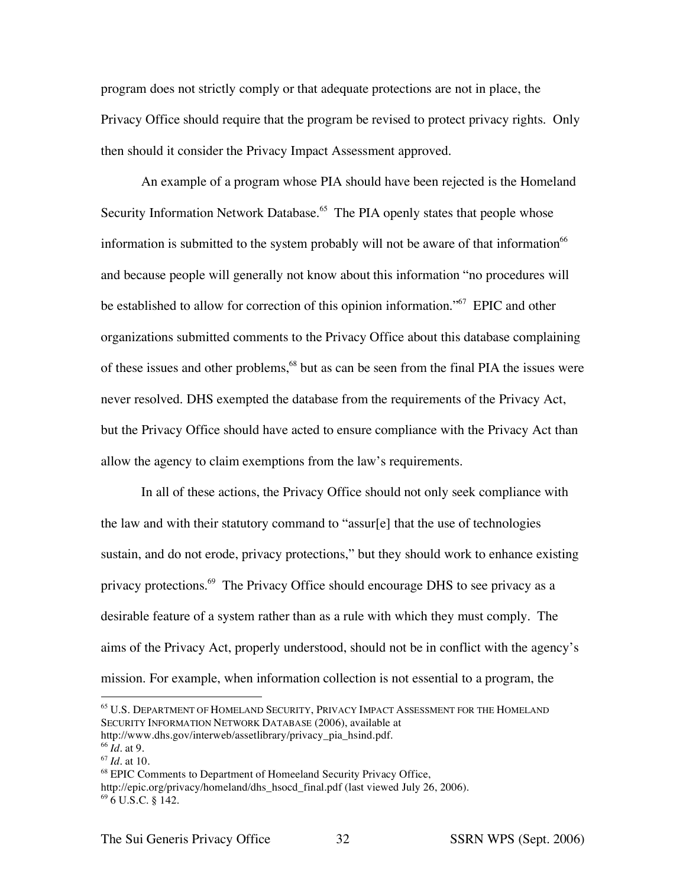program does not strictly comply or that adequate protections are not in place, the Privacy Office should require that the program be revised to protect privacy rights. Only then should it consider the Privacy Impact Assessment approved.

An example of a program whose PIA should have been rejected is the Homeland Security Information Network Database.<sup>65</sup> The PIA openly states that people whose information is submitted to the system probably will not be aware of that information<sup>66</sup> and because people will generally not know about this information "no procedures will be established to allow for correction of this opinion information."<sup>67</sup> EPIC and other organizations submitted comments to the Privacy Office about this database complaining of these issues and other problems,<sup>68</sup> but as can be seen from the final PIA the issues were never resolved. DHS exempted the database from the requirements of the Privacy Act, but the Privacy Office should have acted to ensure compliance with the Privacy Act than allow the agency to claim exemptions from the law's requirements.

In all of these actions, the Privacy Office should not only seek compliance with the law and with their statutory command to "assur[e] that the use of technologies sustain, and do not erode, privacy protections," but they should work to enhance existing privacy protections.<sup>69</sup> The Privacy Office should encourage DHS to see privacy as a desirable feature of a system rather than as a rule with which they must comply. The aims of the Privacy Act, properly understood, should not be in conflict with the agency's mission. For example, when information collection is not essential to a program, the

 <sup>65</sup> U.S. DEPARTMENT OF HOMELAND SECURITY, PRIVACY IMPACT ASSESSMENT FOR THE HOMELAND SECURITY INFORMATION NETWORK DATABASE (2006), available at http://www.dhs.gov/interweb/assetlibrary/privacy\_pia\_hsind.pdf.

<sup>66</sup> *Id*. at 9.

<sup>67</sup> *Id*. at 10.

<sup>68</sup> EPIC Comments to Department of Homeeland Security Privacy Office, http://epic.org/privacy/homeland/dhs\_hsocd\_final.pdf (last viewed July 26, 2006).  $69\overline{6}$  U.S.C. § 142.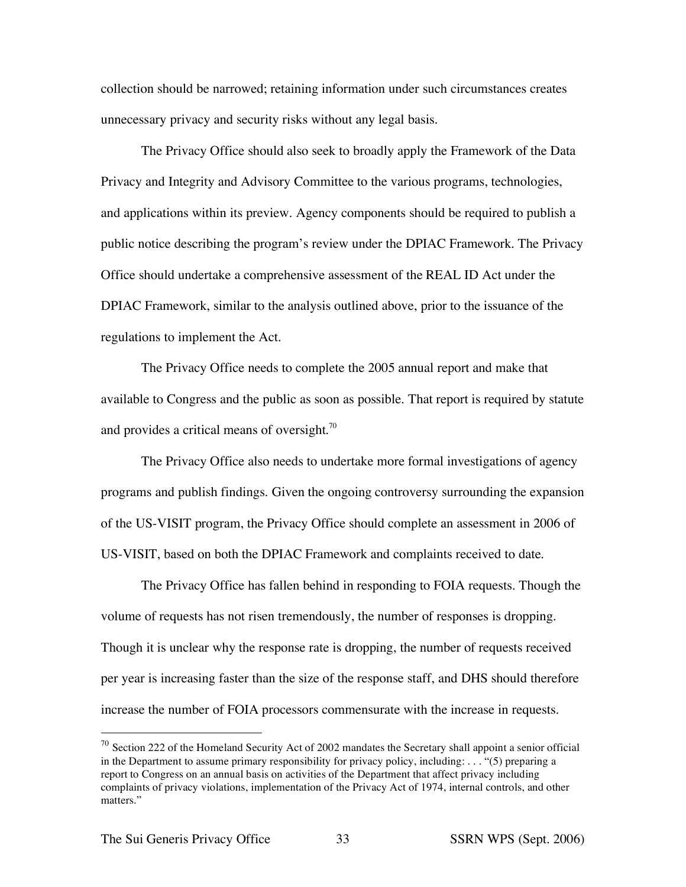collection should be narrowed; retaining information under such circumstances creates unnecessary privacy and security risks without any legal basis.

The Privacy Office should also seek to broadly apply the Framework of the Data Privacy and Integrity and Advisory Committee to the various programs, technologies, and applications within its preview. Agency components should be required to publish a public notice describing the program's review under the DPIAC Framework. The Privacy Office should undertake a comprehensive assessment of the REAL ID Act under the DPIAC Framework, similar to the analysis outlined above, prior to the issuance of the regulations to implement the Act.

The Privacy Office needs to complete the 2005 annual report and make that available to Congress and the public as soon as possible. That report is required by statute and provides a critical means of oversight. $\frac{70}{10}$ 

The Privacy Office also needs to undertake more formal investigations of agency programs and publish findings. Given the ongoing controversy surrounding the expansion of the US-VISIT program, the Privacy Office should complete an assessment in 2006 of US-VISIT, based on both the DPIAC Framework and complaints received to date.

The Privacy Office has fallen behind in responding to FOIA requests. Though the volume of requests has not risen tremendously, the number of responses is dropping. Though it is unclear why the response rate is dropping, the number of requests received per year is increasing faster than the size of the response staff, and DHS should therefore increase the number of FOIA processors commensurate with the increase in requests.

 $70$  Section 222 of the Homeland Security Act of 2002 mandates the Secretary shall appoint a senior official in the Department to assume primary responsibility for privacy policy, including: . . . "(5) preparing a report to Congress on an annual basis on activities of the Department that affect privacy including complaints of privacy violations, implementation of the Privacy Act of 1974, internal controls, and other matters."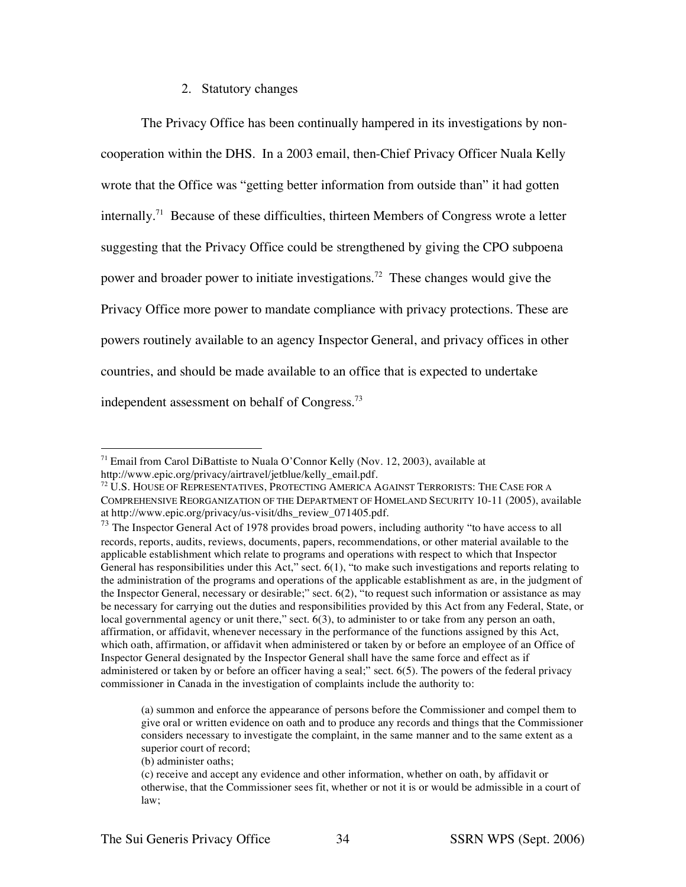## 2. Statutory changes

The Privacy Office has been continually hampered in its investigations by noncooperation within the DHS. In a 2003 email, then-Chief Privacy Officer Nuala Kelly wrote that the Office was "getting better information from outside than" it had gotten internally.<sup>71</sup> Because of these difficulties, thirteen Members of Congress wrote a letter suggesting that the Privacy Office could be strengthened by giving the CPO subpoena power and broader power to initiate investigations.<sup>72</sup> These changes would give the Privacy Office more power to mandate compliance with privacy protections. These are powers routinely available to an agency Inspector General, and privacy offices in other countries, and should be made available to an office that is expected to undertake independent assessment on behalf of Congress.<sup>73</sup>

 $71$  Email from Carol DiBattiste to Nuala O'Connor Kelly (Nov. 12, 2003), available at http://www.epic.org/privacy/airtravel/jetblue/kelly\_email.pdf.

<sup>72</sup> U.S. HOUSE OF REPRESENTATIVES, PROTECTING AMERICA AGAINST TERRORISTS: THE CASE FOR A COMPREHENSIVE REORGANIZATION OF THE DEPARTMENT OF HOMELAND SECURITY 10-11 (2005), available at http://www.epic.org/privacy/us-visit/dhs\_review\_071405.pdf.

 $\frac{1}{73}$  The Inspector General Act of 1978 provides broad powers, including authority "to have access to all records, reports, audits, reviews, documents, papers, recommendations, or other material available to the applicable establishment which relate to programs and operations with respect to which that Inspector General has responsibilities under this Act," sect. 6(1), "to make such investigations and reports relating to the administration of the programs and operations of the applicable establishment as are, in the judgment of the Inspector General, necessary or desirable;" sect. 6(2), "to request such information or assistance as may be necessary for carrying out the duties and responsibilities provided by this Act from any Federal, State, or local governmental agency or unit there," sect. 6(3), to administer to or take from any person an oath, affirmation, or affidavit, whenever necessary in the performance of the functions assigned by this Act, which oath, affirmation, or affidavit when administered or taken by or before an employee of an Office of Inspector General designated by the Inspector General shall have the same force and effect as if administered or taken by or before an officer having a seal;" sect. 6(5). The powers of the federal privacy commissioner in Canada in the investigation of complaints include the authority to:

<sup>(</sup>a) summon and enforce the appearance of persons before the Commissioner and compel them to give oral or written evidence on oath and to produce any records and things that the Commissioner considers necessary to investigate the complaint, in the same manner and to the same extent as a superior court of record;

<sup>(</sup>b) administer oaths;

<sup>(</sup>c) receive and accept any evidence and other information, whether on oath, by affidavit or otherwise, that the Commissioner sees fit, whether or not it is or would be admissible in a court of law;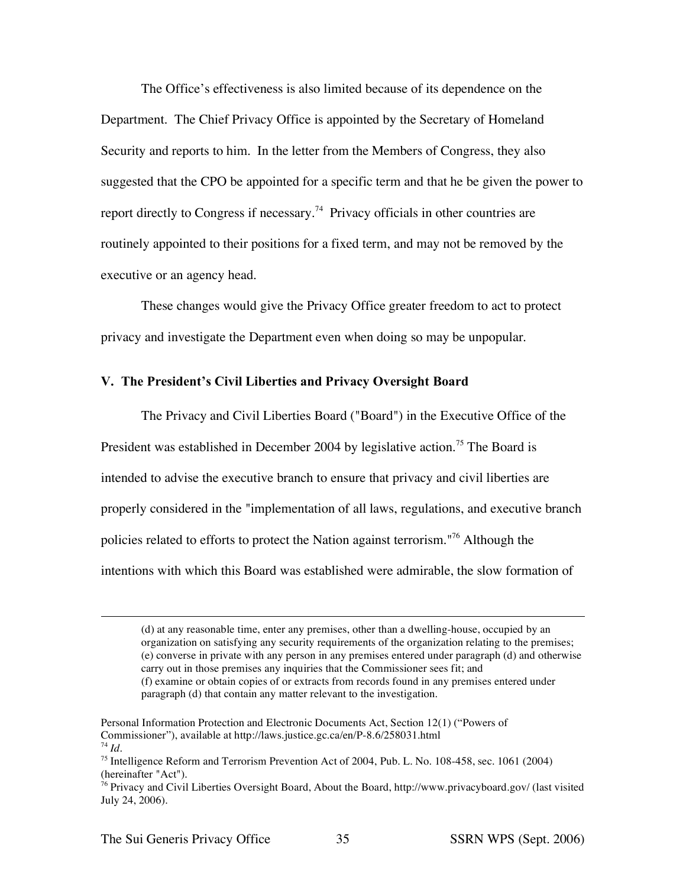The Office's effectiveness is also limited because of its dependence on the Department. The Chief Privacy Office is appointed by the Secretary of Homeland Security and reports to him. In the letter from the Members of Congress, they also suggested that the CPO be appointed for a specific term and that he be given the power to report directly to Congress if necessary.<sup>74</sup> Privacy officials in other countries are routinely appointed to their positions for a fixed term, and may not be removed by the executive or an agency head.

These changes would give the Privacy Office greater freedom to act to protect privacy and investigate the Department even when doing so may be unpopular.

## **V. The President's Civil Liberties and Privacy Oversight Board**

The Privacy and Civil Liberties Board ("Board") in the Executive Office of the President was established in December 2004 by legislative action.<sup>75</sup> The Board is intended to advise the executive branch to ensure that privacy and civil liberties are properly considered in the "implementation of all laws, regulations, and executive branch policies related to efforts to protect the Nation against terrorism."<sup>76</sup> Although the intentions with which this Board was established were admirable, the slow formation of

 $\overline{a}$ 

<sup>(</sup>d) at any reasonable time, enter any premises, other than a dwelling-house, occupied by an organization on satisfying any security requirements of the organization relating to the premises; (e) converse in private with any person in any premises entered under paragraph (d) and otherwise carry out in those premises any inquiries that the Commissioner sees fit; and (f) examine or obtain copies of or extracts from records found in any premises entered under paragraph (d) that contain any matter relevant to the investigation.

Personal Information Protection and Electronic Documents Act, Section 12(1) ("Powers of Commissioner"), available at http://laws.justice.gc.ca/en/P-8.6/258031.html <sup>74</sup> *Id*.

<sup>75</sup> Intelligence Reform and Terrorism Prevention Act of 2004, Pub. L. No. 108-458, sec. 1061 (2004) (hereinafter "Act").

<sup>76</sup> Privacy and Civil Liberties Oversight Board, About the Board, http://www.privacyboard.gov/ (last visited July 24, 2006).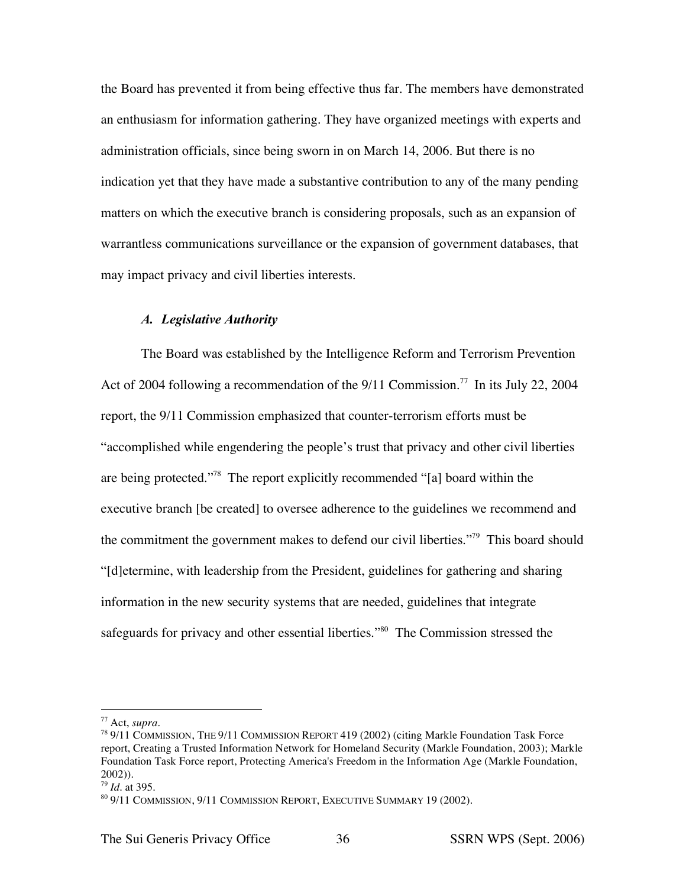the Board has prevented it from being effective thus far. The members have demonstrated an enthusiasm for information gathering. They have organized meetings with experts and administration officials, since being sworn in on March 14, 2006. But there is no indication yet that they have made a substantive contribution to any of the many pending matters on which the executive branch is considering proposals, such as an expansion of warrantless communications surveillance or the expansion of government databases, that may impact privacy and civil liberties interests.

#### *A. Legislative Authority*

The Board was established by the Intelligence Reform and Terrorism Prevention Act of 2004 following a recommendation of the  $9/11$  Commission.<sup>77</sup> In its July 22, 2004 report, the 9/11 Commission emphasized that counter-terrorism efforts must be "accomplished while engendering the people's trust that privacy and other civil liberties are being protected."78 The report explicitly recommended "[a] board within the executive branch [be created] to oversee adherence to the guidelines we recommend and the commitment the government makes to defend our civil liberties."<sup>79</sup> This board should "[d]etermine, with leadership from the President, guidelines for gathering and sharing information in the new security systems that are needed, guidelines that integrate safeguards for privacy and other essential liberties."<sup>80</sup> The Commission stressed the

 <sup>77</sup> Act, *supra.*

 $789/11$  COMMISSION, THE 9/11 COMMISSION REPORT 419 (2002) (citing Markle Foundation Task Force report, Creating a Trusted Information Network for Homeland Security (Markle Foundation, 2003); Markle Foundation Task Force report, Protecting America's Freedom in the Information Age (Markle Foundation, 2002)).

<sup>79</sup> *Id.* at 395.

<sup>80</sup> 9/11 COMMISSION, 9/11 COMMISSION REPORT, EXECUTIVE SUMMARY 19 (2002).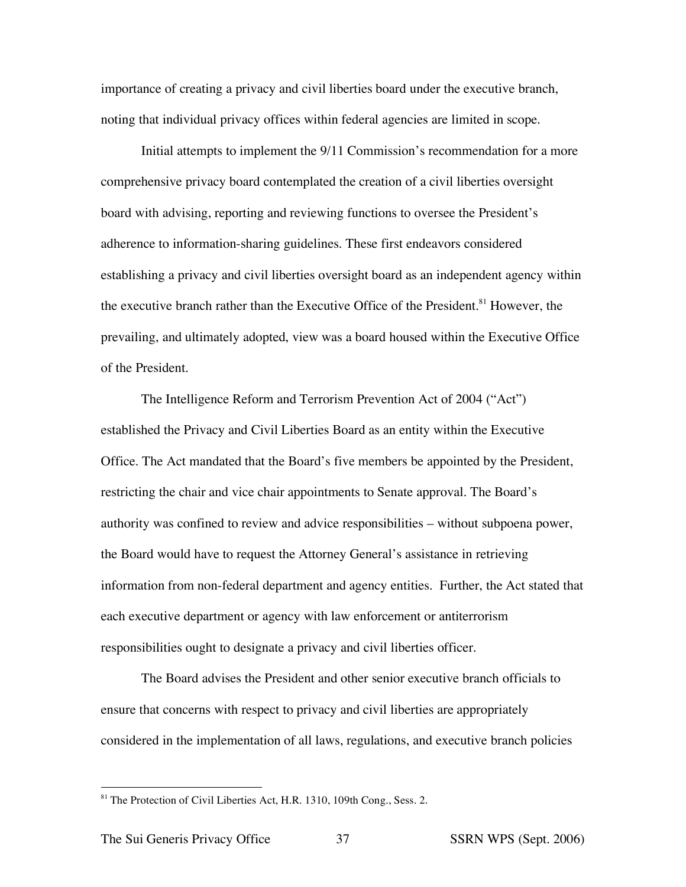importance of creating a privacy and civil liberties board under the executive branch, noting that individual privacy offices within federal agencies are limited in scope.

Initial attempts to implement the 9/11 Commission's recommendation for a more comprehensive privacy board contemplated the creation of a civil liberties oversight board with advising, reporting and reviewing functions to oversee the President's adherence to information-sharing guidelines. These first endeavors considered establishing a privacy and civil liberties oversight board as an independent agency within the executive branch rather than the Executive Office of the President. <sup>81</sup> However, the prevailing, and ultimately adopted, view was a board housed within the Executive Office of the President.

The Intelligence Reform and Terrorism Prevention Act of 2004 ("Act") established the Privacy and Civil Liberties Board as an entity within the Executive Office. The Act mandated that the Board's five members be appointed by the President, restricting the chair and vice chair appointments to Senate approval. The Board's authority was confined to review and advice responsibilities – without subpoena power, the Board would have to request the Attorney General's assistance in retrieving information from non-federal department and agency entities. Further, the Act stated that each executive department or agency with law enforcement or antiterrorism responsibilities ought to designate a privacy and civil liberties officer.

The Board advises the President and other senior executive branch officials to ensure that concerns with respect to privacy and civil liberties are appropriately considered in the implementation of all laws, regulations, and executive branch policies

<sup>&</sup>lt;sup>81</sup> The Protection of Civil Liberties Act, H.R. 1310, 109th Cong., Sess. 2.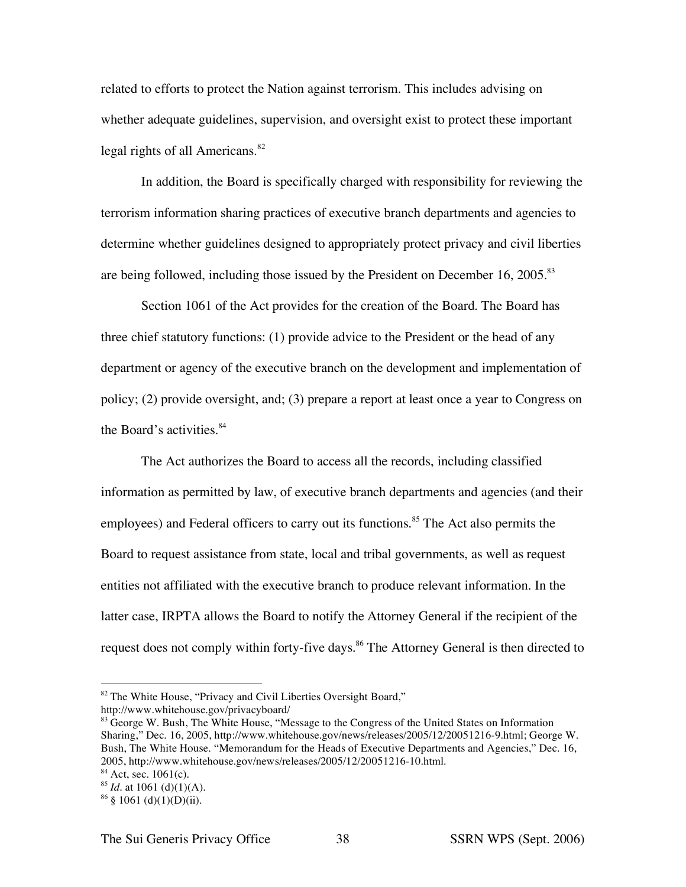related to efforts to protect the Nation against terrorism. This includes advising on whether adequate guidelines, supervision, and oversight exist to protect these important legal rights of all Americans. 82

In addition, the Board is specifically charged with responsibility for reviewing the terrorism information sharing practices of executive branch departments and agencies to determine whether guidelines designed to appropriately protect privacy and civil liberties are being followed, including those issued by the President on December 16, 2005.<sup>83</sup>

Section 1061 of the Act provides for the creation of the Board. The Board has three chief statutory functions: (1) provide advice to the President or the head of any department or agency of the executive branch on the development and implementation of policy; (2) provide oversight, and; (3) prepare a report at least once a year to Congress on the Board's activities. 84

The Act authorizes the Board to access all the records, including classified information as permitted by law, of executive branch departments and agencies (and their employees) and Federal officers to carry out its functions.<sup>85</sup> The Act also permits the Board to request assistance from state, local and tribal governments, as well as request entities not affiliated with the executive branch to produce relevant information. In the latter case, IRPTA allows the Board to notify the Attorney General if the recipient of the request does not comply within forty-five days.<sup>86</sup> The Attorney General is then directed to

<sup>&</sup>lt;sup>82</sup> The White House, "Privacy and Civil Liberties Oversight Board,"

http://www.whitehouse.gov/privacyboard/

<sup>&</sup>lt;sup>83</sup> George W. Bush, The White House, "Message to the Congress of the United States on Information Sharing," Dec. 16, 2005, http://www.whitehouse.gov/news/releases/2005/12/20051216-9.html; George W. Bush, The White House. "Memorandum for the Heads of Executive Departments and Agencies," Dec. 16, 2005, http://www.whitehouse.gov/news/releases/2005/12/20051216-10.html.

 $84$  Act, sec. 1061(c).

 $85$  *Id.* at 1061 (d)(1)(A).

 $86 \S$  1061 (d)(1)(D)(ii).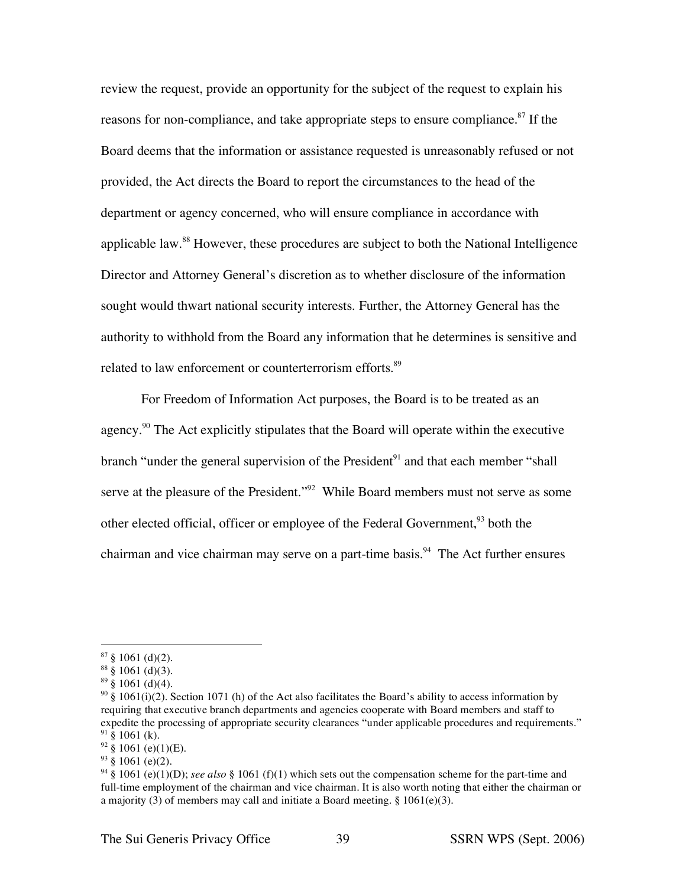review the request, provide an opportunity for the subject of the request to explain his reasons for non-compliance, and take appropriate steps to ensure compliance.<sup>87</sup> If the Board deems that the information or assistance requested is unreasonably refused or not provided, the Act directs the Board to report the circumstances to the head of the department or agency concerned, who will ensure compliance in accordance with applicable law.<sup>88</sup> However, these procedures are subject to both the National Intelligence Director and Attorney General's discretion as to whether disclosure of the information sought would thwart national security interests. Further, the Attorney General has the authority to withhold from the Board any information that he determines is sensitive and related to law enforcement or counterterrorism efforts.<sup>89</sup>

For Freedom of Information Act purposes, the Board is to be treated as an agency.<sup>90</sup> The Act explicitly stipulates that the Board will operate within the executive branch "under the general supervision of the President<sup>91</sup> and that each member "shall serve at the pleasure of the President."<sup>92</sup> While Board members must not serve as some other elected official, officer or employee of the Federal Government,<sup>93</sup> both the chairman and vice chairman may serve on a part-time basis.<sup>94</sup> The Act further ensures

 $92\frac{8}{9}1061$  (e)(1)(E).

 $87 \S 1061$  (d)(2).

 $88 \S 1061$  (d)(3).

 $89\frac{1}{9}$  (d)(4).

<sup>&</sup>lt;sup>90</sup> § 1061(i)(2). Section 1071 (h) of the Act also facilitates the Board's ability to access information by requiring that executive branch departments and agencies cooperate with Board members and staff to expedite the processing of appropriate security clearances "under applicable procedures and requirements."  $91\overline{\$}$  1061 (k).

 $93 \text{ }$ \$ 1061 (e)(2).

<sup>94</sup> § 1061 (e)(1)(D); *see also* § 1061 (f)(1) which sets out the compensation scheme for the part-time and full-time employment of the chairman and vice chairman. It is also worth noting that either the chairman or a majority (3) of members may call and initiate a Board meeting. § 1061(e)(3).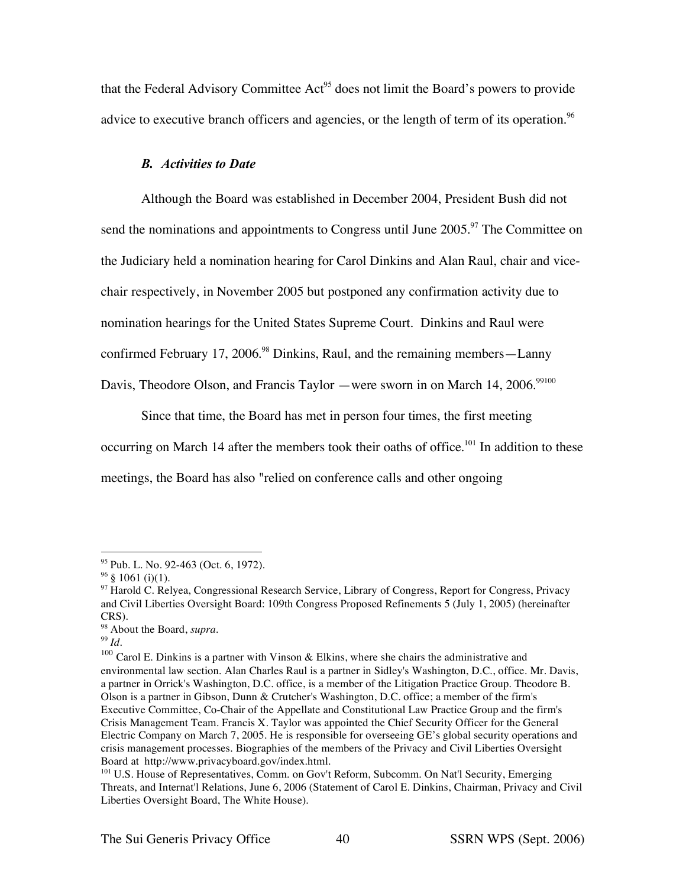that the Federal Advisory Committee Act<sup>95</sup> does not limit the Board's powers to provide advice to executive branch officers and agencies, or the length of term of its operation.<sup>96</sup>

### *B. Activities to Date*

Although the Board was established in December 2004, President Bush did not send the nominations and appointments to Congress until June  $2005$ <sup>97</sup>. The Committee on the Judiciary held a nomination hearing for Carol Dinkins and Alan Raul, chair and vicechair respectively, in November 2005 but postponed any confirmation activity due to nomination hearings for the United States Supreme Court. Dinkins and Raul were confirmed February 17, 2006.<sup>98</sup> Dinkins, Raul, and the remaining members—Lanny Davis, Theodore Olson, and Francis Taylor —were sworn in on March 14, 2006.<sup>99100</sup>

Since that time, the Board has met in person four times, the first meeting occurring on March 14 after the members took their oaths of office.<sup>101</sup> In addition to these meetings, the Board has also "relied on conference calls and other ongoing

 <sup>95</sup> Pub. L. No. 92-463 (Oct. 6, 1972).

 $96 \S 1061$  (i)(1).

<sup>&</sup>lt;sup>97</sup> Harold C. Relyea, Congressional Research Service, Library of Congress, Report for Congress, Privacy and Civil Liberties Oversight Board: 109th Congress Proposed Refinements 5 (July 1, 2005) (hereinafter CRS).

<sup>98</sup> About the Board, *supra*.

<sup>99</sup> *Id*.

 $100$  Carol E. Dinkins is a partner with Vinson & Elkins, where she chairs the administrative and environmental law section. Alan Charles Raul is a partner in Sidley's Washington, D.C., office. Mr. Davis, a partner in Orrick's Washington, D.C. office, is a member of the Litigation Practice Group. Theodore B. Olson is a partner in Gibson, Dunn & Crutcher's Washington, D.C. office; a member of the firm's Executive Committee, Co-Chair of the Appellate and Constitutional Law Practice Group and the firm's Crisis Management Team. Francis X. Taylor was appointed the Chief Security Officer for the General Electric Company on March 7, 2005. He is responsible for overseeing GE's global security operations and crisis management processes. Biographies of the members of the Privacy and Civil Liberties Oversight Board at http://www.privacyboard.gov/index.html.

<sup>&</sup>lt;sup>101</sup> U.S. House of Representatives, Comm. on Gov't Reform, Subcomm. On Nat'l Security, Emerging Threats, and Internat'l Relations, June 6, 2006 (Statement of Carol E. Dinkins, Chairman, Privacy and Civil Liberties Oversight Board, The White House).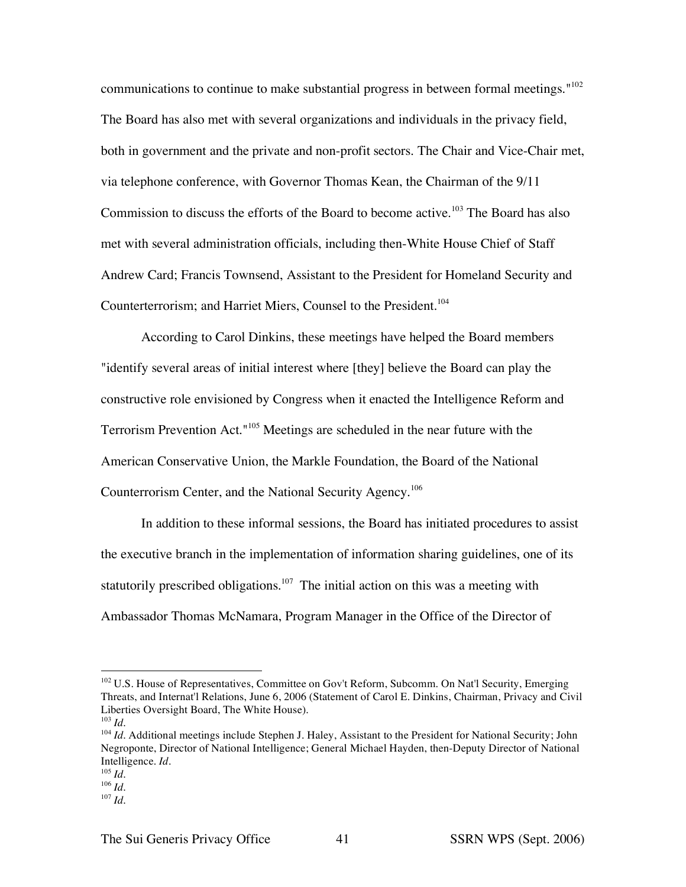communications to continue to make substantial progress in between formal meetings."<sup>102</sup> The Board has also met with several organizations and individuals in the privacy field, both in government and the private and non-profit sectors. The Chair and Vice-Chair met, via telephone conference, with Governor Thomas Kean, the Chairman of the 9/11 Commission to discuss the efforts of the Board to become active.<sup>103</sup> The Board has also met with several administration officials, including then-White House Chief of Staff Andrew Card; Francis Townsend, Assistant to the President for Homeland Security and Counterterrorism; and Harriet Miers, Counsel to the President. 104

According to Carol Dinkins, these meetings have helped the Board members "identify several areas of initial interest where [they] believe the Board can play the constructive role envisioned by Congress when it enacted the Intelligence Reform and Terrorism Prevention Act."<sup>105</sup> Meetings are scheduled in the near future with the American Conservative Union, the Markle Foundation, the Board of the National Counterrorism Center, and the National Security Agency.<sup>106</sup>

In addition to these informal sessions, the Board has initiated procedures to assist the executive branch in the implementation of information sharing guidelines, one of its statutorily prescribed obligations.<sup>107</sup> The initial action on this was a meeting with Ambassador Thomas McNamara, Program Manager in the Office of the Director of

<sup>&</sup>lt;sup>102</sup> U.S. House of Representatives, Committee on Gov't Reform, Subcomm. On Nat'l Security, Emerging Threats, and Internat'l Relations, June 6, 2006 (Statement of Carol E. Dinkins, Chairman, Privacy and Civil Liberties Oversight Board, The White House). <sup>103</sup> *Id*.

<sup>&</sup>lt;sup>104</sup> *Id*. Additional meetings include Stephen J. Haley, Assistant to the President for National Security; John Negroponte, Director of National Intelligence; General Michael Hayden, then-Deputy Director of National Intelligence. *Id.*

 $^{105}$  *Id.* 

<sup>106</sup> *Id*.

 $107$  *Id.*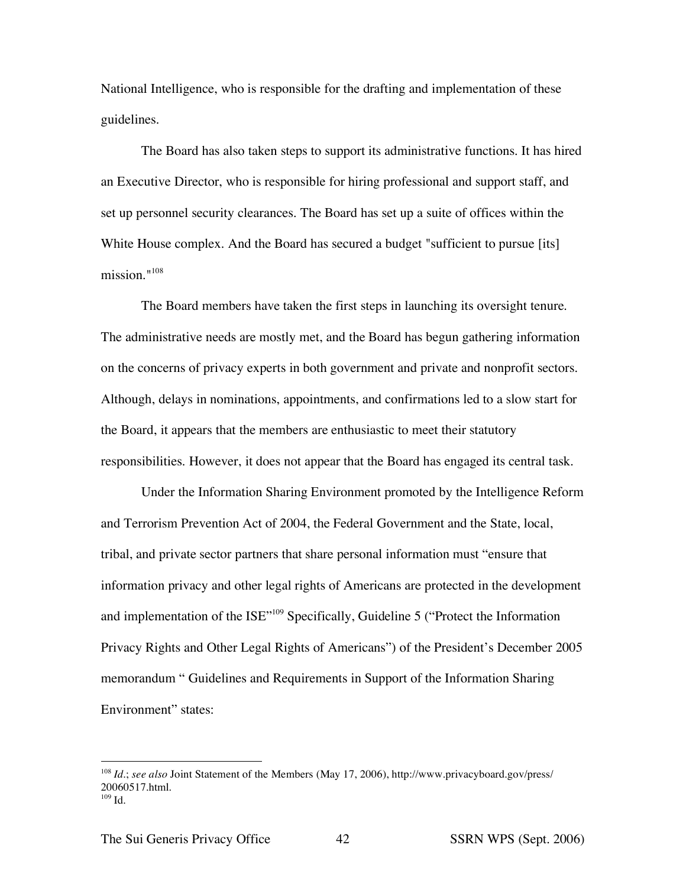National Intelligence, who is responsible for the drafting and implementation of these guidelines.

The Board has also taken steps to support its administrative functions. It has hired an Executive Director, who is responsible for hiring professional and support staff, and set up personnel security clearances. The Board has set up a suite of offices within the White House complex. And the Board has secured a budget "sufficient to pursue [its] mission." 108

The Board members have taken the first steps in launching its oversight tenure. The administrative needs are mostly met, and the Board has begun gathering information on the concerns of privacy experts in both government and private and nonprofit sectors. Although, delays in nominations, appointments, and confirmations led to a slow start for the Board, it appears that the members are enthusiastic to meet their statutory responsibilities. However, it does not appear that the Board has engaged its central task.

Under the Information Sharing Environment promoted by the Intelligence Reform and Terrorism Prevention Act of 2004, the Federal Government and the State, local, tribal, and private sector partners that share personal information must "ensure that information privacy and other legal rights of Americans are protected in the development and implementation of the ISE"109 Specifically, Guideline 5 ("Protect the Information Privacy Rights and Other Legal Rights of Americans") of the President's December 2005 memorandum " Guidelines and Requirements in Support of the Information Sharing Environment" states:

 <sup>108</sup> *Id*.; *see also* Joint Statement of the Members (May 17, 2006), http://www.privacyboard.gov/press/ 20060517.html.  $109$  Id.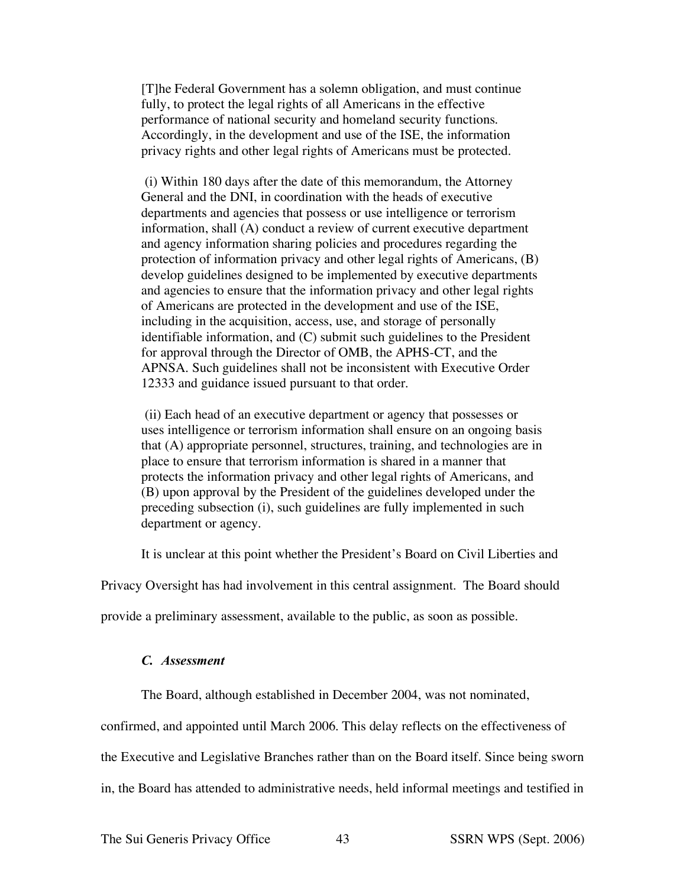[T]he Federal Government has a solemn obligation, and must continue fully, to protect the legal rights of all Americans in the effective performance of national security and homeland security functions. Accordingly, in the development and use of the ISE, the information privacy rights and other legal rights of Americans must be protected.

(i) Within 180 days after the date of this memorandum, the Attorney General and the DNI, in coordination with the heads of executive departments and agencies that possess or use intelligence or terrorism information, shall (A) conduct a review of current executive department and agency information sharing policies and procedures regarding the protection of information privacy and other legal rights of Americans, (B) develop guidelines designed to be implemented by executive departments and agencies to ensure that the information privacy and other legal rights of Americans are protected in the development and use of the ISE, including in the acquisition, access, use, and storage of personally identifiable information, and (C) submit such guidelines to the President for approval through the Director of OMB, the APHS-CT, and the APNSA. Such guidelines shall not be inconsistent with Executive Order 12333 and guidance issued pursuant to that order.

(ii) Each head of an executive department or agency that possesses or uses intelligence or terrorism information shall ensure on an ongoing basis that (A) appropriate personnel, structures, training, and technologies are in place to ensure that terrorism information is shared in a manner that protects the information privacy and other legal rights of Americans, and (B) upon approval by the President of the guidelines developed under the preceding subsection (i), such guidelines are fully implemented in such department or agency.

It is unclear at this point whether the President's Board on Civil Liberties and

Privacy Oversight has had involvement in this central assignment. The Board should

provide a preliminary assessment, available to the public, as soon as possible.

## *C. Assessment*

The Board, although established in December 2004, was not nominated,

confirmed, and appointed until March 2006. This delay reflects on the effectiveness of

the Executive and Legislative Branches rather than on the Board itself. Since being sworn

in, the Board has attended to administrative needs, held informal meetings and testified in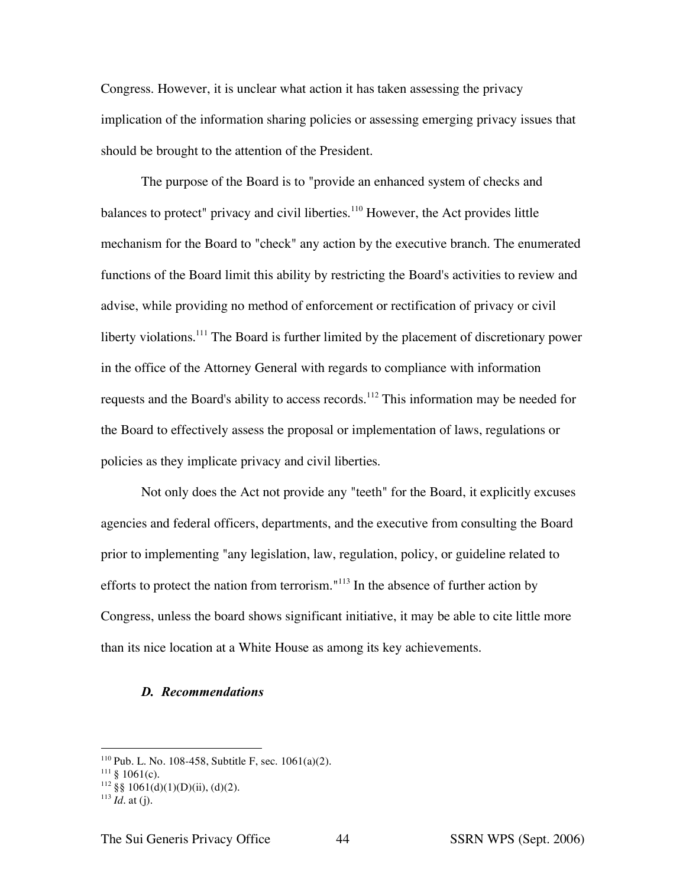Congress. However, it is unclear what action it has taken assessing the privacy implication of the information sharing policies or assessing emerging privacy issues that should be brought to the attention of the President.

The purpose of the Board is to "provide an enhanced system of checks and balances to protect" privacy and civil liberties.<sup>110</sup> However, the Act provides little mechanism for the Board to "check" any action by the executive branch. The enumerated functions of the Board limit this ability by restricting the Board's activities to review and advise, while providing no method of enforcement or rectification of privacy or civil liberty violations.<sup>111</sup> The Board is further limited by the placement of discretionary power in the office of the Attorney General with regards to compliance with information requests and the Board's ability to access records.<sup>112</sup> This information may be needed for the Board to effectively assess the proposal or implementation of laws, regulations or policies as they implicate privacy and civil liberties.

Not only does the Act not provide any "teeth" for the Board, it explicitly excuses agencies and federal officers, departments, and the executive from consulting the Board prior to implementing "any legislation, law, regulation, policy, or guideline related to efforts to protect the nation from terrorism."<sup>113</sup> In the absence of further action by Congress, unless the board shows significant initiative, it may be able to cite little more than its nice location at a White House as among its key achievements.

#### *D. Recommendations*

 $112 \text{ }$ §§ 1061(d)(1)(D)(ii), (d)(2).

<sup>&</sup>lt;sup>110</sup> Pub. L. No. 108-458, Subtitle F, sec.  $1061(a)(2)$ .

 $111 \text{ }$ § 1061(c).

 $113$  *Id.* at (i).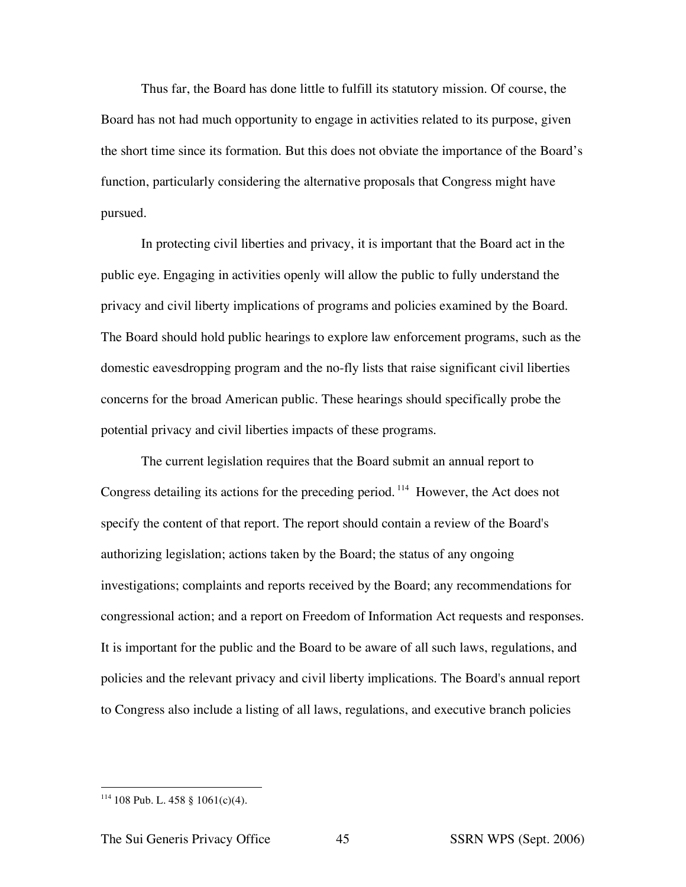Thus far, the Board has done little to fulfill its statutory mission. Of course, the Board has not had much opportunity to engage in activities related to its purpose, given the short time since its formation. But this does not obviate the importance of the Board's function, particularly considering the alternative proposals that Congress might have pursued.

In protecting civil liberties and privacy, it is important that the Board act in the public eye. Engaging in activities openly will allow the public to fully understand the privacy and civil liberty implications of programs and policies examined by the Board. The Board should hold public hearings to explore law enforcement programs, such as the domestic eavesdropping program and the no-fly lists that raise significant civil liberties concerns for the broad American public. These hearings should specifically probe the potential privacy and civil liberties impacts of these programs.

The current legislation requires that the Board submit an annual report to Congress detailing its actions for the preceding period.<sup>114</sup> However, the Act does not specify the content of that report. The report should contain a review of the Board's authorizing legislation; actions taken by the Board; the status of any ongoing investigations; complaints and reports received by the Board; any recommendations for congressional action; and a report on Freedom of Information Act requests and responses. It is important for the public and the Board to be aware of all such laws, regulations, and policies and the relevant privacy and civil liberty implications. The Board's annual report to Congress also include a listing of all laws, regulations, and executive branch policies

 $114$  108 Pub. L. 458 § 1061(c)(4).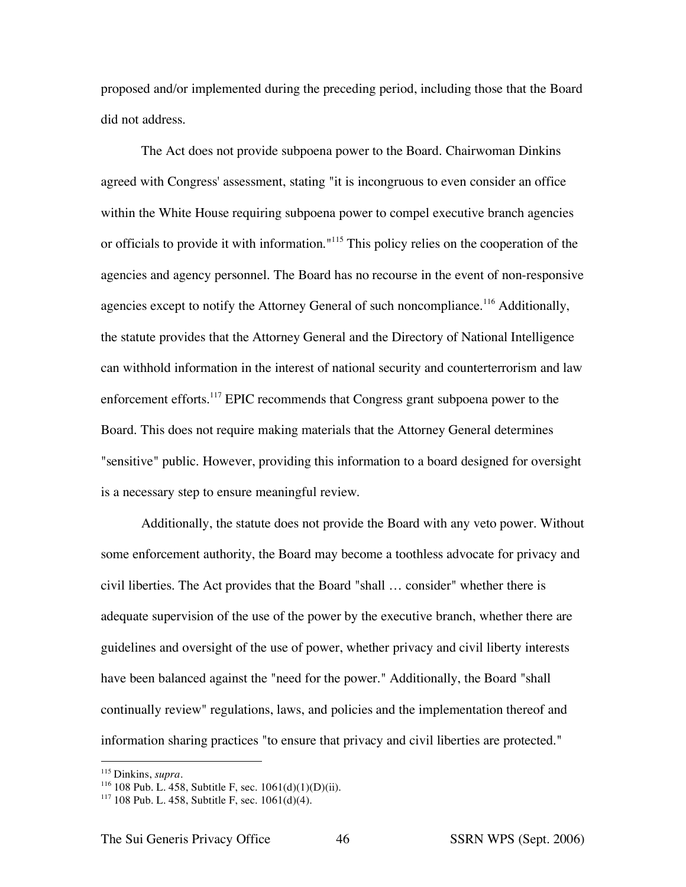proposed and/or implemented during the preceding period, including those that the Board did not address.

The Act does not provide subpoena power to the Board. Chairwoman Dinkins agreed with Congress' assessment, stating "it is incongruous to even consider an office within the White House requiring subpoena power to compel executive branch agencies or officials to provide it with information."<sup>115</sup> This policy relies on the cooperation of the agencies and agency personnel. The Board has no recourse in the event of non-responsive agencies except to notify the Attorney General of such noncompliance.<sup>116</sup> Additionally, the statute provides that the Attorney General and the Directory of National Intelligence can withhold information in the interest of national security and counterterrorism and law enforcement efforts.<sup>117</sup> EPIC recommends that Congress grant subpoena power to the Board. This does not require making materials that the Attorney General determines "sensitive" public. However, providing this information to a board designed for oversight is a necessary step to ensure meaningful review.

Additionally, the statute does not provide the Board with any veto power. Without some enforcement authority, the Board may become a toothless advocate for privacy and civil liberties. The Act provides that the Board "shall … consider" whether there is adequate supervision of the use of the power by the executive branch, whether there are guidelines and oversight of the use of power, whether privacy and civil liberty interests have been balanced against the "need for the power." Additionally, the Board "shall continually review" regulations, laws, and policies and the implementation thereof and information sharing practices "to ensure that privacy and civil liberties are protected."

 <sup>115</sup> Dinkins, *supra*.

 $116$  108 Pub. L. 458, Subtitle F, sec.  $1061(d)(1)(D)(ii)$ .

 $117$  108 Pub. L. 458, Subtitle F, sec.  $1061(d)(4)$ .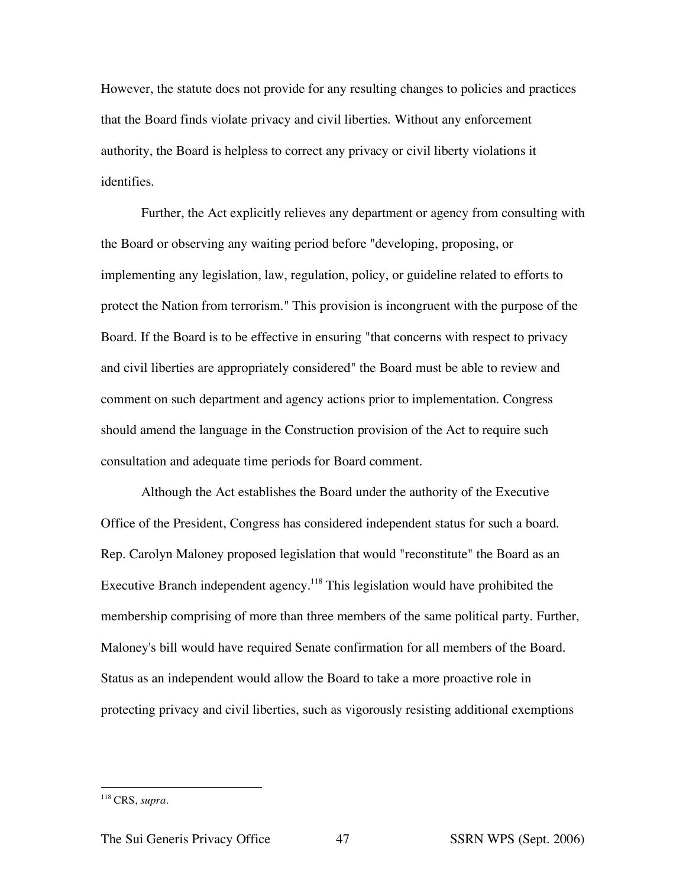However, the statute does not provide for any resulting changes to policies and practices that the Board finds violate privacy and civil liberties. Without any enforcement authority, the Board is helpless to correct any privacy or civil liberty violations it identifies.

Further, the Act explicitly relieves any department or agency from consulting with the Board or observing any waiting period before "developing, proposing, or implementing any legislation, law, regulation, policy, or guideline related to efforts to protect the Nation from terrorism." This provision is incongruent with the purpose of the Board. If the Board is to be effective in ensuring "that concerns with respect to privacy and civil liberties are appropriately considered" the Board must be able to review and comment on such department and agency actions prior to implementation. Congress should amend the language in the Construction provision of the Act to require such consultation and adequate time periods for Board comment.

Although the Act establishes the Board under the authority of the Executive Office of the President, Congress has considered independent status for such a board. Rep. Carolyn Maloney proposed legislation that would "reconstitute" the Board as an Executive Branch independent agency.<sup>118</sup> This legislation would have prohibited the membership comprising of more than three members of the same political party. Further, Maloney's bill would have required Senate confirmation for all members of the Board. Status as an independent would allow the Board to take a more proactive role in protecting privacy and civil liberties, such as vigorously resisting additional exemptions

 <sup>118</sup> CRS, *supra*.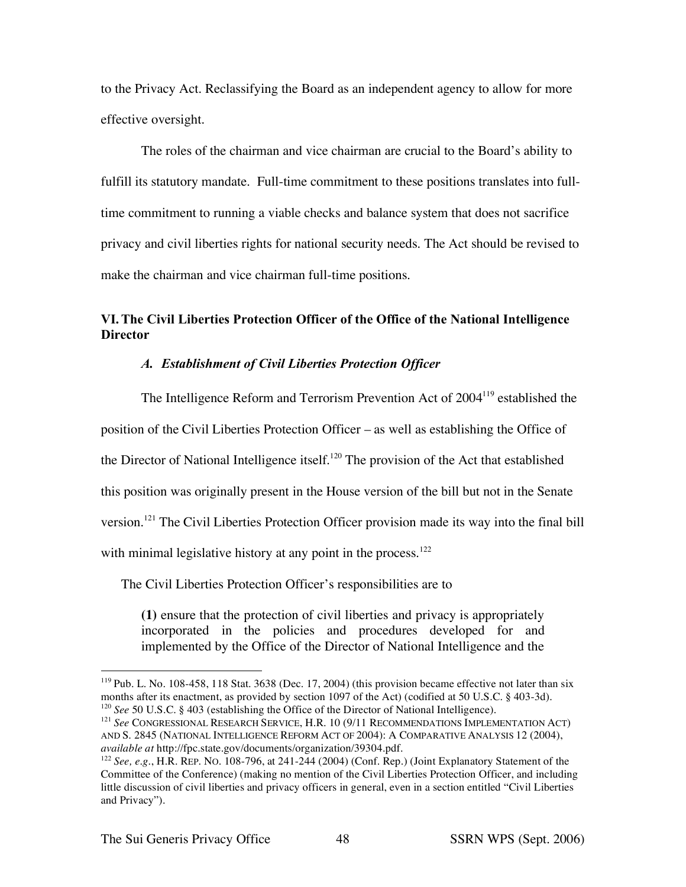to the Privacy Act. Reclassifying the Board as an independent agency to allow for more effective oversight.

The roles of the chairman and vice chairman are crucial to the Board's ability to fulfill its statutory mandate. Full-time commitment to these positions translates into fulltime commitment to running a viable checks and balance system that does not sacrifice privacy and civil liberties rights for national security needs. The Act should be revised to make the chairman and vice chairman full-time positions.

# **VI.The Civil Liberties Protection Officer of the Office of the National Intelligence Director**

## *A. Establishment of Civil Liberties Protection Officer*

The Intelligence Reform and Terrorism Prevention Act of 2004<sup>119</sup> established the position of the Civil Liberties Protection Officer – as well as establishing the Office of the Director of National Intelligence itself.<sup>120</sup> The provision of the Act that established this position was originally present in the House version of the bill but not in the Senate version.<sup>121</sup> The Civil Liberties Protection Officer provision made its way into the final bill with minimal legislative history at any point in the process.<sup>122</sup>

The Civil Liberties Protection Officer's responsibilities are to

**(1)** ensure that the protection of civil liberties and privacy is appropriately incorporated in the policies and procedures developed for and implemented by the Office of the Director of National Intelligence and the

<sup>&</sup>lt;sup>119</sup> Pub. L. No. 108-458, 118 Stat. 3638 (Dec. 17, 2004) (this provision became effective not later than six months after its enactment, as provided by section 1097 of the Act) (codified at 50 U.S.C. § 403-3d). <sup>120</sup> *See* 50 U.S.C. § 403 (establishing the Office of the Director of National Intelligence).

<sup>&</sup>lt;sup>121</sup> See CONGRESSIONAL RESEARCH SERVICE, H.R. 10 (9/11 RECOMMENDATIONS IMPLEMENTATION ACT) AND S. 2845 (NATIONAL INTELLIGENCE REFORM ACT OF 2004): A COMPARATIVE ANALYSIS 12 (2004), *available at* http://fpc.state.gov/documents/organization/39304.pdf.

<sup>122</sup> *See, e.g.*, H.R. REP. NO. 108-796, at 241-244 (2004) (Conf. Rep.) (Joint Explanatory Statement of the Committee of the Conference) (making no mention of the Civil Liberties Protection Officer, and including little discussion of civil liberties and privacy officers in general, even in a section entitled "Civil Liberties and Privacy").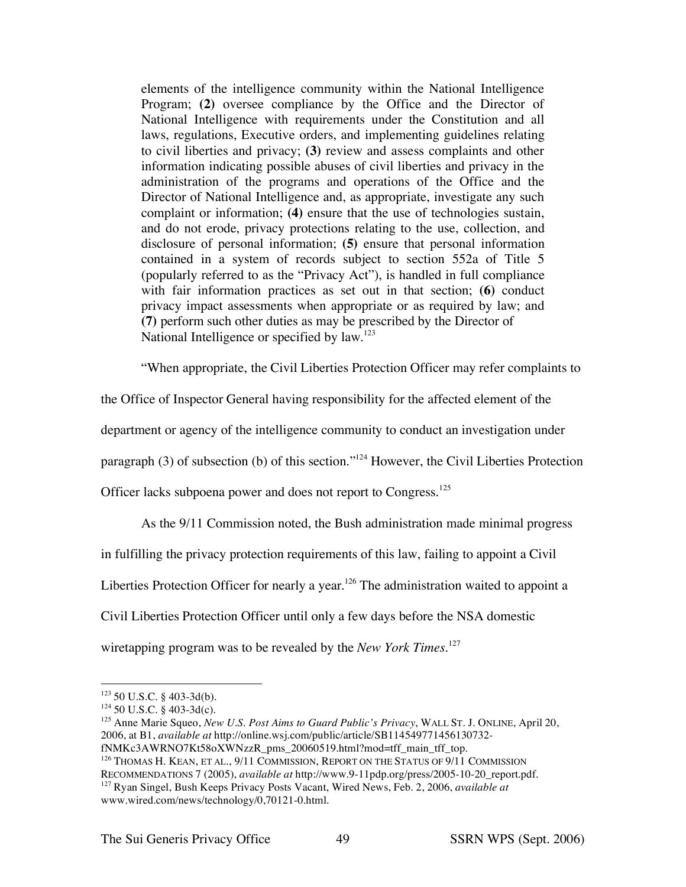elements of the intelligence community within the National Intelligence Program; **(2)** oversee compliance by the Office and the Director of National Intelligence with requirements under the Constitution and all laws, regulations, Executive orders, and implementing guidelines relating to civil liberties and privacy; **(3)** review and assess complaints and other information indicating possible abuses of civil liberties and privacy in the administration of the programs and operations of the Office and the Director of National Intelligence and, as appropriate, investigate any such complaint or information; **(4)** ensure that the use of technologies sustain, and do not erode, privacy protections relating to the use, collection, and disclosure of personal information; **(5)** ensure that personal information contained in a system of records subject to section 552a of Title 5 (popularly referred to as the "Privacy Act"), is handled in full compliance with fair information practices as set out in that section; **(6)** conduct privacy impact assessments when appropriate or as required by law; and **(7)** perform such other duties as may be prescribed by the Director of National Intelligence or specified by law.<sup>123</sup>

"When appropriate, the Civil Liberties Protection Officer may refer complaints to

the Office of Inspector General having responsibility for the affected element of the

department or agency of the intelligence community to conduct an investigation under

paragraph (3) of subsection (b) of this section."124 However, the Civil Liberties Protection

Officer lacks subpoena power and does not report to Congress.<sup>125</sup>

As the 9/11 Commission noted, the Bush administration made minimal progress

in fulfilling the privacy protection requirements of this law, failing to appoint a Civil

Liberties Protection Officer for nearly a year.<sup>126</sup> The administration waited to appoint a

Civil Liberties Protection Officer until only a few days before the NSA domestic

wiretapping program was to be revealed by the *New York Times*. 127

 <sup>123</sup> <sup>50</sup> U.S.C. § 403-3d(b).

 $124$  50 U.S.C. § 403-3d(c).

<sup>125</sup> Anne Marie Squeo, *New U.S. Post Aims to Guard Public's Privacy*, WALL ST. J. ONLINE, April 20, 2006, at B1, *available at* http://online.wsj.com/public/article/SB114549771456130732 fNMKc3AWRNO7Kt58oXWNzzR\_pms\_20060519.html?mod=tff\_main\_tff\_top.

<sup>&</sup>lt;sup>126</sup> THOMAS H. KEAN, ET AL., 9/11 COMMISSION, REPORT ON THE STATUS OF 9/11 COMMISSION

RECOMMENDATIONS 7 (2005), *available at* http://www.9-11pdp.org/press/2005-10-20\_report.pdf.

<sup>127</sup> Ryan Singel, Bush Keeps Privacy Posts Vacant, Wired News, Feb. 2, 2006, *available at* www.wired.com/news/technology/0,70121-0.html.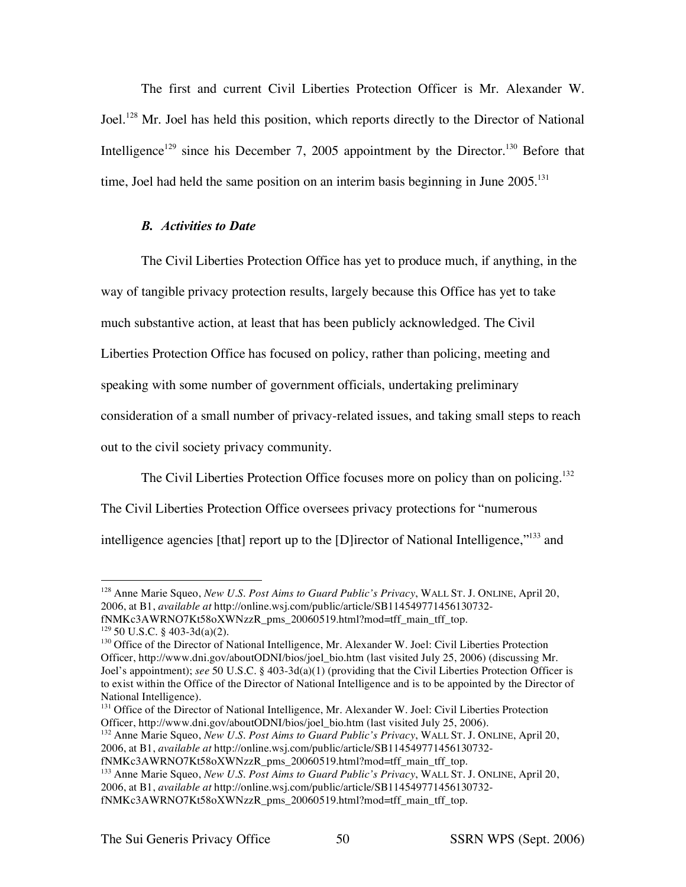The first and current Civil Liberties Protection Officer is Mr. Alexander W. Joel.<sup>128</sup> Mr. Joel has held this position, which reports directly to the Director of National Intelligence<sup>129</sup> since his December 7, 2005 appointment by the Director.<sup>130</sup> Before that time, Joel had held the same position on an interim basis beginning in June 2005.<sup>131</sup>

## *B. Activities to Date*

The Civil Liberties Protection Office has yet to produce much, if anything, in the way of tangible privacy protection results, largely because this Office has yet to take much substantive action, at least that has been publicly acknowledged. The Civil Liberties Protection Office has focused on policy, rather than policing, meeting and speaking with some number of government officials, undertaking preliminary consideration of a small number of privacy-related issues, and taking small steps to reach out to the civil society privacy community.

The Civil Liberties Protection Office focuses more on policy than on policing.<sup>132</sup> The Civil Liberties Protection Office oversees privacy protections for "numerous intelligence agencies [that] report up to the [D]irector of National Intelligence,"<sup>133</sup> and

 <sup>128</sup> Anne Marie Squeo, *New U.S. Post Aims to Guard Public's Privacy*, WALL ST. J. ONLINE, April 20, 2006, at B1, *available at* http://online.wsj.com/public/article/SB114549771456130732 fNMKc3AWRNO7Kt58oXWNzzR\_pms\_20060519.html?mod=tff\_main\_tff\_top.

 $129$  50 U.S.C. § 403-3d(a)(2).

<sup>&</sup>lt;sup>130</sup> Office of the Director of National Intelligence, Mr. Alexander W. Joel: Civil Liberties Protection Officer, http://www.dni.gov/aboutODNI/bios/joel\_bio.htm (last visited July 25, 2006) (discussing Mr. Joel's appointment); *see* 50 U.S.C. § 403-3d(a)(1) (providing that the Civil Liberties Protection Officer is to exist within the Office of the Director of National Intelligence and is to be appointed by the Director of National Intelligence).

<sup>&</sup>lt;sup>131</sup> Office of the Director of National Intelligence, Mr. Alexander W. Joel: Civil Liberties Protection Officer, http://www.dni.gov/aboutODNI/bios/joel\_bio.htm (last visited July 25, 2006).

<sup>132</sup> Anne Marie Squeo, *New U.S. Post Aims to Guard Public's Privacy*, WALL ST. J. ONLINE, April 20, 2006, at B1, *available at* http://online.wsj.com/public/article/SB114549771456130732-

fNMKc3AWRNO7Kt58oXWNzzR\_pms\_20060519.html?mod=tff\_main\_tff\_top.

<sup>133</sup> Anne Marie Squeo, *New U.S. Post Aims to Guard Public's Privacy*, WALL ST. J. ONLINE, April 20,

<sup>2006,</sup> at B1, *available at* http://online.wsj.com/public/article/SB114549771456130732-

fNMKc3AWRNO7Kt58oXWNzzR\_pms\_20060519.html?mod=tff\_main\_tff\_top.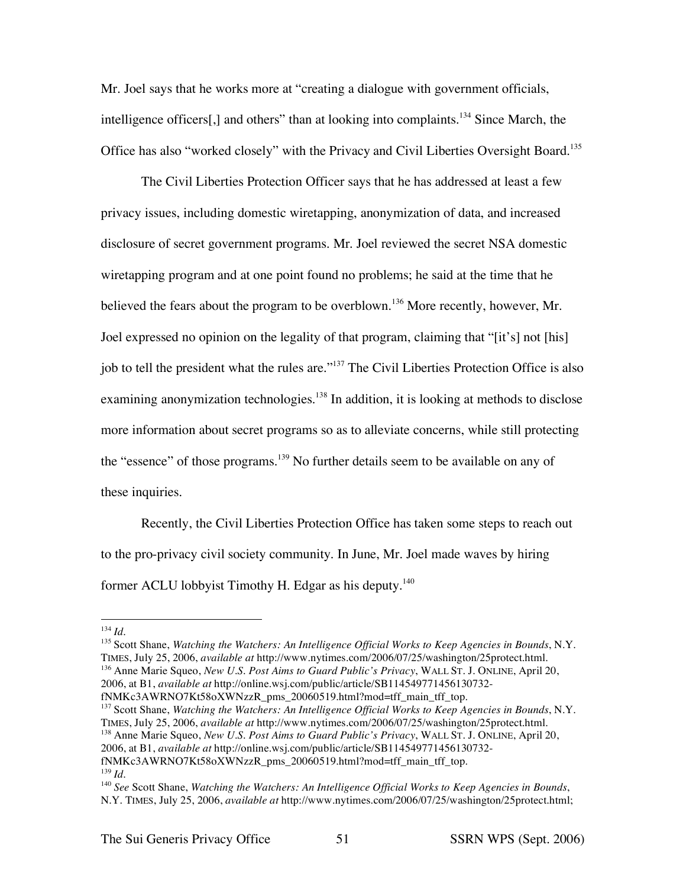Mr. Joel says that he works more at "creating a dialogue with government officials, intelligence officers[,] and others" than at looking into complaints.<sup>134</sup> Since March, the Office has also "worked closely" with the Privacy and Civil Liberties Oversight Board.135

The Civil Liberties Protection Officer says that he has addressed at least a few privacy issues, including domestic wiretapping, anonymization of data, and increased disclosure of secret government programs. Mr. Joel reviewed the secret NSA domestic wiretapping program and at one point found no problems; he said at the time that he believed the fears about the program to be overblown.<sup>136</sup> More recently, however, Mr. Joel expressed no opinion on the legality of that program, claiming that "[it's] not [his] job to tell the president what the rules are."<sup>137</sup> The Civil Liberties Protection Office is also examining anonymization technologies.<sup>138</sup> In addition, it is looking at methods to disclose more information about secret programs so as to alleviate concerns, while still protecting the "essence" of those programs.<sup>139</sup> No further details seem to be available on any of these inquiries.

Recently, the Civil Liberties Protection Office has taken some steps to reach out to the pro-privacy civil society community. In June, Mr. Joel made waves by hiring former ACLU lobbyist Timothy H. Edgar as his deputy.<sup>140</sup>

<sup>135</sup> Scott Shane, *Watching the Watchers: An Intelligence Official Works to Keep Agencies in Bounds*, N.Y. TIMES, July 25, 2006, *available at* http://www.nytimes.com/2006/07/25/washington/25protect.html. <sup>136</sup> Anne Marie Squeo, *New U.S. Post Aims to Guard Public's Privacy*, WALL ST. J. ONLINE, April 20, 2006, at B1, *available at* http://online.wsj.com/public/article/SB114549771456130732 fNMKc3AWRNO7Kt58oXWNzzR\_pms\_20060519.html?mod=tff\_main\_tff\_top.

<sup>137</sup> Scott Shane, *Watching the Watchers: An Intelligence Official Works to Keep Agencies in Bounds*, N.Y. TIMES, July 25, 2006, *available at* http://www.nytimes.com/2006/07/25/washington/25protect.html. <sup>138</sup> Anne Marie Squeo, *New U.S. Post Aims to Guard Public's Privacy*, WALL ST. J. ONLINE, April 20,

 <sup>134</sup> *Id.*

<sup>2006,</sup> at B1, *available at* http://online.wsj.com/public/article/SB114549771456130732-

fNMKc3AWRNO7Kt58oXWNzzR\_pms\_20060519.html?mod=tff\_main\_tff\_top. <sup>139</sup> *Id.*

<sup>140</sup> *See* Scott Shane, *Watching the Watchers: An Intelligence Official Works to Keep Agencies in Bounds*, N.Y. TIMES, July 25, 2006, *available at* http://www.nytimes.com/2006/07/25/washington/25protect.html;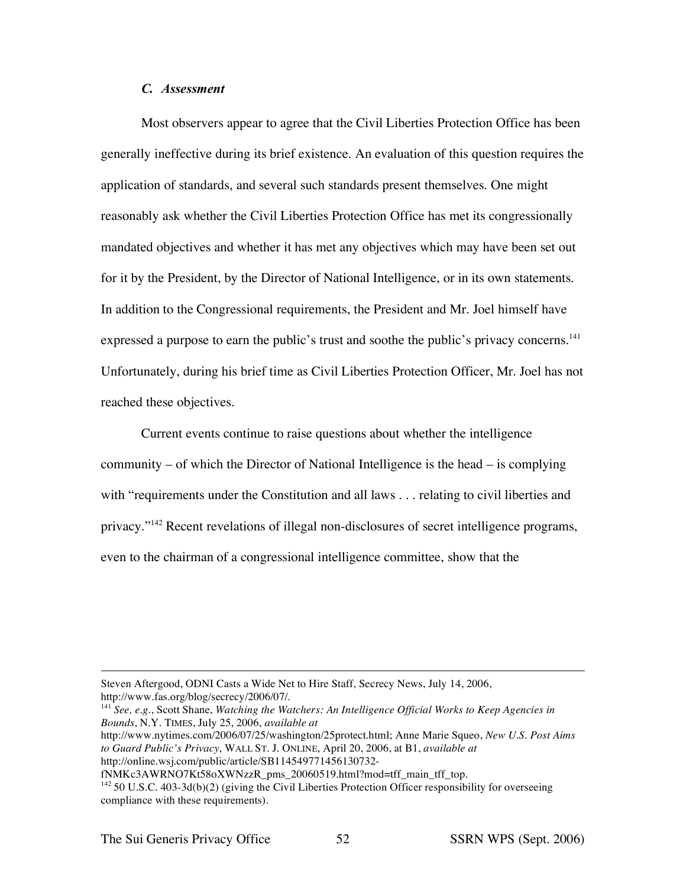## *C. Assessment*

Most observers appear to agree that the Civil Liberties Protection Office has been generally ineffective during its brief existence. An evaluation of this question requires the application of standards, and several such standards present themselves. One might reasonably ask whether the Civil Liberties Protection Office has met its congressionally mandated objectives and whether it has met any objectives which may have been set out for it by the President, by the Director of National Intelligence, or in its own statements. In addition to the Congressional requirements, the President and Mr. Joel himself have expressed a purpose to earn the public's trust and soothe the public's privacy concerns.<sup>141</sup> Unfortunately, during his brief time as Civil Liberties Protection Officer, Mr. Joel has not reached these objectives.

Current events continue to raise questions about whether the intelligence community – of which the Director of National Intelligence is the head – is complying with "requirements under the Constitution and all laws . . . relating to civil liberties and privacy."142 Recent revelations of illegal non-disclosures of secret intelligence programs, even to the chairman of a congressional intelligence committee, show that the

http://www.nytimes.com/2006/07/25/washington/25protect.html; Anne Marie Squeo, *New U.S. Post Aims to Guard Public's Privacy*, WALL ST. J. ONLINE, April 20, 2006, at B1, *available at* http://online.wsj.com/public/article/SB114549771456130732-

fNMKc3AWRNO7Kt58oXWNzzR\_pms\_20060519.html?mod=tff\_main\_tff\_top.

 $\overline{a}$ 

Steven Aftergood, ODNI Casts a Wide Net to Hire Staff, Secrecy News, July 14, 2006, http://www.fas.org/blog/secrecy/2006/07/.

<sup>141</sup> *See, e.g.*, Scott Shane, *Watching the Watchers: An Intelligence Official Works to Keep Agencies in Bounds*, N.Y. TIMES, July 25, 2006, *available at*

<sup>&</sup>lt;sup>142</sup> 50 U.S.C. 403-3d(b)(2) (giving the Civil Liberties Protection Officer responsibility for overseeing compliance with these requirements).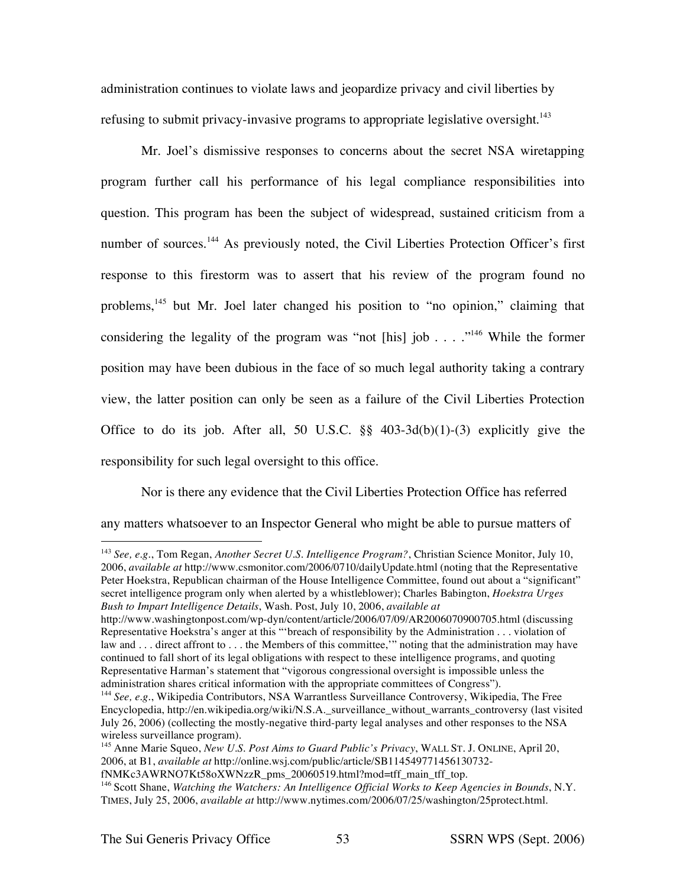administration continues to violate laws and jeopardize privacy and civil liberties by refusing to submit privacy-invasive programs to appropriate legislative oversight.<sup>143</sup>

Mr. Joel's dismissive responses to concerns about the secret NSA wiretapping program further call his performance of his legal compliance responsibilities into question. This program has been the subject of widespread, sustained criticism from a number of sources.<sup>144</sup> As previously noted, the Civil Liberties Protection Officer's first response to this firestorm was to assert that his review of the program found no problems, <sup>145</sup> but Mr. Joel later changed his position to "no opinion," claiming that considering the legality of the program was "not [his] job . . . . ."<sup>146</sup> While the former position may have been dubious in the face of so much legal authority taking a contrary view, the latter position can only be seen as a failure of the Civil Liberties Protection Office to do its job. After all, 50 U.S.C.  $\S\S$  403-3d(b)(1)-(3) explicitly give the responsibility for such legal oversight to this office.

Nor is there any evidence that the Civil Liberties Protection Office has referred any matters whatsoever to an Inspector General who might be able to pursue matters of

 <sup>143</sup> *See, e.g.*, Tom Regan, *Another Secret U.S. Intelligence Program?*, Christian Science Monitor, July 10, 2006, *available at* http://www.csmonitor.com/2006/0710/dailyUpdate.html (noting that the Representative Peter Hoekstra, Republican chairman of the House Intelligence Committee, found out about a "significant" secret intelligence program only when alerted by a whistleblower); Charles Babington, *Hoekstra Urges Bush to Impart Intelligence Details*, Wash. Post, July 10, 2006, *available at*

http://www.washingtonpost.com/wp-dyn/content/article/2006/07/09/AR2006070900705.html (discussing Representative Hoekstra's anger at this "'breach of responsibility by the Administration . . . violation of law and . . . direct affront to . . . the Members of this committee,'" noting that the administration may have continued to fall short of its legal obligations with respect to these intelligence programs, and quoting Representative Harman's statement that "vigorous congressional oversight is impossible unless the administration shares critical information with the appropriate committees of Congress").

<sup>144</sup> *See, e.g.*, Wikipedia Contributors, NSA Warrantless Surveillance Controversy, Wikipedia, The Free Encyclopedia, http://en.wikipedia.org/wiki/N.S.A.\_surveillance\_without\_warrants\_controversy (last visited July 26, 2006) (collecting the mostly-negative third-party legal analyses and other responses to the NSA wireless surveillance program).

<sup>145</sup> Anne Marie Squeo, *New U.S. Post Aims to Guard Public's Privacy*, WALL ST. J. ONLINE, April 20, 2006, at B1, *available at* http://online.wsj.com/public/article/SB114549771456130732-

fNMKc3AWRNO7Kt58oXWNzzR\_pms\_20060519.html?mod=tff\_main\_tff\_top.

<sup>146</sup> Scott Shane, *Watching the Watchers: An Intelligence Official Works to Keep Agencies in Bounds*, N.Y. TIMES, July 25, 2006, *available at* http://www.nytimes.com/2006/07/25/washington/25protect.html.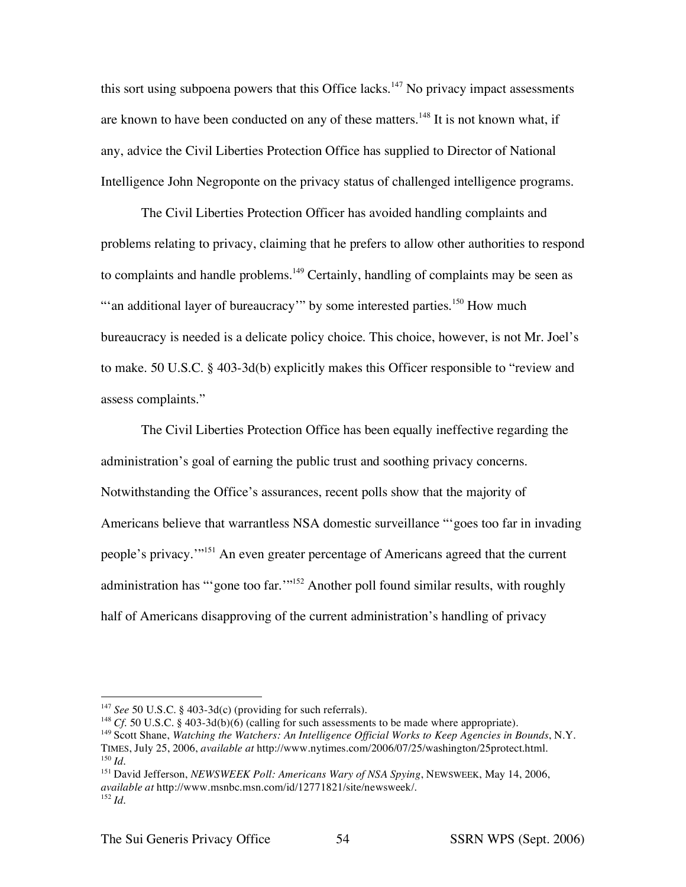this sort using subpoena powers that this Office lacks.<sup>147</sup> No privacy impact assessments are known to have been conducted on any of these matters.<sup>148</sup> It is not known what, if any, advice the Civil Liberties Protection Office has supplied to Director of National Intelligence John Negroponte on the privacy status of challenged intelligence programs.

The Civil Liberties Protection Officer has avoided handling complaints and problems relating to privacy, claiming that he prefers to allow other authorities to respond to complaints and handle problems.<sup>149</sup> Certainly, handling of complaints may be seen as "an additional layer of bureaucracy" by some interested parties.<sup>150</sup> How much bureaucracy is needed is a delicate policy choice. This choice, however, is not Mr. Joel's to make. 50 U.S.C. § 403-3d(b) explicitly makes this Officer responsible to "review and assess complaints."

The Civil Liberties Protection Office has been equally ineffective regarding the administration's goal of earning the public trust and soothing privacy concerns. Notwithstanding the Office's assurances, recent polls show that the majority of Americans believe that warrantless NSA domestic surveillance "'goes too far in invading people's privacy.'"151 An even greater percentage of Americans agreed that the current administration has "'gone too far."<sup>152</sup> Another poll found similar results, with roughly half of Americans disapproving of the current administration's handling of privacy

 <sup>147</sup> *See* <sup>50</sup> U.S.C. § 403-3d(c) (providing for such referrals).

<sup>&</sup>lt;sup>148</sup> *Cf.* 50 U.S.C. § 403-3d(b)(6) (calling for such assessments to be made where appropriate).

<sup>149</sup> Scott Shane, *Watching the Watchers: An Intelligence Official Works to Keep Agencies in Bounds*, N.Y. TIMES, July 25, 2006, *available at* http://www.nytimes.com/2006/07/25/washington/25protect.html. <sup>150</sup> *Id.*

<sup>151</sup> David Jefferson, *NEWSWEEK Poll: Americans Wary of NSA Spying*, NEWSWEEK, May 14, 2006, *available at* http://www.msnbc.msn.com/id/12771821/site/newsweek/. <sup>152</sup> *Id.*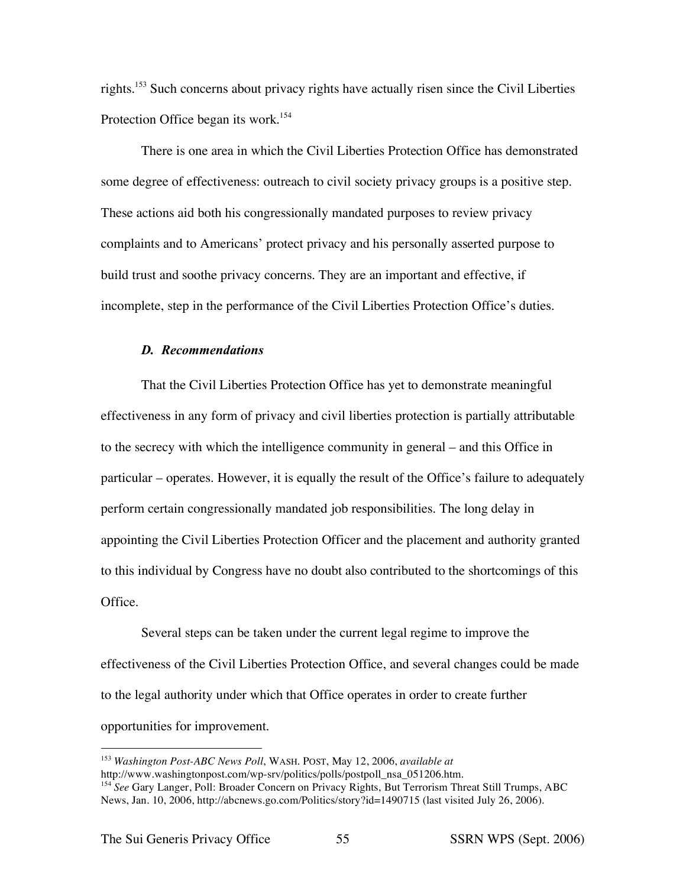rights. <sup>153</sup> Such concerns about privacy rights have actually risen since the Civil Liberties Protection Office began its work.<sup>154</sup>

There is one area in which the Civil Liberties Protection Office has demonstrated some degree of effectiveness: outreach to civil society privacy groups is a positive step. These actions aid both his congressionally mandated purposes to review privacy complaints and to Americans' protect privacy and his personally asserted purpose to build trust and soothe privacy concerns. They are an important and effective, if incomplete, step in the performance of the Civil Liberties Protection Office's duties.

#### *D. Recommendations*

That the Civil Liberties Protection Office has yet to demonstrate meaningful effectiveness in any form of privacy and civil liberties protection is partially attributable to the secrecy with which the intelligence community in general – and this Office in particular – operates. However, it is equally the result of the Office's failure to adequately perform certain congressionally mandated job responsibilities. The long delay in appointing the Civil Liberties Protection Officer and the placement and authority granted to this individual by Congress have no doubt also contributed to the shortcomings of this Office.

Several steps can be taken under the current legal regime to improve the effectiveness of the Civil Liberties Protection Office, and several changes could be made to the legal authority under which that Office operates in order to create further opportunities for improvement.

 <sup>153</sup> *Washington Post-ABC News Poll*, WASH. POST, May 12, 2006, *available at*

http://www.washingtonpost.com/wp-srv/politics/polls/postpoll\_nsa\_051206.htm.

<sup>&</sup>lt;sup>154</sup> See Gary Langer, Poll: Broader Concern on Privacy Rights, But Terrorism Threat Still Trumps, ABC News, Jan. 10, 2006, http://abcnews.go.com/Politics/story?id=1490715 (last visited July 26, 2006).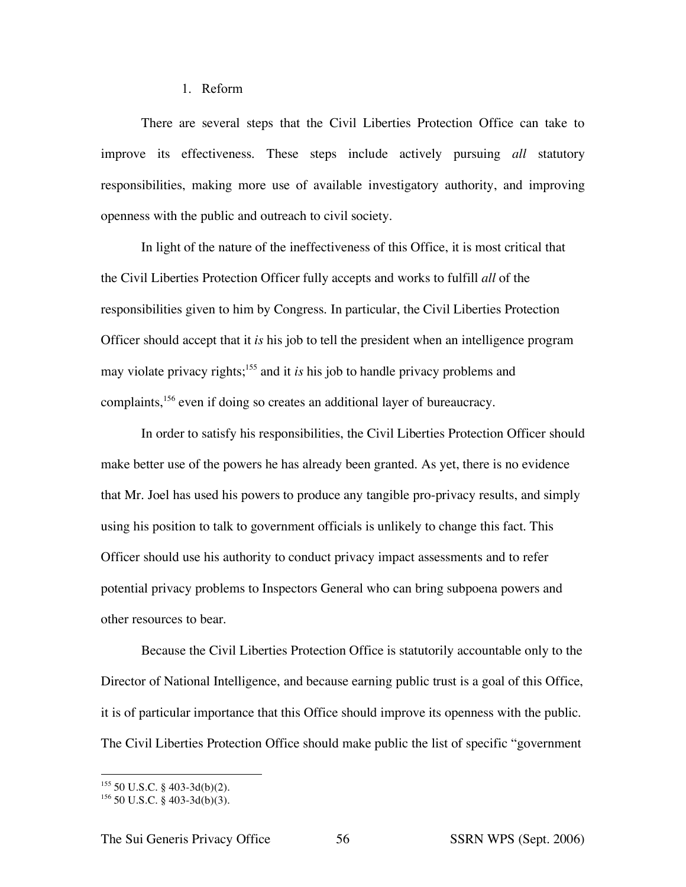#### 1. Reform

There are several steps that the Civil Liberties Protection Office can take to improve its effectiveness. These steps include actively pursuing *all* statutory responsibilities, making more use of available investigatory authority, and improving openness with the public and outreach to civil society.

In light of the nature of the ineffectiveness of this Office, it is most critical that the Civil Liberties Protection Officer fully accepts and works to fulfill *all* of the responsibilities given to him by Congress. In particular, the Civil Liberties Protection Officer should accept that it *is* his job to tell the president when an intelligence program may violate privacy rights; <sup>155</sup> and it *is* his job to handle privacy problems and complaints, <sup>156</sup> even if doing so creates an additional layer of bureaucracy.

In order to satisfy his responsibilities, the Civil Liberties Protection Officer should make better use of the powers he has already been granted. As yet, there is no evidence that Mr. Joel has used his powers to produce any tangible pro-privacy results, and simply using his position to talk to government officials is unlikely to change this fact. This Officer should use his authority to conduct privacy impact assessments and to refer potential privacy problems to Inspectors General who can bring subpoena powers and other resources to bear.

Because the Civil Liberties Protection Office is statutorily accountable only to the Director of National Intelligence, and because earning public trust is a goal of this Office, it is of particular importance that this Office should improve its openness with the public. The Civil Liberties Protection Office should make public the list of specific "government

 $155$  50 U.S.C. § 403-3d(b)(2).

 $156$  50 U.S.C. § 403-3d(b)(3).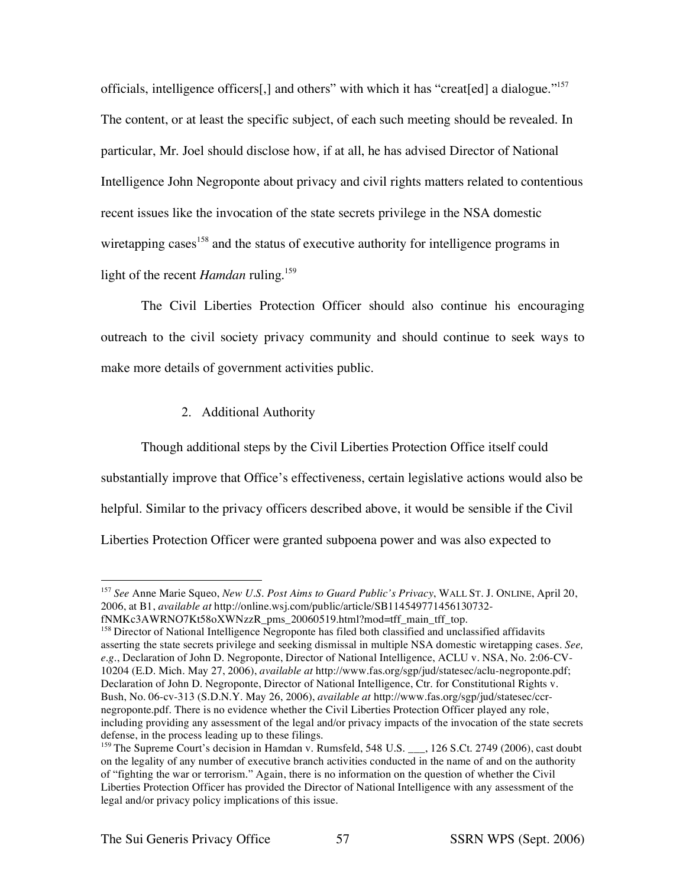officials, intelligence officers[,] and others" with which it has "creat[ed] a dialogue."157 The content, or at least the specific subject, of each such meeting should be revealed. In particular, Mr. Joel should disclose how, if at all, he has advised Director of National Intelligence John Negroponte about privacy and civil rights matters related to contentious recent issues like the invocation of the state secrets privilege in the NSA domestic wiretapping cases<sup>158</sup> and the status of executive authority for intelligence programs in light of the recent *Hamdan* ruling. 159

The Civil Liberties Protection Officer should also continue his encouraging outreach to the civil society privacy community and should continue to seek ways to make more details of government activities public.

# 2. Additional Authority

Though additional steps by the Civil Liberties Protection Office itself could substantially improve that Office's effectiveness, certain legislative actions would also be helpful. Similar to the privacy officers described above, it would be sensible if the Civil Liberties Protection Officer were granted subpoena power and was also expected to

 <sup>157</sup> *See* Anne Marie Squeo, *New U.S. Post Aims to Guard Public's Privacy*, WALL ST. J. ONLINE, April 20, 2006, at B1, *available at* http://online.wsj.com/public/article/SB114549771456130732 fNMKc3AWRNO7Kt58oXWNzzR\_pms\_20060519.html?mod=tff\_main\_tff\_top.

<sup>&</sup>lt;sup>158</sup> Director of National Intelligence Negroponte has filed both classified and unclassified affidavits asserting the state secrets privilege and seeking dismissal in multiple NSA domestic wiretapping cases. *See, e.g.*, Declaration of John D. Negroponte, Director of National Intelligence, ACLU v. NSA, No. 2:06-CV-10204 (E.D. Mich. May 27, 2006), *available at* http://www.fas.org/sgp/jud/statesec/aclu-negroponte.pdf; Declaration of John D. Negroponte, Director of National Intelligence, Ctr. for Constitutional Rights v. Bush, No. 06-cv-313 (S.D.N.Y. May 26, 2006), *available at* http://www.fas.org/sgp/jud/statesec/ccrnegroponte.pdf. There is no evidence whether the Civil Liberties Protection Officer played any role, including providing any assessment of the legal and/or privacy impacts of the invocation of the state secrets defense, in the process leading up to these filings.

<sup>&</sup>lt;sup>159</sup> The Supreme Court's decision in Hamdan v. Rumsfeld, 548 U.S. \_\_\_, 126 S.Ct. 2749 (2006), cast doubt on the legality of any number of executive branch activities conducted in the name of and on the authority of "fighting the war or terrorism." Again, there is no information on the question of whether the Civil Liberties Protection Officer has provided the Director of National Intelligence with any assessment of the legal and/or privacy policy implications of this issue.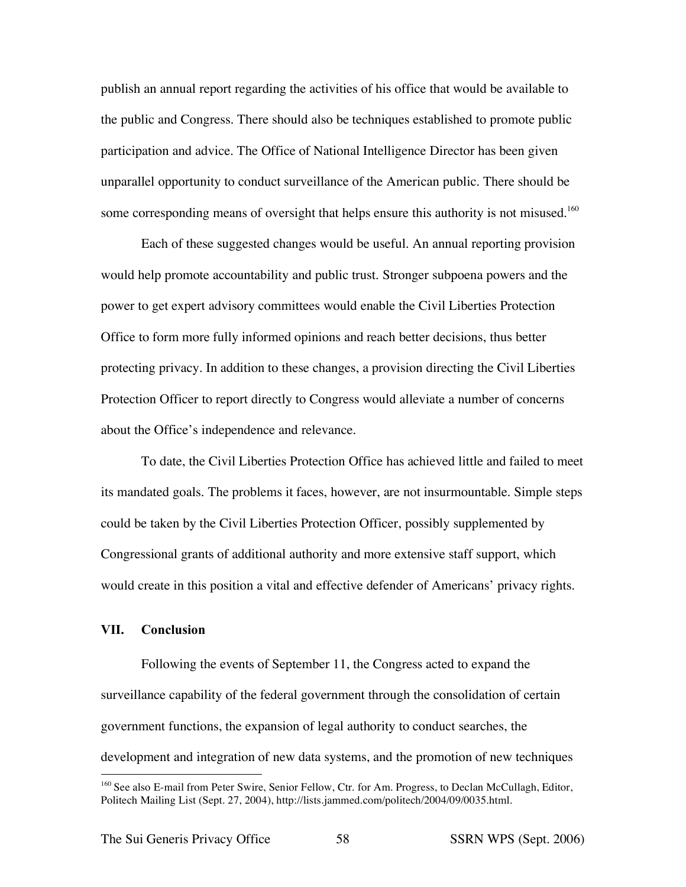publish an annual report regarding the activities of his office that would be available to the public and Congress. There should also be techniques established to promote public participation and advice. The Office of National Intelligence Director has been given unparallel opportunity to conduct surveillance of the American public. There should be some corresponding means of oversight that helps ensure this authority is not misused.<sup>160</sup>

Each of these suggested changes would be useful. An annual reporting provision would help promote accountability and public trust. Stronger subpoena powers and the power to get expert advisory committees would enable the Civil Liberties Protection Office to form more fully informed opinions and reach better decisions, thus better protecting privacy. In addition to these changes, a provision directing the Civil Liberties Protection Officer to report directly to Congress would alleviate a number of concerns about the Office's independence and relevance.

To date, the Civil Liberties Protection Office has achieved little and failed to meet its mandated goals. The problems it faces, however, are not insurmountable. Simple steps could be taken by the Civil Liberties Protection Officer, possibly supplemented by Congressional grants of additional authority and more extensive staff support, which would create in this position a vital and effective defender of Americans' privacy rights.

# **VII. Conclusion**

Following the events of September 11, the Congress acted to expand the surveillance capability of the federal government through the consolidation of certain government functions, the expansion of legal authority to conduct searches, the development and integration of new data systems, and the promotion of new techniques

<sup>&</sup>lt;sup>160</sup> See also E-mail from Peter Swire, Senior Fellow, Ctr. for Am. Progress, to Declan McCullagh, Editor, Politech Mailing List (Sept. 27, 2004), http://lists.jammed.com/politech/2004/09/0035.html.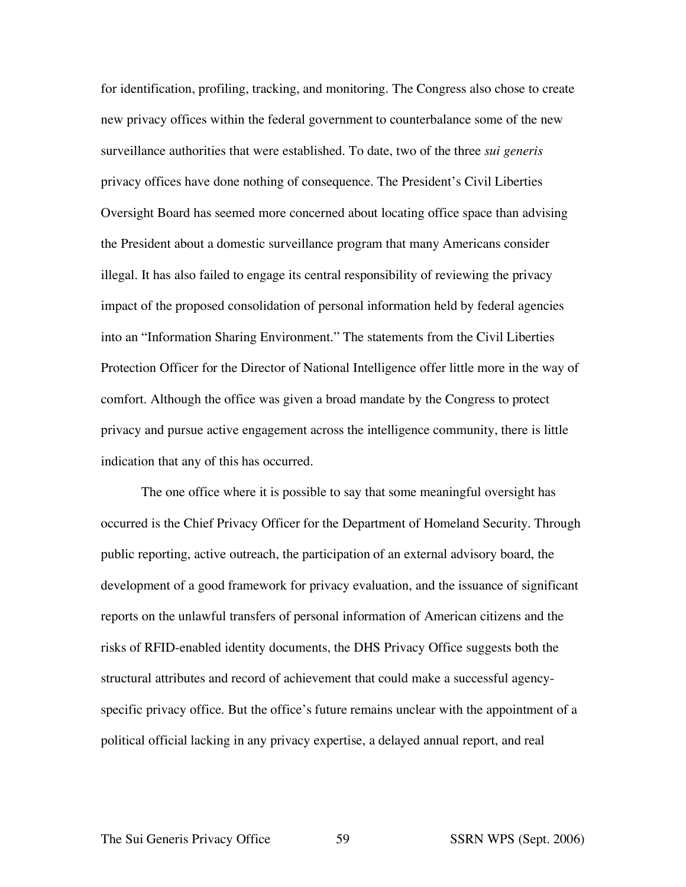for identification, profiling, tracking, and monitoring. The Congress also chose to create new privacy offices within the federal government to counterbalance some of the new surveillance authorities that were established. To date, two of the three *sui generis* privacy offices have done nothing of consequence. The President's Civil Liberties Oversight Board has seemed more concerned about locating office space than advising the President about a domestic surveillance program that many Americans consider illegal. It has also failed to engage its central responsibility of reviewing the privacy impact of the proposed consolidation of personal information held by federal agencies into an "Information Sharing Environment." The statements from the Civil Liberties Protection Officer for the Director of National Intelligence offer little more in the way of comfort. Although the office was given a broad mandate by the Congress to protect privacy and pursue active engagement across the intelligence community, there is little indication that any of this has occurred.

The one office where it is possible to say that some meaningful oversight has occurred is the Chief Privacy Officer for the Department of Homeland Security. Through public reporting, active outreach, the participation of an external advisory board, the development of a good framework for privacy evaluation, and the issuance of significant reports on the unlawful transfers of personal information of American citizens and the risks of RFID-enabled identity documents, the DHS Privacy Office suggests both the structural attributes and record of achievement that could make a successful agencyspecific privacy office. But the office's future remains unclear with the appointment of a political official lacking in any privacy expertise, a delayed annual report, and real